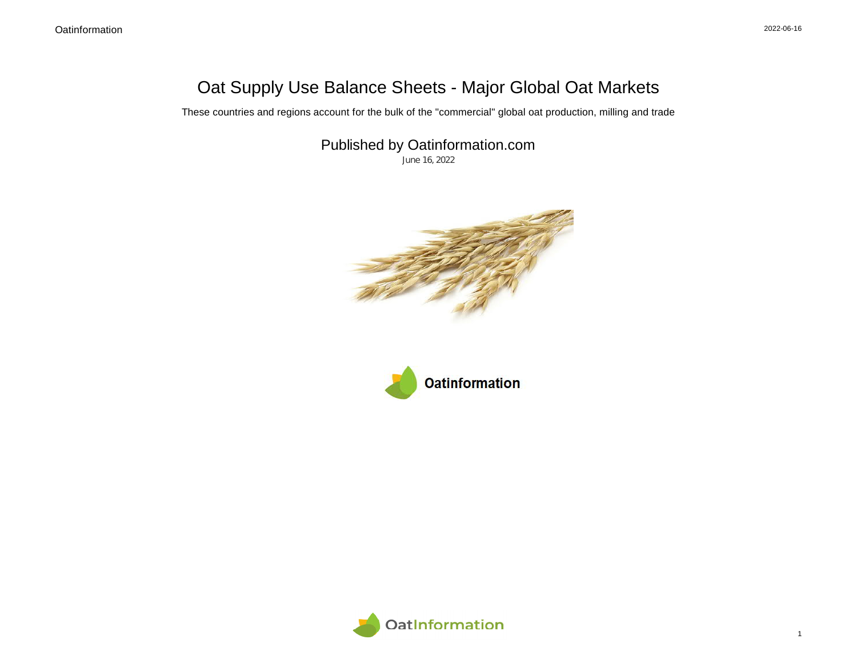## Oat Supply Use Balance Sheets - Major Global Oat Markets

These countries and regions account for the bulk of the "commercial" global oat production, milling and trade

Published by Oatinformation.com

June 16, 2022





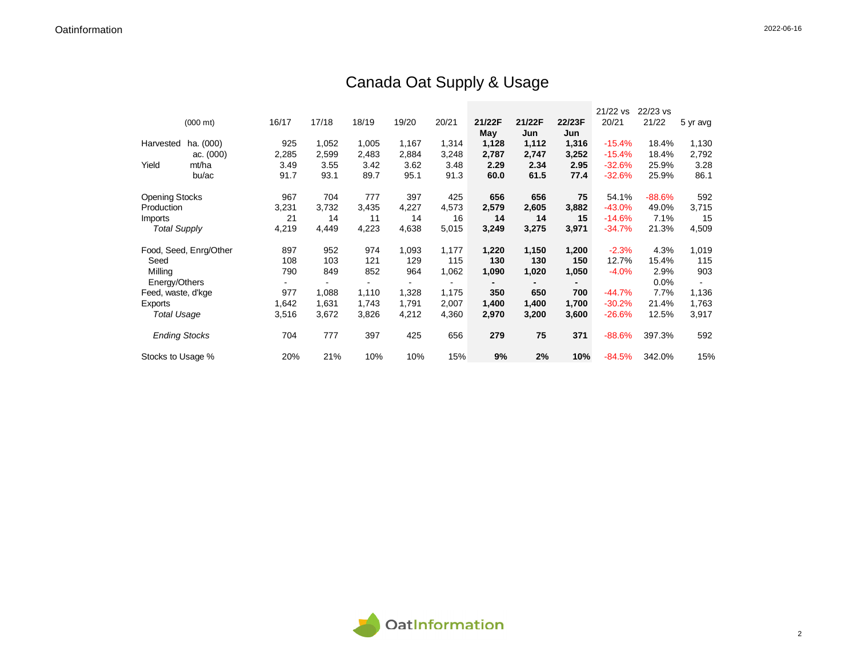# Canada Oat Supply & Usage

|                       |                        |       |       |       |       |       |        |        |        | 21/22 vs | 22/23 vs |          |
|-----------------------|------------------------|-------|-------|-------|-------|-------|--------|--------|--------|----------|----------|----------|
|                       | $(000 \text{ mt})$     | 16/17 | 17/18 | 18/19 | 19/20 | 20/21 | 21/22F | 21/22F | 22/23F | 20/21    | 21/22    | 5 yr avg |
|                       |                        |       |       |       |       |       | May    | Jun    | Jun    |          |          |          |
| Harvested             | ha. (000)              | 925   | 1,052 | 1,005 | 1,167 | 1,314 | 1,128  | 1,112  | 1,316  | $-15.4%$ | 18.4%    | 1,130    |
|                       | ac. (000)              | 2,285 | 2,599 | 2,483 | 2,884 | 3,248 | 2,787  | 2,747  | 3,252  | $-15.4%$ | 18.4%    | 2,792    |
| Yield                 | mt/ha                  | 3.49  | 3.55  | 3.42  | 3.62  | 3.48  | 2.29   | 2.34   | 2.95   | $-32.6%$ | 25.9%    | 3.28     |
|                       | bu/ac                  | 91.7  | 93.1  | 89.7  | 95.1  | 91.3  | 60.0   | 61.5   | 77.4   | $-32.6%$ | 25.9%    | 86.1     |
| <b>Opening Stocks</b> |                        | 967   | 704   | 777   | 397   | 425   | 656    | 656    | 75     | 54.1%    | $-88.6%$ | 592      |
| Production            |                        | 3,231 | 3,732 | 3,435 | 4,227 | 4,573 | 2,579  | 2,605  | 3,882  | $-43.0%$ | 49.0%    | 3,715    |
| <b>Imports</b>        |                        | 21    | 14    | 11    | 14    | 16    | 14     | 14     | 15     | $-14.6%$ | 7.1%     | 15       |
| <b>Total Supply</b>   |                        | 4,219 | 4,449 | 4,223 | 4,638 | 5,015 | 3,249  | 3,275  | 3,971  | $-34.7%$ | 21.3%    | 4,509    |
|                       | Food, Seed, Enrg/Other | 897   | 952   | 974   | 1,093 | 1,177 | 1,220  | 1,150  | 1,200  | $-2.3%$  | 4.3%     | 1,019    |
| Seed                  |                        | 108   | 103   | 121   | 129   | 115   | 130    | 130    | 150    | 12.7%    | 15.4%    | 115      |
| Milling               |                        | 790   | 849   | 852   | 964   | 1,062 | 1,090  | 1,020  | 1,050  | $-4.0%$  | 2.9%     | 903      |
| Energy/Others         |                        |       |       |       |       |       |        |        |        |          | 0.0%     |          |
| Feed, waste, d'kge    |                        | 977   | 1,088 | 1,110 | 1,328 | 1,175 | 350    | 650    | 700    | $-44.7%$ | 7.7%     | 1,136    |
| Exports               |                        | 1,642 | 1,631 | 1,743 | 1,791 | 2,007 | 1,400  | 1,400  | 1,700  | $-30.2%$ | 21.4%    | 1,763    |
| Total Usage           |                        | 3,516 | 3,672 | 3,826 | 4,212 | 4,360 | 2,970  | 3,200  | 3,600  | $-26.6%$ | 12.5%    | 3,917    |
| <b>Ending Stocks</b>  |                        | 704   | 777   | 397   | 425   | 656   | 279    | 75     | 371    | $-88.6%$ | 397.3%   | 592      |
| Stocks to Usage %     |                        | 20%   | 21%   | 10%   | 10%   | 15%   | 9%     | 2%     | 10%    | $-84.5%$ | 342.0%   | 15%      |

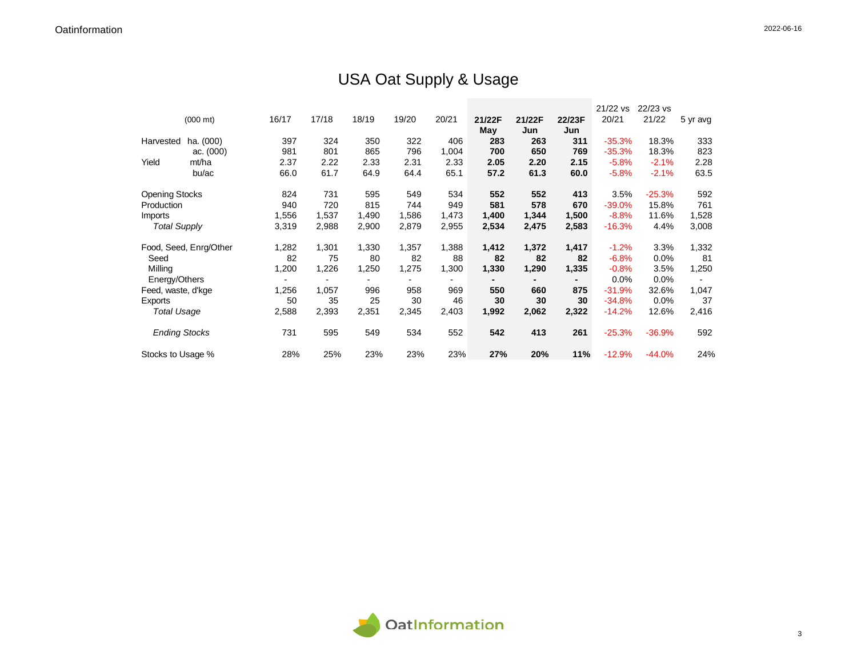## USA Oat Supply & Usage

|                       |                        |       |       |       |       |       |        |        |        | 21/22 vs | 22/23 vs |          |
|-----------------------|------------------------|-------|-------|-------|-------|-------|--------|--------|--------|----------|----------|----------|
|                       | $(000 \text{ mt})$     | 16/17 | 17/18 | 18/19 | 19/20 | 20/21 | 21/22F | 21/22F | 22/23F | 20/21    | 21/22    | 5 yr avg |
|                       |                        |       |       |       |       |       | May    | Jun    | Jun    |          |          |          |
| Harvested             | ha. (000)              | 397   | 324   | 350   | 322   | 406   | 283    | 263    | 311    | $-35.3%$ | 18.3%    | 333      |
|                       | ac. (000)              | 981   | 801   | 865   | 796   | 1,004 | 700    | 650    | 769    | $-35.3%$ | 18.3%    | 823      |
| Yield                 | mt/ha                  | 2.37  | 2.22  | 2.33  | 2.31  | 2.33  | 2.05   | 2.20   | 2.15   | $-5.8%$  | $-2.1%$  | 2.28     |
|                       | bu/ac                  | 66.0  | 61.7  | 64.9  | 64.4  | 65.1  | 57.2   | 61.3   | 60.0   | $-5.8%$  | $-2.1%$  | 63.5     |
| <b>Opening Stocks</b> |                        | 824   | 731   | 595   | 549   | 534   | 552    | 552    | 413    | 3.5%     | $-25.3%$ | 592      |
| Production            |                        | 940   | 720   | 815   | 744   | 949   | 581    | 578    | 670    | $-39.0%$ | 15.8%    | 761      |
| Imports               |                        | 1,556 | 1,537 | 1,490 | 1,586 | 1,473 | 1,400  | 1,344  | 1,500  | $-8.8%$  | 11.6%    | 1,528    |
| <b>Total Supply</b>   |                        | 3,319 | 2,988 | 2,900 | 2,879 | 2,955 | 2,534  | 2,475  | 2,583  | $-16.3%$ | 4.4%     | 3,008    |
|                       | Food, Seed, Enrg/Other | 1,282 | 1,301 | 1,330 | 1,357 | 1,388 | 1,412  | 1,372  | 1,417  | $-1.2%$  | 3.3%     | 1,332    |
| Seed                  |                        | 82    | 75    | 80    | 82    | 88    | 82     | 82     | 82     | $-6.8%$  | 0.0%     | 81       |
| Milling               |                        | 1,200 | 1,226 | 1,250 | 1,275 | 1,300 | 1,330  | 1,290  | 1,335  | $-0.8%$  | 3.5%     | 1,250    |
| Energy/Others         |                        |       |       |       |       |       |        |        |        | 0.0%     | 0.0%     |          |
| Feed, waste, d'kge    |                        | 1,256 | 1,057 | 996   | 958   | 969   | 550    | 660    | 875    | $-31.9%$ | 32.6%    | 1,047    |
| Exports               |                        | 50    | 35    | 25    | 30    | 46    | 30     | 30     | 30     | $-34.8%$ | 0.0%     | 37       |
| <b>Total Usage</b>    |                        | 2,588 | 2,393 | 2,351 | 2,345 | 2,403 | 1,992  | 2,062  | 2,322  | $-14.2%$ | 12.6%    | 2,416    |
| <b>Ending Stocks</b>  |                        | 731   | 595   | 549   | 534   | 552   | 542    | 413    | 261    | $-25.3%$ | $-36.9%$ | 592      |
| Stocks to Usage %     |                        | 28%   | 25%   | 23%   | 23%   | 23%   | 27%    | 20%    | 11%    | $-12.9%$ | $-44.0%$ | 24%      |

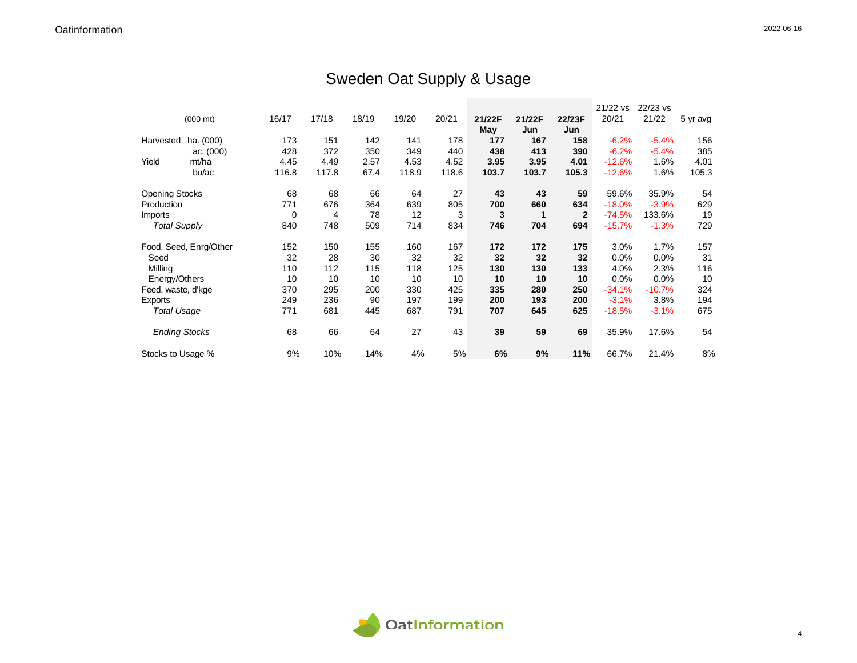## Sweden Oat Supply & Usage

|                       |                        |       |       |       |       |       |        |        |                | 21/22 vs | 22/23 vs |          |
|-----------------------|------------------------|-------|-------|-------|-------|-------|--------|--------|----------------|----------|----------|----------|
|                       | $(000 \text{ mt})$     | 16/17 | 17/18 | 18/19 | 19/20 | 20/21 | 21/22F | 21/22F | 22/23F         | 20/21    | 21/22    | 5 yr avg |
|                       |                        |       |       |       |       |       | May    | Jun    | Jun            |          |          |          |
| Harvested             | ha. (000)              | 173   | 151   | 142   | 141   | 178   | 177    | 167    | 158            | $-6.2%$  | $-5.4%$  | 156      |
|                       | ac. (000)              | 428   | 372   | 350   | 349   | 440   | 438    | 413    | 390            | $-6.2%$  | $-5.4%$  | 385      |
| Yield                 | mt/ha                  | 4.45  | 4.49  | 2.57  | 4.53  | 4.52  | 3.95   | 3.95   | 4.01           | $-12.6%$ | 1.6%     | 4.01     |
|                       | bu/ac                  | 116.8 | 117.8 | 67.4  | 118.9 | 118.6 | 103.7  | 103.7  | 105.3          | $-12.6%$ | 1.6%     | 105.3    |
| <b>Opening Stocks</b> |                        | 68    | 68    | 66    | 64    | 27    | 43     | 43     | 59             | 59.6%    | 35.9%    | 54       |
| Production            |                        | 771   | 676   | 364   | 639   | 805   | 700    | 660    | 634            | $-18.0%$ | $-3.9%$  | 629      |
| Imports               |                        | 0     | 4     | 78    | 12    | 3     | 3      | 1      | $\overline{2}$ | $-74.5%$ | 133.6%   | 19       |
| <b>Total Supply</b>   |                        | 840   | 748   | 509   | 714   | 834   | 746    | 704    | 694            | $-15.7%$ | $-1.3%$  | 729      |
|                       | Food, Seed, Enrg/Other | 152   | 150   | 155   | 160   | 167   | 172    | 172    | 175            | 3.0%     | 1.7%     | 157      |
| Seed                  |                        | 32    | 28    | 30    | 32    | 32    | 32     | 32     | 32             | 0.0%     | 0.0%     | 31       |
| Milling               |                        | 110   | 112   | 115   | 118   | 125   | 130    | 130    | 133            | 4.0%     | 2.3%     | 116      |
| Energy/Others         |                        | 10    | 10    | 10    | 10    | 10    | 10     | 10     | 10             | 0.0%     | 0.0%     | 10       |
| Feed, waste, d'kge    |                        | 370   | 295   | 200   | 330   | 425   | 335    | 280    | 250            | $-34.1%$ | $-10.7%$ | 324      |
| Exports               |                        | 249   | 236   | 90    | 197   | 199   | 200    | 193    | 200            | $-3.1%$  | 3.8%     | 194      |
| <b>Total Usage</b>    |                        | 771   | 681   | 445   | 687   | 791   | 707    | 645    | 625            | $-18.5%$ | $-3.1%$  | 675      |
| <b>Ending Stocks</b>  |                        | 68    | 66    | 64    | 27    | 43    | 39     | 59     | 69             | 35.9%    | 17.6%    | 54       |
| Stocks to Usage %     |                        | 9%    | 10%   | 14%   | 4%    | 5%    | 6%     | 9%     | 11%            | 66.7%    | 21.4%    | 8%       |

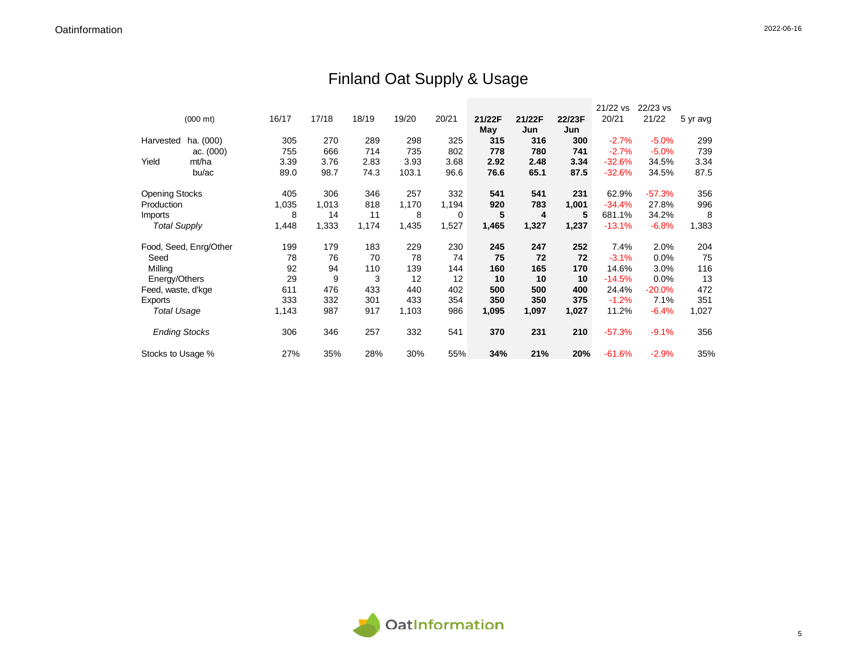## Finland Oat Supply & Usage

|                       |                        |       |       |       |       |       |        |        |        | 21/22 vs | 22/23 vs  |          |
|-----------------------|------------------------|-------|-------|-------|-------|-------|--------|--------|--------|----------|-----------|----------|
|                       | $(000 \text{ mt})$     | 16/17 | 17/18 | 18/19 | 19/20 | 20/21 | 21/22F | 21/22F | 22/23F | 20/21    | 21/22     | 5 yr avg |
|                       |                        |       |       |       |       |       | May    | Jun    | Jun    |          |           |          |
| Harvested             | ha. (000)              | 305   | 270   | 289   | 298   | 325   | 315    | 316    | 300    | $-2.7%$  | $-5.0%$   | 299      |
|                       | ac. (000)              | 755   | 666   | 714   | 735   | 802   | 778    | 780    | 741    | $-2.7%$  | $-5.0%$   | 739      |
| Yield                 | mt/ha                  | 3.39  | 3.76  | 2.83  | 3.93  | 3.68  | 2.92   | 2.48   | 3.34   | $-32.6%$ | 34.5%     | 3.34     |
|                       | bu/ac                  | 89.0  | 98.7  | 74.3  | 103.1 | 96.6  | 76.6   | 65.1   | 87.5   | $-32.6%$ | 34.5%     | 87.5     |
| <b>Opening Stocks</b> |                        | 405   | 306   | 346   | 257   | 332   | 541    | 541    | 231    | 62.9%    | $-57.3%$  | 356      |
| Production            |                        | 1,035 | 1,013 | 818   | 1,170 | 1,194 | 920    | 783    | 1,001  | $-34.4%$ | 27.8%     | 996      |
| Imports               |                        | 8     | 14    | 11    | 8     | 0     | 5      | 4      | 5      | 681.1%   | 34.2%     | 8        |
| <b>Total Supply</b>   |                        | 1,448 | 1,333 | 1,174 | 1,435 | 1,527 | 1,465  | 1,327  | 1,237  | $-13.1%$ | $-6.8%$   | 1,383    |
|                       | Food, Seed, Enrg/Other | 199   | 179   | 183   | 229   | 230   | 245    | 247    | 252    | 7.4%     | 2.0%      | 204      |
| Seed                  |                        | 78    | 76    | 70    | 78    | 74    | 75     | 72     | 72     | $-3.1%$  | 0.0%      | 75       |
| Milling               |                        | 92    | 94    | 110   | 139   | 144   | 160    | 165    | 170    | 14.6%    | 3.0%      | 116      |
| Energy/Others         |                        | 29    | 9     | 3     | 12    | 12    | 10     | 10     | 10     | $-14.5%$ | 0.0%      | 13       |
| Feed, waste, d'kge    |                        | 611   | 476   | 433   | 440   | 402   | 500    | 500    | 400    | 24.4%    | $-20.0\%$ | 472      |
| Exports               |                        | 333   | 332   | 301   | 433   | 354   | 350    | 350    | 375    | $-1.2%$  | 7.1%      | 351      |
| <b>Total Usage</b>    |                        | 1,143 | 987   | 917   | 1,103 | 986   | 1,095  | 1,097  | 1,027  | 11.2%    | $-6.4%$   | 1,027    |
| <b>Ending Stocks</b>  |                        | 306   | 346   | 257   | 332   | 541   | 370    | 231    | 210    | $-57.3%$ | $-9.1%$   | 356      |
| Stocks to Usage %     |                        | 27%   | 35%   | 28%   | 30%   | 55%   | 34%    | 21%    | 20%    | $-61.6%$ | $-2.9%$   | 35%      |

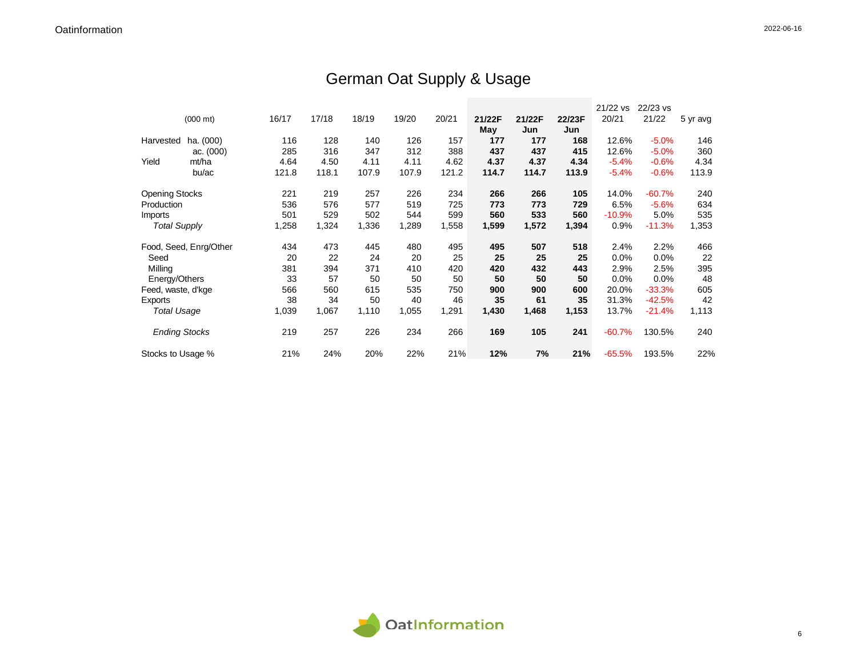## German Oat Supply & Usage

|                       |                        |       |       |       |       |       |        |        |        | 21/22 vs | 22/23 vs |          |
|-----------------------|------------------------|-------|-------|-------|-------|-------|--------|--------|--------|----------|----------|----------|
|                       | $(000 \text{ mt})$     | 16/17 | 17/18 | 18/19 | 19/20 | 20/21 | 21/22F | 21/22F | 22/23F | 20/21    | 21/22    | 5 yr avg |
|                       |                        |       |       |       |       |       | May    | Jun    | Jun    |          |          |          |
| Harvested             | ha. (000)              | 116   | 128   | 140   | 126   | 157   | 177    | 177    | 168    | 12.6%    | $-5.0%$  | 146      |
|                       | ac. (000)              | 285   | 316   | 347   | 312   | 388   | 437    | 437    | 415    | 12.6%    | $-5.0%$  | 360      |
| Yield                 | mt/ha                  | 4.64  | 4.50  | 4.11  | 4.11  | 4.62  | 4.37   | 4.37   | 4.34   | $-5.4%$  | $-0.6%$  | 4.34     |
|                       | bu/ac                  | 121.8 | 118.1 | 107.9 | 107.9 | 121.2 | 114.7  | 114.7  | 113.9  | $-5.4%$  | $-0.6%$  | 113.9    |
| <b>Opening Stocks</b> |                        | 221   | 219   | 257   | 226   | 234   | 266    | 266    | 105    | 14.0%    | $-60.7%$ | 240      |
| Production            |                        | 536   | 576   | 577   | 519   | 725   | 773    | 773    | 729    | 6.5%     | $-5.6%$  | 634      |
| Imports               |                        | 501   | 529   | 502   | 544   | 599   | 560    | 533    | 560    | $-10.9%$ | 5.0%     | 535      |
| <b>Total Supply</b>   |                        | 1,258 | 1,324 | 1,336 | 1,289 | 1,558 | 1,599  | 1,572  | 1,394  | 0.9%     | $-11.3%$ | 1,353    |
|                       | Food, Seed, Enrg/Other | 434   | 473   | 445   | 480   | 495   | 495    | 507    | 518    | 2.4%     | 2.2%     | 466      |
| Seed                  |                        | 20    | 22    | 24    | 20    | 25    | 25     | 25     | 25     | 0.0%     | 0.0%     | 22       |
| Milling               |                        | 381   | 394   | 371   | 410   | 420   | 420    | 432    | 443    | 2.9%     | 2.5%     | 395      |
| Energy/Others         |                        | 33    | 57    | 50    | 50    | 50    | 50     | 50     | 50     | 0.0%     | 0.0%     | 48       |
| Feed, waste, d'kge    |                        | 566   | 560   | 615   | 535   | 750   | 900    | 900    | 600    | 20.0%    | $-33.3%$ | 605      |
| Exports               |                        | 38    | 34    | 50    | 40    | 46    | 35     | 61     | 35     | 31.3%    | $-42.5%$ | 42       |
| <b>Total Usage</b>    |                        | 1,039 | 1,067 | 1,110 | 1,055 | 1,291 | 1,430  | 1,468  | 1,153  | 13.7%    | $-21.4%$ | 1,113    |
| <b>Ending Stocks</b>  |                        | 219   | 257   | 226   | 234   | 266   | 169    | 105    | 241    | $-60.7%$ | 130.5%   | 240      |
| Stocks to Usage %     |                        | 21%   | 24%   | 20%   | 22%   | 21%   | 12%    | 7%     | 21%    | $-65.5%$ | 193.5%   | 22%      |

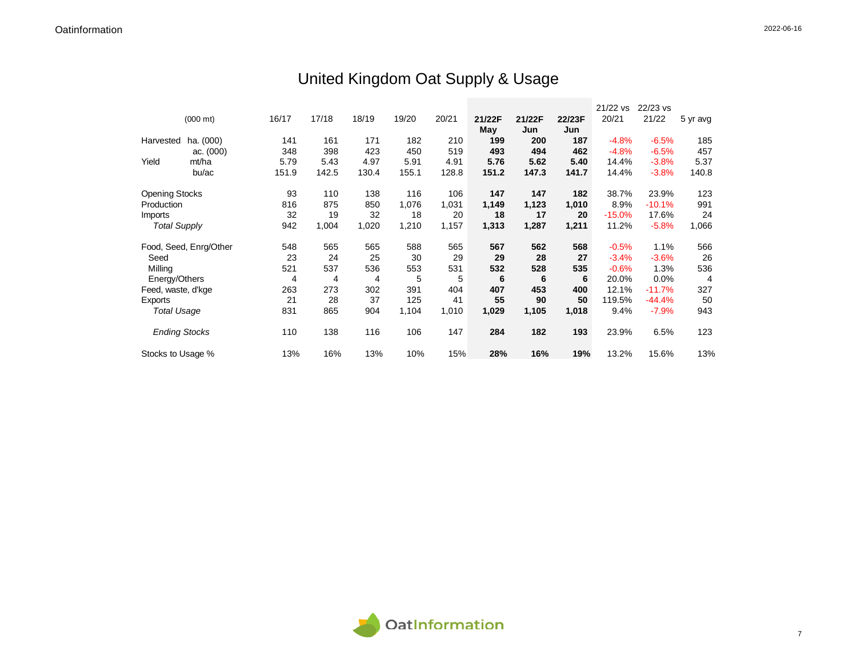# United Kingdom Oat Supply & Usage

|                       |                        |       |       |       |       |       |        |        |        | 21/22 vs | 22/23 vs |                |
|-----------------------|------------------------|-------|-------|-------|-------|-------|--------|--------|--------|----------|----------|----------------|
|                       | $(000 \text{ mt})$     | 16/17 | 17/18 | 18/19 | 19/20 | 20/21 | 21/22F | 21/22F | 22/23F | 20/21    | 21/22    | 5 yr avg       |
|                       |                        |       |       |       |       |       | May    | Jun    | Jun    |          |          |                |
| Harvested             | ha. (000)              | 141   | 161   | 171   | 182   | 210   | 199    | 200    | 187    | $-4.8%$  | $-6.5%$  | 185            |
|                       | ac. (000)              | 348   | 398   | 423   | 450   | 519   | 493    | 494    | 462    | $-4.8%$  | $-6.5%$  | 457            |
| Yield                 | mt/ha                  | 5.79  | 5.43  | 4.97  | 5.91  | 4.91  | 5.76   | 5.62   | 5.40   | 14.4%    | $-3.8%$  | 5.37           |
|                       | bu/ac                  | 151.9 | 142.5 | 130.4 | 155.1 | 128.8 | 151.2  | 147.3  | 141.7  | 14.4%    | $-3.8%$  | 140.8          |
| <b>Opening Stocks</b> |                        | 93    | 110   | 138   | 116   | 106   | 147    | 147    | 182    | 38.7%    | 23.9%    | 123            |
| Production            |                        | 816   | 875   | 850   | 1,076 | 1,031 | 1,149  | 1,123  | 1,010  | 8.9%     | $-10.1%$ | 991            |
| Imports               |                        | 32    | 19    | 32    | 18    | 20    | 18     | 17     | 20     | $-15.0%$ | 17.6%    | 24             |
| <b>Total Supply</b>   |                        | 942   | 1,004 | 1,020 | 1,210 | 1,157 | 1,313  | 1,287  | 1,211  | 11.2%    | $-5.8%$  | 1,066          |
|                       | Food, Seed, Enrg/Other | 548   | 565   | 565   | 588   | 565   | 567    | 562    | 568    | $-0.5%$  | 1.1%     | 566            |
| Seed                  |                        | 23    | 24    | 25    | 30    | 29    | 29     | 28     | 27     | $-3.4%$  | $-3.6%$  | 26             |
| Milling               |                        | 521   | 537   | 536   | 553   | 531   | 532    | 528    | 535    | $-0.6%$  | 1.3%     | 536            |
| Energy/Others         |                        | 4     | 4     | 4     | 5     | 5     | 6      | 6      | 6      | 20.0%    | 0.0%     | $\overline{4}$ |
| Feed, waste, d'kge    |                        | 263   | 273   | 302   | 391   | 404   | 407    | 453    | 400    | 12.1%    | $-11.7%$ | 327            |
| Exports               |                        | 21    | 28    | 37    | 125   | 41    | 55     | 90     | 50     | 119.5%   | $-44.4%$ | 50             |
| <b>Total Usage</b>    |                        | 831   | 865   | 904   | 1,104 | 1,010 | 1,029  | 1,105  | 1,018  | 9.4%     | $-7.9%$  | 943            |
| <b>Ending Stocks</b>  |                        | 110   | 138   | 116   | 106   | 147   | 284    | 182    | 193    | 23.9%    | 6.5%     | 123            |
| Stocks to Usage %     |                        | 13%   | 16%   | 13%   | 10%   | 15%   | 28%    | 16%    | 19%    | 13.2%    | 15.6%    | 13%            |

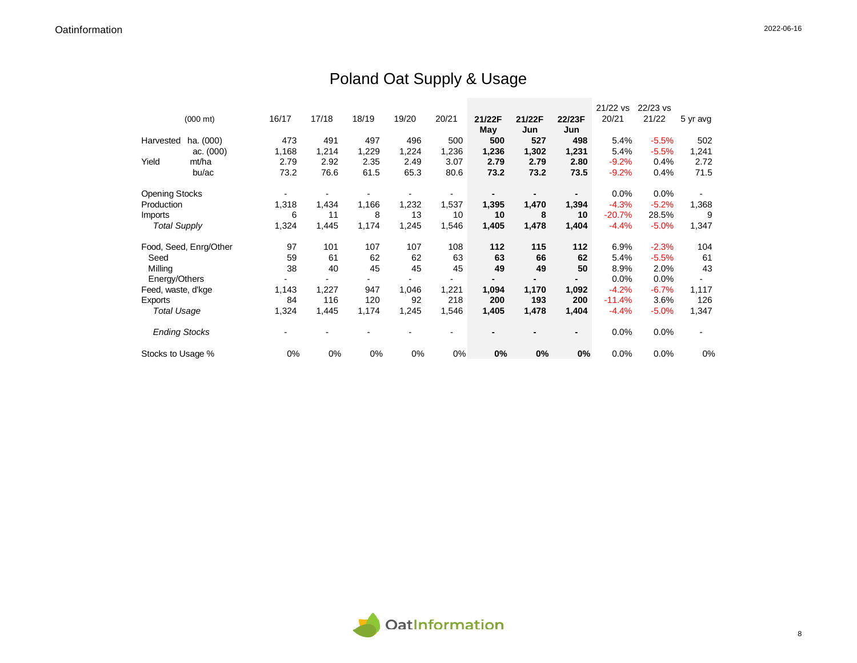## Poland Oat Supply & Usage

|                       |                        |       |       |       |       |       |        |        |                | 21/22 vs | 22/23 vs |          |
|-----------------------|------------------------|-------|-------|-------|-------|-------|--------|--------|----------------|----------|----------|----------|
|                       | $(000 \text{ mt})$     | 16/17 | 17/18 | 18/19 | 19/20 | 20/21 | 21/22F | 21/22F | 22/23F         | 20/21    | 21/22    | 5 yr avg |
|                       |                        |       |       |       |       |       | May    | Jun    | Jun            |          |          |          |
| Harvested             | ha. (000)              | 473   | 491   | 497   | 496   | 500   | 500    | 527    | 498            | 5.4%     | $-5.5%$  | 502      |
|                       | ac. (000)              | 1,168 | 1,214 | 1,229 | 1,224 | 1,236 | 1,236  | 1,302  | 1,231          | 5.4%     | $-5.5%$  | 1,241    |
| Yield                 | mt/ha                  | 2.79  | 2.92  | 2.35  | 2.49  | 3.07  | 2.79   | 2.79   | 2.80           | $-9.2%$  | 0.4%     | 2.72     |
|                       | bu/ac                  | 73.2  | 76.6  | 61.5  | 65.3  | 80.6  | 73.2   | 73.2   | 73.5           | $-9.2%$  | 0.4%     | 71.5     |
| <b>Opening Stocks</b> |                        |       |       |       |       |       |        |        |                | 0.0%     | 0.0%     |          |
| Production            |                        | 1,318 | 1,434 | 1,166 | 1,232 | 1,537 | 1,395  | 1,470  | 1,394          | $-4.3%$  | $-5.2%$  | 1,368    |
| Imports               |                        | 6     | 11    | 8     | 13    | 10    | 10     | 8      | 10             | $-20.7%$ | 28.5%    | 9        |
| <b>Total Supply</b>   |                        | 1,324 | 1,445 | 1,174 | 1,245 | 1,546 | 1,405  | 1,478  | 1,404          | $-4.4%$  | $-5.0%$  | 1,347    |
|                       | Food, Seed, Enrg/Other | 97    | 101   | 107   | 107   | 108   | 112    | 115    | 112            | 6.9%     | $-2.3%$  | 104      |
| Seed                  |                        | 59    | 61    | 62    | 62    | 63    | 63     | 66     | 62             | 5.4%     | $-5.5%$  | 61       |
| Milling               |                        | 38    | 40    | 45    | 45    | 45    | 49     | 49     | 50             | 8.9%     | 2.0%     | 43       |
| Energy/Others         |                        |       |       |       |       |       |        |        |                | 0.0%     | 0.0%     |          |
| Feed, waste, d'kge    |                        | 1,143 | 1,227 | 947   | 1,046 | 1,221 | 1,094  | 1,170  | 1,092          | $-4.2%$  | $-6.7%$  | 1,117    |
| Exports               |                        | 84    | 116   | 120   | 92    | 218   | 200    | 193    | 200            | $-11.4%$ | 3.6%     | 126      |
| <b>Total Usage</b>    |                        | 1,324 | 1,445 | 1,174 | 1,245 | 1,546 | 1,405  | 1,478  | 1,404          | $-4.4%$  | $-5.0%$  | 1,347    |
| <b>Ending Stocks</b>  |                        |       |       |       |       |       |        |        | $\blacksquare$ | 0.0%     | 0.0%     |          |
| Stocks to Usage %     |                        | 0%    | 0%    | 0%    | 0%    | 0%    | 0%     | 0%     | 0%             | 0.0%     | 0.0%     | 0%       |

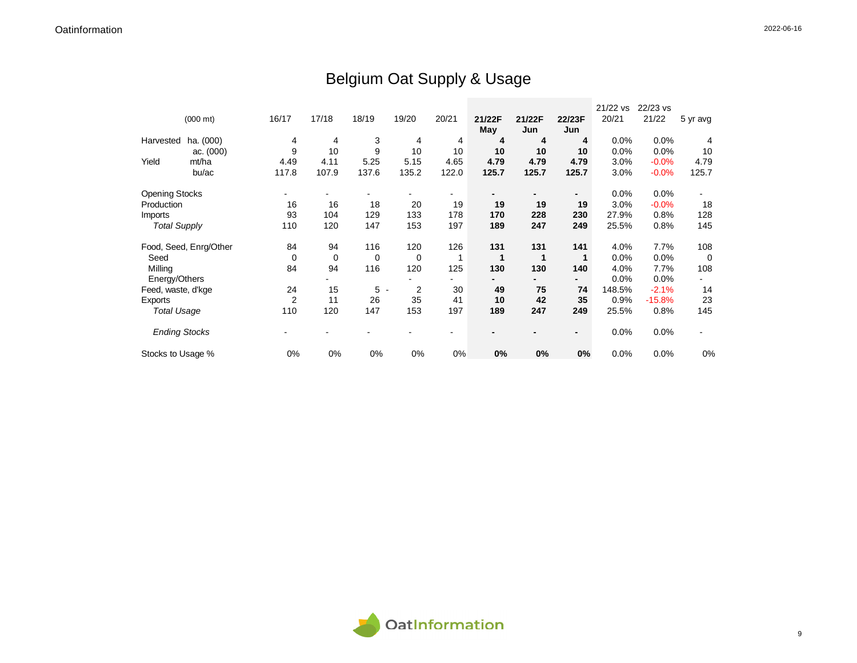## Belgium Oat Supply & Usage

|                       |                        |       |       |                     |             |       |              |        |                | 21/22 vs | 22/23 vs |          |
|-----------------------|------------------------|-------|-------|---------------------|-------------|-------|--------------|--------|----------------|----------|----------|----------|
|                       | $(000 \text{ mt})$     | 16/17 | 17/18 | 18/19               | 19/20       | 20/21 | 21/22F       | 21/22F | 22/23F         | 20/21    | 21/22    | 5 yr avg |
|                       |                        |       |       |                     |             |       | May          | Jun    | Jun            |          |          |          |
| Harvested             | ha. (000)              | 4     | 4     | 3                   | 4           | 4     | 4            | 4      | 4              | 0.0%     | 0.0%     | 4        |
|                       | ac. $(000)$            | 9     | 10    | 9                   | 10          | 10    | 10           | 10     | 10             | 0.0%     | 0.0%     | 10       |
| Yield                 | mt/ha                  | 4.49  | 4.11  | 5.25                | 5.15        | 4.65  | 4.79         | 4.79   | 4.79           | 3.0%     | $-0.0%$  | 4.79     |
|                       | bu/ac                  | 117.8 | 107.9 | 137.6               | 135.2       | 122.0 | 125.7        | 125.7  | 125.7          | 3.0%     | $-0.0%$  | 125.7    |
| <b>Opening Stocks</b> |                        |       |       |                     |             |       |              |        |                | 0.0%     | 0.0%     |          |
| Production            |                        | 16    | 16    | 18                  | 20          | 19    | 19           | 19     | 19             | 3.0%     | $-0.0%$  | 18       |
| Imports               |                        | 93    | 104   | 129                 | 133         | 178   | 170          | 228    | 230            | 27.9%    | 0.8%     | 128      |
| <b>Total Supply</b>   |                        | 110   | 120   | 147                 | 153         | 197   | 189          | 247    | 249            | 25.5%    | 0.8%     | 145      |
|                       | Food, Seed, Enrg/Other | 84    | 94    | 116                 | 120         | 126   | 131          | 131    | 141            | 4.0%     | 7.7%     | 108      |
| Seed                  |                        | 0     | 0     | 0                   | $\mathbf 0$ | 1     | $\mathbf{1}$ | 1      | 1              | 0.0%     | $0.0\%$  | 0        |
| Milling               |                        | 84    | 94    | 116                 | 120         | 125   | 130          | 130    | 140            | 4.0%     | 7.7%     | 108      |
| Energy/Others         |                        |       |       |                     |             |       |              |        |                | 0.0%     | 0.0%     |          |
| Feed, waste, d'kge    |                        | 24    | 15    | 5<br>$\blacksquare$ | 2           | 30    | 49           | 75     | 74             | 148.5%   | $-2.1%$  | 14       |
| Exports               |                        | 2     | 11    | 26                  | 35          | 41    | 10           | 42     | 35             | 0.9%     | $-15.8%$ | 23       |
| <b>Total Usage</b>    |                        | 110   | 120   | 147                 | 153         | 197   | 189          | 247    | 249            | 25.5%    | 0.8%     | 145      |
| <b>Ending Stocks</b>  |                        |       |       |                     |             |       |              |        | $\blacksquare$ | 0.0%     | 0.0%     |          |
| Stocks to Usage %     |                        | 0%    | 0%    | 0%                  | 0%          | 0%    | 0%           | 0%     | 0%             | 0.0%     | 0.0%     | 0%       |

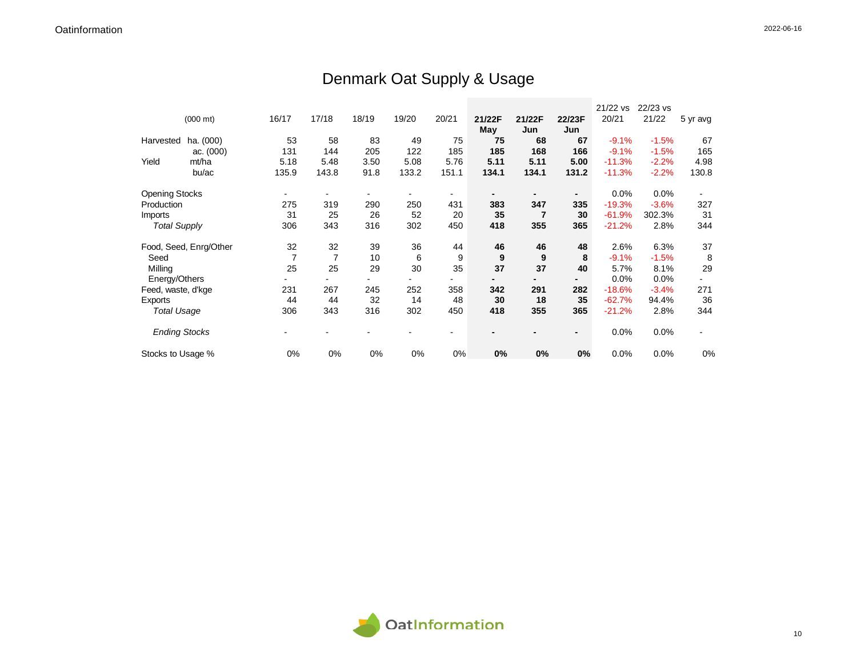## Denmark Oat Supply & Usage

|                       |                        |                |                |       |       |       |        |        |                | 21/22 vs | 22/23 vs |          |
|-----------------------|------------------------|----------------|----------------|-------|-------|-------|--------|--------|----------------|----------|----------|----------|
|                       | $(000 \text{ mt})$     | 16/17          | 17/18          | 18/19 | 19/20 | 20/21 | 21/22F | 21/22F | 22/23F         | 20/21    | 21/22    | 5 yr avg |
|                       |                        |                |                |       |       |       | May    | Jun    | Jun            |          |          |          |
| Harvested             | ha. (000)              | 53             | 58             | 83    | 49    | 75    | 75     | 68     | 67             | $-9.1%$  | $-1.5%$  | 67       |
|                       | ac. $(000)$            | 131            | 144            | 205   | 122   | 185   | 185    | 168    | 166            | $-9.1%$  | $-1.5%$  | 165      |
| Yield                 | mt/ha                  | 5.18           | 5.48           | 3.50  | 5.08  | 5.76  | 5.11   | 5.11   | 5.00           | $-11.3%$ | $-2.2%$  | 4.98     |
|                       | bu/ac                  | 135.9          | 143.8          | 91.8  | 133.2 | 151.1 | 134.1  | 134.1  | 131.2          | $-11.3%$ | $-2.2%$  | 130.8    |
| <b>Opening Stocks</b> |                        |                |                |       |       |       |        |        | $\blacksquare$ | 0.0%     | 0.0%     |          |
| Production            |                        | 275            | 319            | 290   | 250   | 431   | 383    | 347    | 335            | $-19.3%$ | $-3.6%$  | 327      |
| Imports               |                        | 31             | 25             | 26    | 52    | 20    | 35     | 7      | 30             | $-61.9%$ | 302.3%   | 31       |
| <b>Total Supply</b>   |                        | 306            | 343            | 316   | 302   | 450   | 418    | 355    | 365            | $-21.2%$ | 2.8%     | 344      |
|                       | Food, Seed, Enrg/Other | 32             | 32             | 39    | 36    | 44    | 46     | 46     | 48             | 2.6%     | 6.3%     | 37       |
| Seed                  |                        | $\overline{7}$ | $\overline{7}$ | 10    | 6     | 9     | 9      | 9      | 8              | $-9.1%$  | $-1.5%$  | 8        |
| Milling               |                        | 25             | 25             | 29    | 30    | 35    | 37     | 37     | 40             | 5.7%     | 8.1%     | 29       |
| Energy/Others         |                        |                |                |       |       |       |        |        |                | 0.0%     | 0.0%     |          |
| Feed, waste, d'kge    |                        | 231            | 267            | 245   | 252   | 358   | 342    | 291    | 282            | $-18.6%$ | $-3.4%$  | 271      |
| Exports               |                        | 44             | 44             | 32    | 14    | 48    | 30     | 18     | 35             | $-62.7%$ | 94.4%    | 36       |
| <b>Total Usage</b>    |                        | 306            | 343            | 316   | 302   | 450   | 418    | 355    | 365            | $-21.2%$ | 2.8%     | 344      |
| <b>Ending Stocks</b>  |                        |                |                |       |       |       |        |        | $\blacksquare$ | 0.0%     | 0.0%     |          |
| Stocks to Usage %     |                        | 0%             | 0%             | 0%    | 0%    | 0%    | 0%     | 0%     | 0%             | 0.0%     | 0.0%     | 0%       |

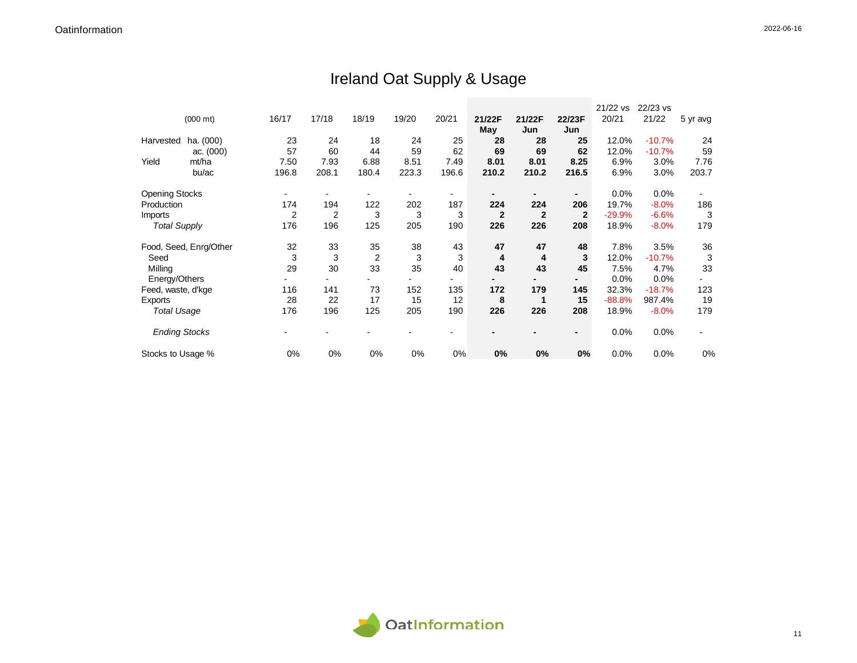## Ireland Oat Supply & Usage

|                       |                        |       |       |                |       |       |              |              |              | 21/22 vs | 22/23 vs |          |
|-----------------------|------------------------|-------|-------|----------------|-------|-------|--------------|--------------|--------------|----------|----------|----------|
|                       | $(000 \text{ mt})$     | 16/17 | 17/18 | 18/19          | 19/20 | 20/21 | 21/22F       | 21/22F       | 22/23F       | 20/21    | 21/22    | 5 yr avg |
|                       |                        |       |       |                |       |       | May          | Jun          | Jun          |          |          |          |
| Harvested             | ha. (000)              | 23    | 24    | 18             | 24    | 25    | 28           | 28           | 25           | 12.0%    | $-10.7%$ | 24       |
|                       | ac. (000)              | 57    | 60    | 44             | 59    | 62    | 69           | 69           | 62           | 12.0%    | $-10.7%$ | 59       |
| Yield                 | mt/ha                  | 7.50  | 7.93  | 6.88           | 8.51  | 7.49  | 8.01         | 8.01         | 8.25         | 6.9%     | 3.0%     | 7.76     |
|                       | bu/ac                  | 196.8 | 208.1 | 180.4          | 223.3 | 196.6 | 210.2        | 210.2        | 216.5        | 6.9%     | $3.0\%$  | 203.7    |
| <b>Opening Stocks</b> |                        |       |       |                |       |       |              |              | -            | 0.0%     | 0.0%     |          |
| Production            |                        | 174   | 194   | 122            | 202   | 187   | 224          | 224          | 206          | 19.7%    | $-8.0%$  | 186      |
| Imports               |                        | 2     | 2     | 3              | 3     | 3     | $\mathbf{2}$ | $\mathbf{2}$ | $\mathbf{2}$ | $-29.9%$ | $-6.6%$  | 3        |
| <b>Total Supply</b>   |                        | 176   | 196   | 125            | 205   | 190   | 226          | 226          | 208          | 18.9%    | $-8.0%$  | 179      |
|                       | Food, Seed, Enrg/Other | 32    | 33    | 35             | 38    | 43    | 47           | 47           | 48           | 7.8%     | 3.5%     | 36       |
| Seed                  |                        | 3     | 3     | $\overline{2}$ | 3     | 3     | 4            | 4            | 3            | 12.0%    | $-10.7%$ | 3        |
| Milling               |                        | 29    | 30    | 33             | 35    | 40    | 43           | 43           | 45           | 7.5%     | 4.7%     | 33       |
| Energy/Others         |                        |       |       |                |       |       |              |              |              | $0.0\%$  | 0.0%     |          |
| Feed, waste, d'kge    |                        | 116   | 141   | 73             | 152   | 135   | 172          | 179          | 145          | 32.3%    | $-18.7%$ | 123      |
| Exports               |                        | 28    | 22    | 17             | 15    | 12    | 8            | 1            | 15           | $-88.8%$ | 987.4%   | 19       |
| <b>Total Usage</b>    |                        | 176   | 196   | 125            | 205   | 190   | 226          | 226          | 208          | 18.9%    | $-8.0%$  | 179      |
| <b>Ending Stocks</b>  |                        |       |       |                |       |       |              |              | -            | 0.0%     | 0.0%     |          |
| Stocks to Usage %     |                        | 0%    | 0%    | 0%             | 0%    | 0%    | 0%           | 0%           | 0%           | 0.0%     | 0.0%     | 0%       |

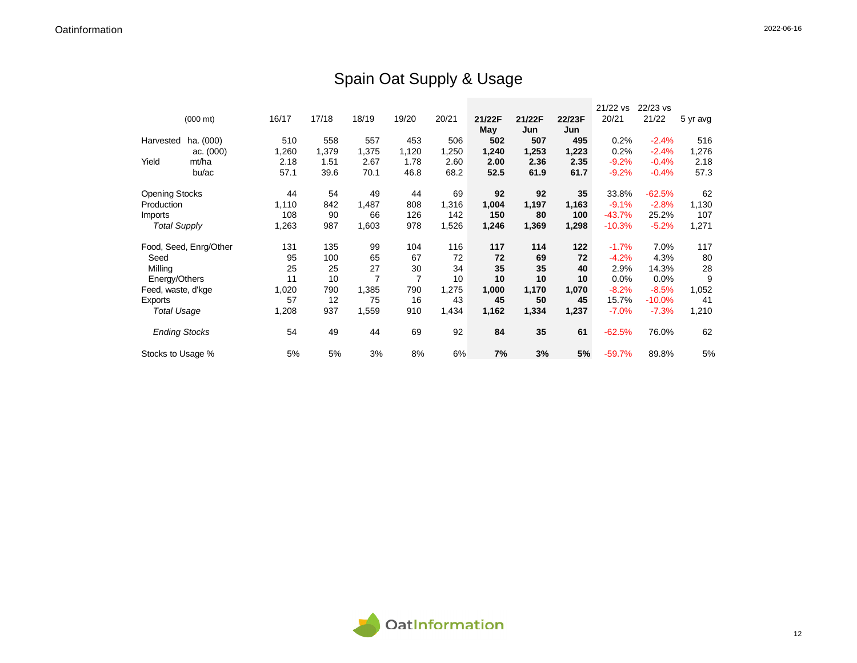## Spain Oat Supply & Usage

|                       |                        |       |       |       |                |       |        |        |        | 21/22 vs | 22/23 vs |          |
|-----------------------|------------------------|-------|-------|-------|----------------|-------|--------|--------|--------|----------|----------|----------|
|                       | $(000 \text{ mt})$     | 16/17 | 17/18 | 18/19 | 19/20          | 20/21 | 21/22F | 21/22F | 22/23F | 20/21    | 21/22    | 5 yr avg |
|                       |                        |       |       |       |                |       | May    | Jun    | Jun    |          |          |          |
| Harvested             | ha. (000)              | 510   | 558   | 557   | 453            | 506   | 502    | 507    | 495    | 0.2%     | $-2.4%$  | 516      |
|                       | ac. (000)              | 1,260 | 1,379 | 1,375 | 1,120          | 1,250 | 1,240  | 1,253  | 1,223  | 0.2%     | $-2.4%$  | 1,276    |
| Yield                 | mt/ha                  | 2.18  | 1.51  | 2.67  | 1.78           | 2.60  | 2.00   | 2.36   | 2.35   | $-9.2%$  | $-0.4%$  | 2.18     |
|                       | bu/ac                  | 57.1  | 39.6  | 70.1  | 46.8           | 68.2  | 52.5   | 61.9   | 61.7   | $-9.2%$  | $-0.4%$  | 57.3     |
| <b>Opening Stocks</b> |                        | 44    | 54    | 49    | 44             | 69    | 92     | 92     | 35     | 33.8%    | $-62.5%$ | 62       |
| Production            |                        | 1,110 | 842   | 1,487 | 808            | 1,316 | 1,004  | 1,197  | 1,163  | $-9.1%$  | $-2.8%$  | 1,130    |
| Imports               |                        | 108   | 90    | 66    | 126            | 142   | 150    | 80     | 100    | $-43.7%$ | 25.2%    | 107      |
| <b>Total Supply</b>   |                        | 1,263 | 987   | 1,603 | 978            | 1,526 | 1,246  | 1,369  | 1,298  | $-10.3%$ | $-5.2%$  | 1,271    |
|                       | Food, Seed, Enrg/Other | 131   | 135   | 99    | 104            | 116   | 117    | 114    | 122    | $-1.7%$  | 7.0%     | 117      |
| Seed                  |                        | 95    | 100   | 65    | 67             | 72    | 72     | 69     | 72     | $-4.2%$  | 4.3%     | 80       |
| Milling               |                        | 25    | 25    | 27    | 30             | 34    | 35     | 35     | 40     | 2.9%     | 14.3%    | 28       |
| Energy/Others         |                        | 11    | 10    | 7     | $\overline{7}$ | 10    | 10     | 10     | 10     | 0.0%     | 0.0%     | 9        |
| Feed, waste, d'kge    |                        | 1,020 | 790   | 1,385 | 790            | 1,275 | 1,000  | 1,170  | 1,070  | $-8.2%$  | $-8.5%$  | 1,052    |
| Exports               |                        | 57    | 12    | 75    | 16             | 43    | 45     | 50     | 45     | 15.7%    | $-10.0%$ | 41       |
| <b>Total Usage</b>    |                        | 1,208 | 937   | 1,559 | 910            | 1,434 | 1,162  | 1,334  | 1,237  | $-7.0%$  | $-7.3%$  | 1,210    |
| <b>Ending Stocks</b>  |                        | 54    | 49    | 44    | 69             | 92    | 84     | 35     | 61     | $-62.5%$ | 76.0%    | 62       |
| Stocks to Usage %     |                        | 5%    | 5%    | 3%    | 8%             | 6%    | 7%     | 3%     | 5%     | $-59.7%$ | 89.8%    | 5%       |

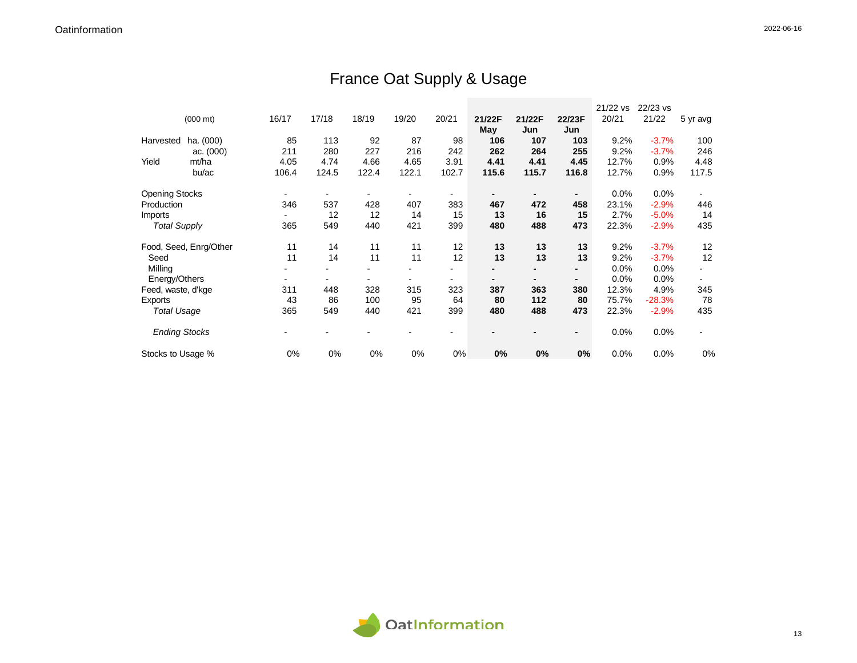## France Oat Supply & Usage

|                       |                        |       |                          |       |       |       |        |        |                          | 21/22 vs | 22/23 vs |          |
|-----------------------|------------------------|-------|--------------------------|-------|-------|-------|--------|--------|--------------------------|----------|----------|----------|
|                       | $(000 \text{ mt})$     | 16/17 | 17/18                    | 18/19 | 19/20 | 20/21 | 21/22F | 21/22F | 22/23F                   | 20/21    | 21/22    | 5 yr avg |
|                       |                        |       |                          |       |       |       | May    | Jun    | Jun                      |          |          |          |
| Harvested             | ha. (000)              | 85    | 113                      | 92    | 87    | 98    | 106    | 107    | 103                      | 9.2%     | $-3.7%$  | 100      |
|                       | ac. (000)              | 211   | 280                      | 227   | 216   | 242   | 262    | 264    | 255                      | 9.2%     | $-3.7%$  | 246      |
| Yield                 | mt/ha                  | 4.05  | 4.74                     | 4.66  | 4.65  | 3.91  | 4.41   | 4.41   | 4.45                     | 12.7%    | 0.9%     | 4.48     |
|                       | bu/ac                  | 106.4 | 124.5                    | 122.4 | 122.1 | 102.7 | 115.6  | 115.7  | 116.8                    | 12.7%    | 0.9%     | 117.5    |
| <b>Opening Stocks</b> |                        |       |                          |       |       | ۰     |        |        | $\overline{\phantom{a}}$ | 0.0%     | 0.0%     |          |
| Production            |                        | 346   | 537                      | 428   | 407   | 383   | 467    | 472    | 458                      | 23.1%    | $-2.9%$  | 446      |
| Imports               |                        |       | 12                       | 12    | 14    | 15    | 13     | 16     | 15                       | 2.7%     | $-5.0%$  | 14       |
| <b>Total Supply</b>   |                        | 365   | 549                      | 440   | 421   | 399   | 480    | 488    | 473                      | 22.3%    | $-2.9%$  | 435      |
|                       | Food, Seed, Enrg/Other | 11    | 14                       | 11    | 11    | 12    | 13     | 13     | 13                       | 9.2%     | $-3.7%$  | 12       |
| Seed                  |                        | 11    | 14                       | 11    | 11    | 12    | 13     | 13     | 13                       | 9.2%     | $-3.7%$  | 12       |
| Milling               |                        |       |                          |       |       |       |        |        | $\blacksquare$           | 0.0%     | 0.0%     |          |
| Energy/Others         |                        |       |                          |       |       |       |        |        |                          | 0.0%     | 0.0%     |          |
| Feed, waste, d'kge    |                        | 311   | 448                      | 328   | 315   | 323   | 387    | 363    | 380                      | 12.3%    | 4.9%     | 345      |
| Exports               |                        | 43    | 86                       | 100   | 95    | 64    | 80     | 112    | 80                       | 75.7%    | $-28.3%$ | 78       |
| <b>Total Usage</b>    |                        | 365   | 549                      | 440   | 421   | 399   | 480    | 488    | 473                      | 22.3%    | $-2.9%$  | 435      |
| <b>Ending Stocks</b>  |                        |       | $\overline{\phantom{a}}$ |       |       |       |        |        | $\blacksquare$           | 0.0%     | 0.0%     |          |
| Stocks to Usage %     |                        | 0%    | 0%                       | 0%    | 0%    | 0%    | 0%     | 0%     | 0%                       | 0.0%     | 0.0%     | 0%       |

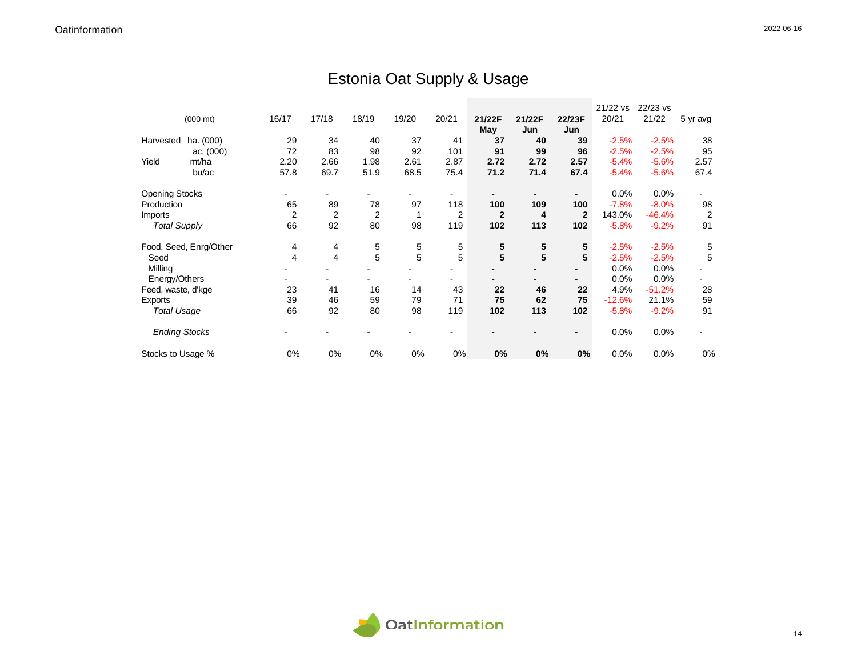## Estonia Oat Supply & Usage

|                       |                        |       |                |       |       |       |              |                         |                | 21/22 vs | 22/23 vs |                |
|-----------------------|------------------------|-------|----------------|-------|-------|-------|--------------|-------------------------|----------------|----------|----------|----------------|
|                       | $(000 \text{ mt})$     | 16/17 | 17/18          | 18/19 | 19/20 | 20/21 | 21/22F       | 21/22F                  | 22/23F         | 20/21    | 21/22    | 5 yr avg       |
|                       |                        |       |                |       |       |       | May          | Jun                     | Jun            |          |          |                |
| Harvested             | ha. (000)              | 29    | 34             | 40    | 37    | 41    | 37           | 40                      | 39             | $-2.5%$  | $-2.5%$  | 38             |
|                       | ac. (000)              | 72    | 83             | 98    | 92    | 101   | 91           | 99                      | 96             | $-2.5%$  | $-2.5%$  | 95             |
| Yield                 | mt/ha                  | 2.20  | 2.66           | 1.98  | 2.61  | 2.87  | 2.72         | 2.72                    | 2.57           | $-5.4%$  | $-5.6%$  | 2.57           |
|                       | bu/ac                  | 57.8  | 69.7           | 51.9  | 68.5  | 75.4  | 71.2         | 71.4                    | 67.4           | $-5.4%$  | $-5.6%$  | 67.4           |
| <b>Opening Stocks</b> |                        |       |                |       |       |       |              |                         | ٠              | 0.0%     | 0.0%     |                |
| Production            |                        | 65    | 89             | 78    | 97    | 118   | 100          | 109                     | 100            | $-7.8%$  | $-8.0%$  | 98             |
| Imports               |                        | 2     | 2              | 2     |       | 2     | $\mathbf{2}$ | 4                       | $\mathbf{2}$   | 143.0%   | $-46.4%$ | $\overline{c}$ |
| <b>Total Supply</b>   |                        | 66    | 92             | 80    | 98    | 119   | 102          | 113                     | 102            | $-5.8%$  | $-9.2%$  | 91             |
|                       |                        |       |                |       |       |       |              |                         |                |          |          |                |
|                       | Food, Seed, Enrg/Other | 4     | 4              | 5     | 5     | 5     | 5            | 5                       | 5              | $-2.5%$  | $-2.5%$  | 5              |
| Seed                  |                        | 4     | $\overline{4}$ | 5     | 5     | 5     | 5            | $\overline{\mathbf{5}}$ | 5              | $-2.5%$  | $-2.5%$  | 5              |
| Milling               |                        |       |                |       |       |       |              |                         |                | 0.0%     | 0.0%     |                |
| Energy/Others         |                        |       |                |       |       | -     |              |                         |                | 0.0%     | 0.0%     |                |
| Feed, waste, d'kge    |                        | 23    | 41             | 16    | 14    | 43    | 22           | 46                      | 22             | 4.9%     | $-51.2%$ | 28             |
| Exports               |                        | 39    | 46             | 59    | 79    | 71    | 75           | 62                      | 75             | $-12.6%$ | 21.1%    | 59             |
| <b>Total Usage</b>    |                        | 66    | 92             | 80    | 98    | 119   | 102          | 113                     | 102            | $-5.8%$  | $-9.2%$  | 91             |
| <b>Ending Stocks</b>  |                        |       |                |       |       |       |              |                         | $\blacksquare$ | 0.0%     | 0.0%     |                |
| Stocks to Usage %     |                        | 0%    | 0%             | 0%    | 0%    | 0%    | 0%           | 0%                      | 0%             | 0.0%     | 0.0%     | 0%             |

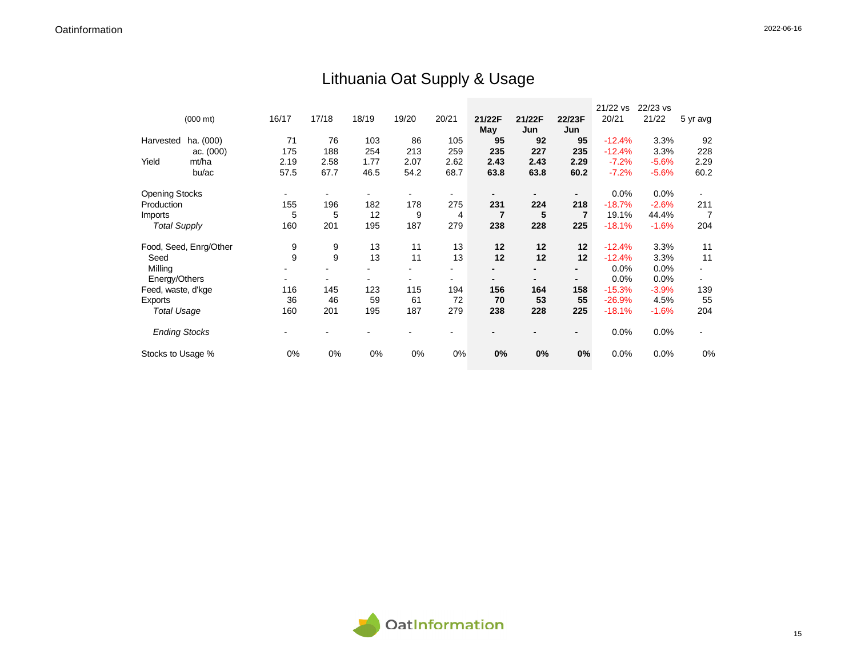## Lithuania Oat Supply & Usage

|                       |                        |       |       |       |       |                          |                |        |                | 21/22 vs | 22/23 vs |          |
|-----------------------|------------------------|-------|-------|-------|-------|--------------------------|----------------|--------|----------------|----------|----------|----------|
|                       | $(000 \text{ mt})$     | 16/17 | 17/18 | 18/19 | 19/20 | 20/21                    | 21/22F         | 21/22F | 22/23F         | 20/21    | 21/22    | 5 yr avg |
|                       |                        |       |       |       |       |                          | May            | Jun    | Jun            |          |          |          |
| Harvested             | ha. (000)              | 71    | 76    | 103   | 86    | 105                      | 95             | 92     | 95             | $-12.4%$ | 3.3%     | 92       |
|                       | ac. $(000)$            | 175   | 188   | 254   | 213   | 259                      | 235            | 227    | 235            | $-12.4%$ | 3.3%     | 228      |
| Yield                 | mt/ha                  | 2.19  | 2.58  | 1.77  | 2.07  | 2.62                     | 2.43           | 2.43   | 2.29           | $-7.2%$  | $-5.6%$  | 2.29     |
|                       | bu/ac                  | 57.5  | 67.7  | 46.5  | 54.2  | 68.7                     | 63.8           | 63.8   | 60.2           | $-7.2%$  | $-5.6%$  | 60.2     |
| <b>Opening Stocks</b> |                        |       |       |       |       |                          |                |        | $\blacksquare$ | 0.0%     | 0.0%     |          |
| Production            |                        | 155   | 196   | 182   | 178   | 275                      | 231            | 224    | 218            | $-18.7%$ | $-2.6%$  | 211      |
| <i>Imports</i>        |                        | 5     | 5     | 12    | 9     | 4                        | $\overline{7}$ | 5      | $\overline{7}$ | 19.1%    | 44.4%    | 7        |
| <b>Total Supply</b>   |                        | 160   | 201   | 195   | 187   | 279                      | 238            | 228    | 225            | $-18.1%$ | $-1.6%$  | 204      |
|                       | Food, Seed, Enrg/Other | 9     | 9     | 13    | 11    | 13                       | 12             | 12     | 12             | $-12.4%$ | 3.3%     | 11       |
| Seed                  |                        | 9     | 9     | 13    | 11    | 13                       | 12             | 12     | 12             | $-12.4%$ | 3.3%     | 11       |
| Milling               |                        |       |       |       |       | $\blacksquare$           |                |        | $\blacksquare$ | 0.0%     | 0.0%     | $\sim$   |
| Energy/Others         |                        |       |       |       |       | $\overline{\phantom{a}}$ |                |        | $\blacksquare$ | 0.0%     | $0.0\%$  | $\sim$   |
| Feed, waste, d'kge    |                        | 116   | 145   | 123   | 115   | 194                      | 156            | 164    | 158            | $-15.3%$ | $-3.9%$  | 139      |
| Exports               |                        | 36    | 46    | 59    | 61    | 72                       | 70             | 53     | 55             | $-26.9%$ | 4.5%     | 55       |
| <b>Total Usage</b>    |                        | 160   | 201   | 195   | 187   | 279                      | 238            | 228    | 225            | $-18.1%$ | $-1.6%$  | 204      |
| <b>Ending Stocks</b>  |                        |       |       |       |       |                          |                |        | $\blacksquare$ | 0.0%     | 0.0%     |          |
| Stocks to Usage %     |                        | 0%    | 0%    | 0%    | 0%    | 0%                       | 0%             | 0%     | 0%             | 0.0%     | 0.0%     | 0%       |

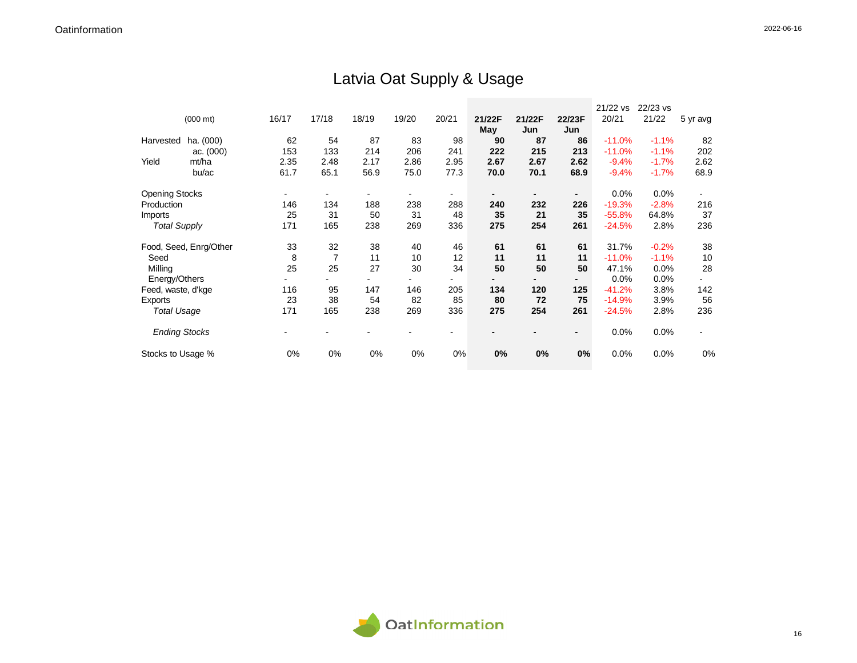## Latvia Oat Supply & Usage

|                       |                        |       |       |       |       |                |        |        |                | 21/22 vs | 22/23 vs |          |
|-----------------------|------------------------|-------|-------|-------|-------|----------------|--------|--------|----------------|----------|----------|----------|
|                       | $(000 \text{ mt})$     | 16/17 | 17/18 | 18/19 | 19/20 | 20/21          | 21/22F | 21/22F | 22/23F         | 20/21    | 21/22    | 5 yr avg |
|                       |                        |       |       |       |       |                | May    | Jun    | Jun            |          |          |          |
| Harvested             | ha. (000)              | 62    | 54    | 87    | 83    | 98             | 90     | 87     | 86             | $-11.0%$ | $-1.1%$  | 82       |
|                       | ac. (000)              | 153   | 133   | 214   | 206   | 241            | 222    | 215    | 213            | $-11.0%$ | $-1.1%$  | 202      |
| Yield                 | mt/ha                  | 2.35  | 2.48  | 2.17  | 2.86  | 2.95           | 2.67   | 2.67   | 2.62           | $-9.4%$  | $-1.7%$  | 2.62     |
|                       | bu/ac                  | 61.7  | 65.1  | 56.9  | 75.0  | 77.3           | 70.0   | 70.1   | 68.9           | $-9.4%$  | $-1.7%$  | 68.9     |
| <b>Opening Stocks</b> |                        |       |       |       |       | $\blacksquare$ |        |        | ٠              | 0.0%     | 0.0%     |          |
| Production            |                        | 146   | 134   | 188   | 238   | 288            | 240    | 232    | 226            | $-19.3%$ | $-2.8%$  | 216      |
| <b>Imports</b>        |                        | 25    | 31    | 50    | 31    | 48             | 35     | 21     | 35             | $-55.8%$ | 64.8%    | 37       |
| <b>Total Supply</b>   |                        | 171   | 165   | 238   | 269   | 336            | 275    | 254    | 261            | $-24.5%$ | 2.8%     | 236      |
|                       | Food, Seed, Enrg/Other | 33    | 32    | 38    | 40    | 46             | 61     | 61     | 61             | 31.7%    | $-0.2%$  | 38       |
| Seed                  |                        | 8     | 7     | 11    | 10    | 12             | 11     | 11     | 11             | $-11.0%$ | $-1.1%$  | 10       |
| Milling               |                        | 25    | 25    | 27    | 30    | 34             | 50     | 50     | 50             | 47.1%    | 0.0%     | 28       |
| Energy/Others         |                        |       |       |       |       | ۰              |        | -      | $\blacksquare$ | 0.0%     | $0.0\%$  | ۰        |
| Feed, waste, d'kge    |                        | 116   | 95    | 147   | 146   | 205            | 134    | 120    | 125            | $-41.2%$ | 3.8%     | 142      |
| Exports               |                        | 23    | 38    | 54    | 82    | 85             | 80     | 72     | 75             | $-14.9%$ | 3.9%     | 56       |
| <b>Total Usage</b>    |                        | 171   | 165   | 238   | 269   | 336            | 275    | 254    | 261            | $-24.5%$ | 2.8%     | 236      |
| <b>Ending Stocks</b>  |                        |       |       |       |       | ۰              |        |        | $\blacksquare$ | 0.0%     | 0.0%     |          |
| Stocks to Usage %     |                        | 0%    | 0%    | 0%    | 0%    | 0%             | 0%     | 0%     | 0%             | 0.0%     | 0.0%     | 0%       |

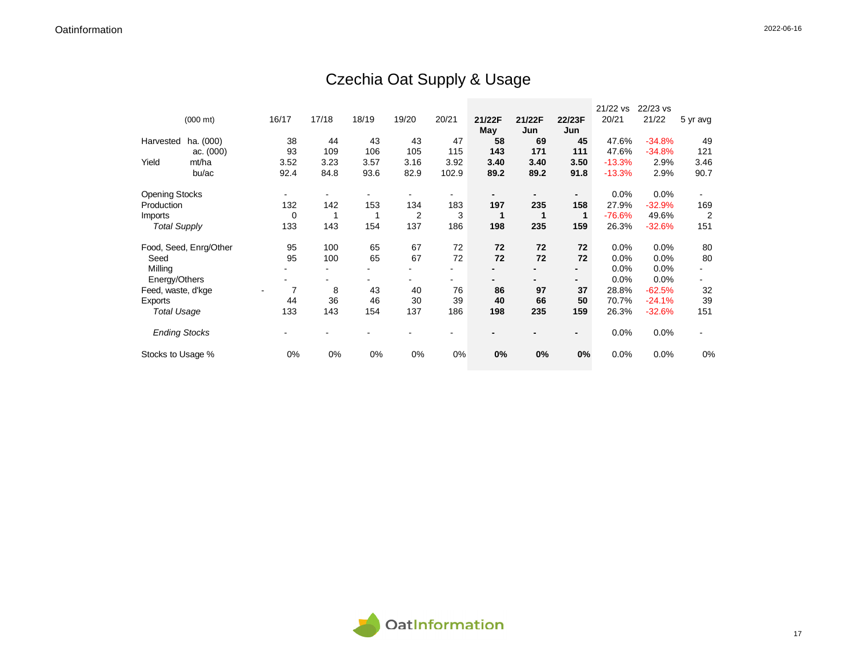## Czechia Oat Supply & Usage

|                       |                        |             |       |       |                |       |        |        |                | 21/22 vs | 22/23 vs |                |
|-----------------------|------------------------|-------------|-------|-------|----------------|-------|--------|--------|----------------|----------|----------|----------------|
|                       | $(000 \text{ mt})$     | 16/17       | 17/18 | 18/19 | 19/20          | 20/21 | 21/22F | 21/22F | 22/23F         | 20/21    | 21/22    | 5 yr avg       |
|                       |                        |             |       |       |                |       | May    | Jun    | Jun            |          |          |                |
| Harvested             | ha. (000)              | 38          | 44    | 43    | 43             | 47    | 58     | 69     | 45             | 47.6%    | $-34.8%$ | 49             |
|                       | ac. $(000)$            | 93          | 109   | 106   | 105            | 115   | 143    | 171    | 111            | 47.6%    | $-34.8%$ | 121            |
| Yield                 | mt/ha                  | 3.52        | 3.23  | 3.57  | 3.16           | 3.92  | 3.40   | 3.40   | 3.50           | $-13.3%$ | 2.9%     | 3.46           |
|                       | bu/ac                  | 92.4        | 84.8  | 93.6  | 82.9           | 102.9 | 89.2   | 89.2   | 91.8           | $-13.3%$ | 2.9%     | 90.7           |
| <b>Opening Stocks</b> |                        |             |       |       |                | -     |        |        | $\blacksquare$ | 0.0%     | 0.0%     |                |
| Production            |                        | 132         | 142   | 153   | 134            | 183   | 197    | 235    | 158            | 27.9%    | $-32.9%$ | 169            |
| <b>Imports</b>        |                        | $\mathbf 0$ |       |       | $\overline{2}$ | 3     |        |        | $\mathbf 1$    | $-76.6%$ | 49.6%    | $\overline{2}$ |
| <b>Total Supply</b>   |                        | 133         | 143   | 154   | 137            | 186   | 198    | 235    | 159            | 26.3%    | $-32.6%$ | 151            |
|                       | Food, Seed, Enrg/Other | 95          | 100   | 65    | 67             | 72    | 72     | 72     | 72             | 0.0%     | 0.0%     | 80             |
| Seed                  |                        | 95          | 100   | 65    | 67             | 72    | 72     | 72     | 72             | 0.0%     | 0.0%     | 80             |
| Milling               |                        |             |       |       |                |       |        |        | $\blacksquare$ | 0.0%     | 0.0%     |                |
| Energy/Others         |                        |             |       |       |                |       |        |        | -              | 0.0%     | 0.0%     |                |
| Feed, waste, d'kge    |                        | 7           | 8     | 43    | 40             | 76    | 86     | 97     | 37             | 28.8%    | $-62.5%$ | 32             |
| Exports               |                        | 44          | 36    | 46    | 30             | 39    | 40     | 66     | 50             | 70.7%    | $-24.1%$ | 39             |
| <b>Total Usage</b>    |                        | 133         | 143   | 154   | 137            | 186   | 198    | 235    | 159            | 26.3%    | $-32.6%$ | 151            |
| <b>Ending Stocks</b>  |                        |             |       |       |                |       |        |        | $\blacksquare$ | 0.0%     | 0.0%     |                |
| Stocks to Usage %     |                        | 0%          | 0%    | 0%    | 0%             | 0%    | 0%     | 0%     | $0\%$          | 0.0%     | 0.0%     | 0%             |

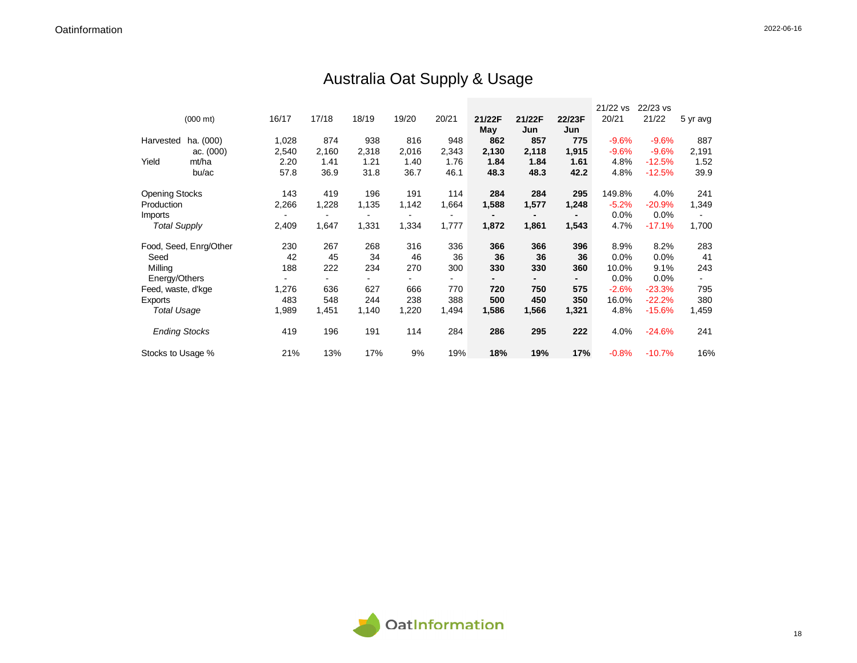## Australia Oat Supply & Usage

|                       |                        |       |       |       |                          |       |        |                |        | 21/22 vs | 22/23 vs |          |
|-----------------------|------------------------|-------|-------|-------|--------------------------|-------|--------|----------------|--------|----------|----------|----------|
|                       | $(000 \text{ mt})$     | 16/17 | 17/18 | 18/19 | 19/20                    | 20/21 | 21/22F | 21/22F         | 22/23F | 20/21    | 21/22    | 5 yr avg |
|                       |                        |       |       |       |                          |       | May    | Jun            | Jun    |          |          |          |
| Harvested             | ha. (000)              | 1,028 | 874   | 938   | 816                      | 948   | 862    | 857            | 775    | $-9.6%$  | $-9.6%$  | 887      |
|                       | ac. $(000)$            | 2,540 | 2,160 | 2,318 | 2,016                    | 2,343 | 2,130  | 2,118          | 1,915  | $-9.6%$  | $-9.6%$  | 2,191    |
| Yield                 | mt/ha                  | 2.20  | 1.41  | 1.21  | 1.40                     | 1.76  | 1.84   | 1.84           | 1.61   | 4.8%     | $-12.5%$ | 1.52     |
|                       | bu/ac                  | 57.8  | 36.9  | 31.8  | 36.7                     | 46.1  | 48.3   | 48.3           | 42.2   | 4.8%     | $-12.5%$ | 39.9     |
| <b>Opening Stocks</b> |                        | 143   | 419   | 196   | 191                      | 114   | 284    | 284            | 295    | 149.8%   | 4.0%     | 241      |
| Production            |                        | 2,266 | 1,228 | 1,135 | 1,142                    | 1,664 | 1,588  | 1,577          | 1,248  | $-5.2%$  | $-20.9%$ | 1,349    |
| Imports               |                        |       | ۰     |       | $\overline{\phantom{a}}$ | ۰     |        | $\blacksquare$ | ٠      | 0.0%     | 0.0%     |          |
| <b>Total Supply</b>   |                        | 2,409 | 1,647 | 1,331 | 1,334                    | 1,777 | 1,872  | 1,861          | 1,543  | 4.7%     | $-17.1%$ | 1,700    |
|                       | Food, Seed, Enrg/Other | 230   | 267   | 268   | 316                      | 336   | 366    | 366            | 396    | 8.9%     | 8.2%     | 283      |
| Seed                  |                        | 42    | 45    | 34    | 46                       | 36    | 36     | 36             | 36     | 0.0%     | 0.0%     | 41       |
| Milling               |                        | 188   | 222   | 234   | 270                      | 300   | 330    | 330            | 360    | 10.0%    | 9.1%     | 243      |
| Energy/Others         |                        |       |       |       |                          |       |        |                |        | 0.0%     | 0.0%     |          |
| Feed, waste, d'kge    |                        | 1,276 | 636   | 627   | 666                      | 770   | 720    | 750            | 575    | $-2.6%$  | $-23.3%$ | 795      |
| Exports               |                        | 483   | 548   | 244   | 238                      | 388   | 500    | 450            | 350    | 16.0%    | $-22.2%$ | 380      |
| <b>Total Usage</b>    |                        | 1,989 | 1,451 | 1,140 | 1,220                    | 1,494 | 1,586  | 1,566          | 1,321  | 4.8%     | $-15.6%$ | 1,459    |
| <b>Ending Stocks</b>  |                        | 419   | 196   | 191   | 114                      | 284   | 286    | 295            | 222    | 4.0%     | $-24.6%$ | 241      |
| Stocks to Usage %     |                        | 21%   | 13%   | 17%   | 9%                       | 19%   | 18%    | 19%            | 17%    | $-0.8%$  | $-10.7%$ | 16%      |

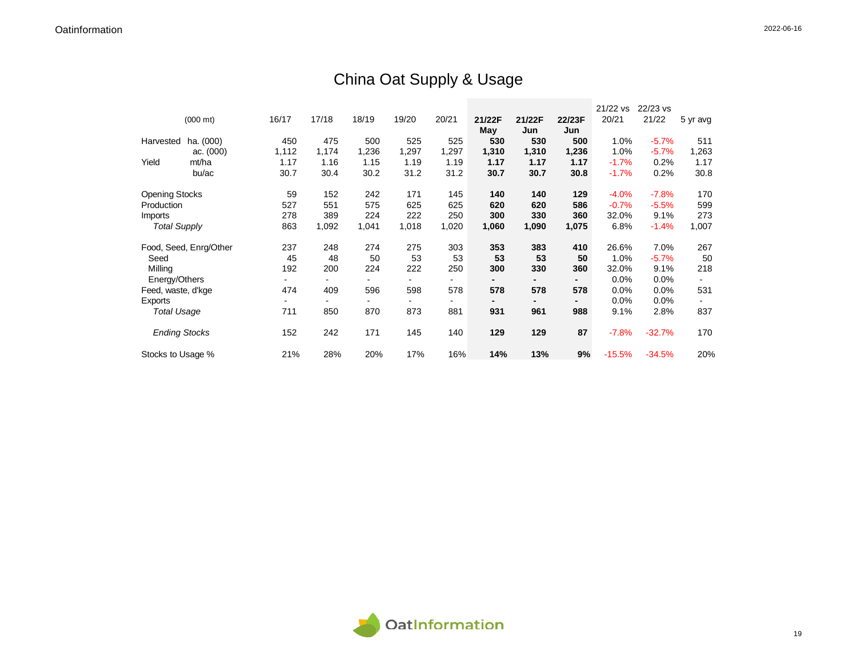## China Oat Supply & Usage

|                       |                        |       |       |       |       |       |        |        |        | 21/22 vs | 22/23 vs |          |
|-----------------------|------------------------|-------|-------|-------|-------|-------|--------|--------|--------|----------|----------|----------|
|                       | $(000 \text{ mt})$     | 16/17 | 17/18 | 18/19 | 19/20 | 20/21 | 21/22F | 21/22F | 22/23F | 20/21    | 21/22    | 5 yr avg |
|                       |                        |       |       |       |       |       | May    | Jun    | Jun    |          |          |          |
| Harvested             | ha. (000)              | 450   | 475   | 500   | 525   | 525   | 530    | 530    | 500    | 1.0%     | $-5.7%$  | 511      |
|                       | ac. (000)              | 1,112 | 1,174 | 1,236 | 1,297 | 1,297 | 1,310  | 1,310  | 1,236  | 1.0%     | $-5.7%$  | 1,263    |
| Yield                 | mt/ha                  | 1.17  | 1.16  | 1.15  | 1.19  | 1.19  | 1.17   | 1.17   | 1.17   | $-1.7%$  | 0.2%     | 1.17     |
|                       | bu/ac                  | 30.7  | 30.4  | 30.2  | 31.2  | 31.2  | 30.7   | 30.7   | 30.8   | $-1.7%$  | 0.2%     | 30.8     |
| <b>Opening Stocks</b> |                        | 59    | 152   | 242   | 171   | 145   | 140    | 140    | 129    | $-4.0%$  | $-7.8%$  | 170      |
| Production            |                        | 527   | 551   | 575   | 625   | 625   | 620    | 620    | 586    | $-0.7%$  | $-5.5%$  | 599      |
| Imports               |                        | 278   | 389   | 224   | 222   | 250   | 300    | 330    | 360    | 32.0%    | 9.1%     | 273      |
| <b>Total Supply</b>   |                        | 863   | 1,092 | 1,041 | 1,018 | 1,020 | 1,060  | 1,090  | 1,075  | 6.8%     | $-1.4%$  | 1,007    |
|                       | Food, Seed, Enrg/Other | 237   | 248   | 274   | 275   | 303   | 353    | 383    | 410    | 26.6%    | 7.0%     | 267      |
| Seed                  |                        | 45    | 48    | 50    | 53    | 53    | 53     | 53     | 50     | 1.0%     | $-5.7%$  | 50       |
| Milling               |                        | 192   | 200   | 224   | 222   | 250   | 300    | 330    | 360    | 32.0%    | 9.1%     | 218      |
| Energy/Others         |                        |       |       |       |       |       |        |        |        | 0.0%     | 0.0%     |          |
| Feed, waste, d'kge    |                        | 474   | 409   | 596   | 598   | 578   | 578    | 578    | 578    | 0.0%     | 0.0%     | 531      |
| Exports               |                        |       |       |       |       |       |        |        |        | 0.0%     | 0.0%     |          |
| <b>Total Usage</b>    |                        | 711   | 850   | 870   | 873   | 881   | 931    | 961    | 988    | 9.1%     | 2.8%     | 837      |
| <b>Ending Stocks</b>  |                        | 152   | 242   | 171   | 145   | 140   | 129    | 129    | 87     | $-7.8%$  | $-32.7%$ | 170      |
| Stocks to Usage %     |                        | 21%   | 28%   | 20%   | 17%   | 16%   | 14%    | 13%    | 9%     | $-15.5%$ | $-34.5%$ | 20%      |

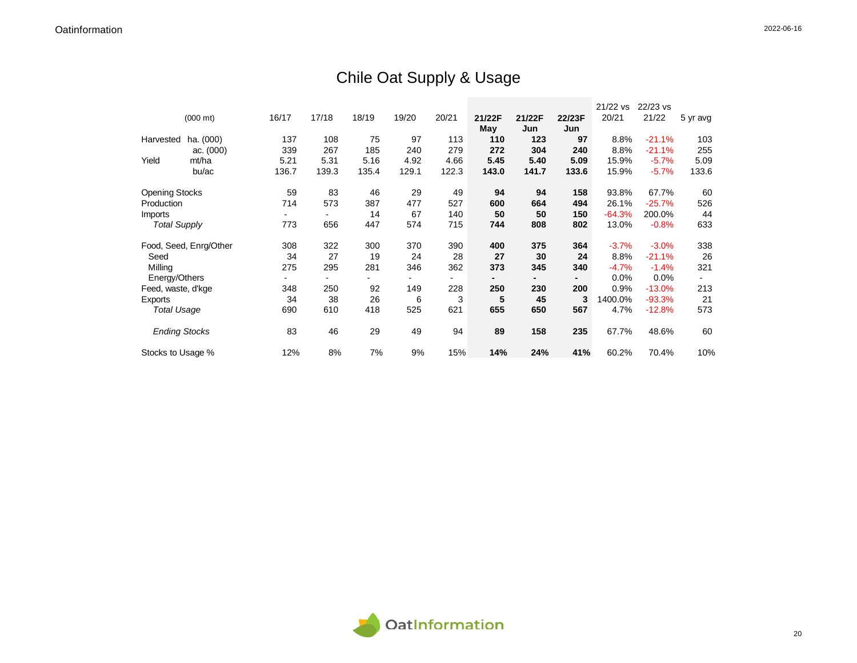## Chile Oat Supply & Usage

|                       |                        |       |       |       |       |       |        |        |        | 21/22 vs | 22/23 vs |          |
|-----------------------|------------------------|-------|-------|-------|-------|-------|--------|--------|--------|----------|----------|----------|
|                       | $(000 \text{ mt})$     | 16/17 | 17/18 | 18/19 | 19/20 | 20/21 | 21/22F | 21/22F | 22/23F | 20/21    | 21/22    | 5 yr avg |
|                       |                        |       |       |       |       |       | May    | Jun    | Jun    |          |          |          |
| Harvested             | ha. (000)              | 137   | 108   | 75    | 97    | 113   | 110    | 123    | 97     | 8.8%     | $-21.1%$ | 103      |
|                       | ac. (000)              | 339   | 267   | 185   | 240   | 279   | 272    | 304    | 240    | 8.8%     | $-21.1%$ | 255      |
| Yield                 | mt/ha                  | 5.21  | 5.31  | 5.16  | 4.92  | 4.66  | 5.45   | 5.40   | 5.09   | 15.9%    | $-5.7%$  | 5.09     |
|                       | bu/ac                  | 136.7 | 139.3 | 135.4 | 129.1 | 122.3 | 143.0  | 141.7  | 133.6  | 15.9%    | $-5.7%$  | 133.6    |
| <b>Opening Stocks</b> |                        | 59    | 83    | 46    | 29    | 49    | 94     | 94     | 158    | 93.8%    | 67.7%    | 60       |
| Production            |                        | 714   | 573   | 387   | 477   | 527   | 600    | 664    | 494    | 26.1%    | $-25.7%$ | 526      |
| Imports               |                        |       |       | 14    | 67    | 140   | 50     | 50     | 150    | $-64.3%$ | 200.0%   | 44       |
| <b>Total Supply</b>   |                        | 773   | 656   | 447   | 574   | 715   | 744    | 808    | 802    | 13.0%    | $-0.8%$  | 633      |
|                       | Food, Seed, Enrg/Other | 308   | 322   | 300   | 370   | 390   | 400    | 375    | 364    | $-3.7%$  | $-3.0%$  | 338      |
| Seed                  |                        | 34    | 27    | 19    | 24    | 28    | 27     | 30     | 24     | 8.8%     | $-21.1%$ | 26       |
| Milling               |                        | 275   | 295   | 281   | 346   | 362   | 373    | 345    | 340    | $-4.7%$  | $-1.4%$  | 321      |
| Energy/Others         |                        |       |       |       |       |       |        |        |        | 0.0%     | 0.0%     |          |
| Feed, waste, d'kge    |                        | 348   | 250   | 92    | 149   | 228   | 250    | 230    | 200    | 0.9%     | $-13.0%$ | 213      |
| Exports               |                        | 34    | 38    | 26    | 6     | 3     | 5      | 45     | 3      | 1400.0%  | $-93.3%$ | 21       |
| <b>Total Usage</b>    |                        | 690   | 610   | 418   | 525   | 621   | 655    | 650    | 567    | 4.7%     | $-12.8%$ | 573      |
| <b>Ending Stocks</b>  |                        | 83    | 46    | 29    | 49    | 94    | 89     | 158    | 235    | 67.7%    | 48.6%    | 60       |
| Stocks to Usage %     |                        | 12%   | 8%    | 7%    | 9%    | 15%   | 14%    | 24%    | 41%    | 60.2%    | 70.4%    | 10%      |

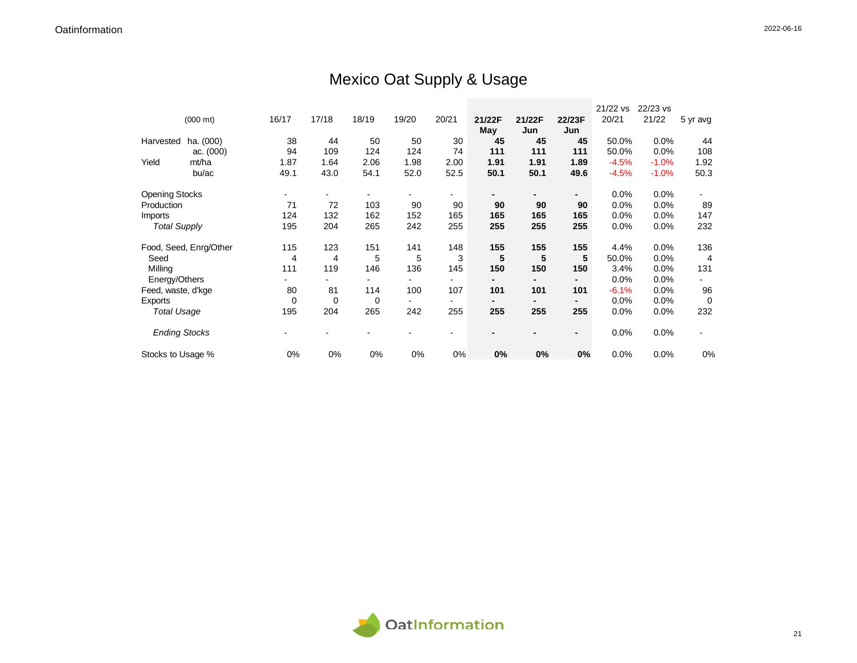## Mexico Oat Supply & Usage

|                       |                        |          |       |             |       |       |               |               |                | 21/22 vs | 22/23 vs |          |
|-----------------------|------------------------|----------|-------|-------------|-------|-------|---------------|---------------|----------------|----------|----------|----------|
|                       | $(000 \text{ mt})$     | 16/17    | 17/18 | 18/19       | 19/20 | 20/21 | 21/22F<br>May | 21/22F<br>Jun | 22/23F<br>Jun  | 20/21    | 21/22    | 5 yr avg |
| Harvested             | ha. (000)              | 38       | 44    | 50          | 50    | 30    | 45            | 45            | 45             | 50.0%    | 0.0%     | 44       |
|                       | ac. $(000)$            | 94       | 109   | 124         | 124   | 74    | 111           | 111           | 111            | 50.0%    | 0.0%     | 108      |
| Yield                 | mt/ha                  | 1.87     | 1.64  | 2.06        | 1.98  | 2.00  | 1.91          | 1.91          | 1.89           | $-4.5%$  | $-1.0%$  | 1.92     |
|                       | bu/ac                  | 49.1     | 43.0  | 54.1        | 52.0  | 52.5  | 50.1          | 50.1          | 49.6           | $-4.5%$  | $-1.0%$  | 50.3     |
| <b>Opening Stocks</b> |                        |          |       |             |       |       |               |               | $\blacksquare$ | 0.0%     | 0.0%     |          |
| Production            |                        | 71       | 72    | 103         | 90    | 90    | 90            | 90            | 90             | 0.0%     | 0.0%     | 89       |
| Imports               |                        | 124      | 132   | 162         | 152   | 165   | 165           | 165           | 165            | 0.0%     | 0.0%     | 147      |
| <b>Total Supply</b>   |                        | 195      | 204   | 265         | 242   | 255   | 255           | 255           | 255            | 0.0%     | $0.0\%$  | 232      |
|                       | Food, Seed, Enrg/Other | 115      | 123   | 151         | 141   | 148   | 155           | 155           | 155            | 4.4%     | 0.0%     | 136      |
| Seed                  |                        | 4        | 4     | 5           | 5     | 3     | 5             | 5             | 5              | 50.0%    | 0.0%     | 4        |
| Milling               |                        | 111      | 119   | 146         | 136   | 145   | 150           | 150           | 150            | 3.4%     | 0.0%     | 131      |
| Energy/Others         |                        |          |       |             |       |       |               |               |                | 0.0%     | $0.0\%$  |          |
| Feed, waste, d'kge    |                        | 80       | 81    | 114         | 100   | 107   | 101           | 101           | 101            | $-6.1%$  | $0.0\%$  | 96       |
| Exports               |                        | $\Omega$ | 0     | $\mathbf 0$ |       |       |               |               |                | 0.0%     | 0.0%     | $\Omega$ |
| <b>Total Usage</b>    |                        | 195      | 204   | 265         | 242   | 255   | 255           | 255           | 255            | 0.0%     | 0.0%     | 232      |
| <b>Ending Stocks</b>  |                        |          |       |             |       | ۰     |               |               | $\blacksquare$ | 0.0%     | 0.0%     |          |
| Stocks to Usage %     |                        | 0%       | 0%    | 0%          | 0%    | 0%    | 0%            | 0%            | 0%             | 0.0%     | 0.0%     | 0%       |

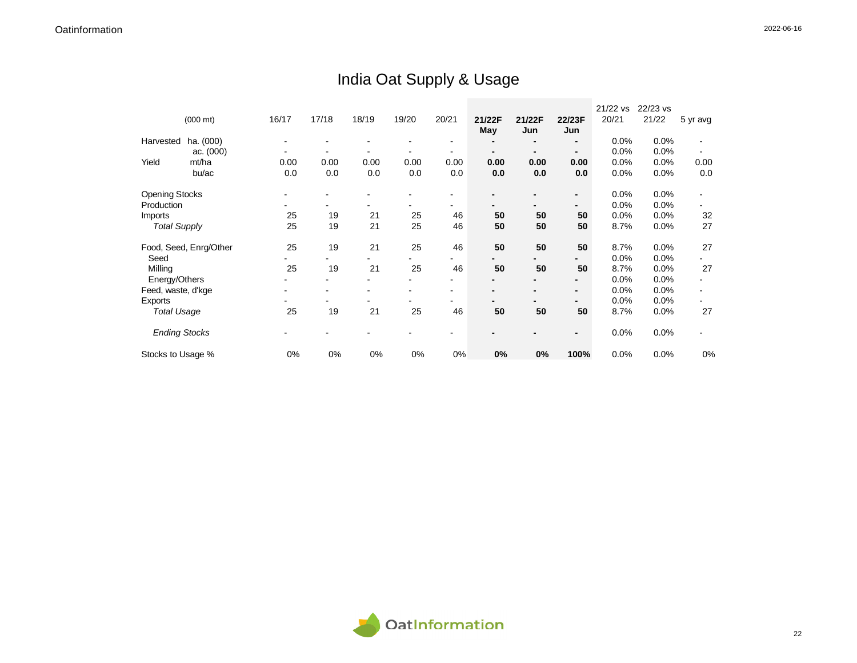## India Oat Supply & Usage

|                       |                        |       |       |       |       |       |        |        |                | 21/22 vs | 22/23 vs |          |
|-----------------------|------------------------|-------|-------|-------|-------|-------|--------|--------|----------------|----------|----------|----------|
|                       | $(000 \text{ mt})$     | 16/17 | 17/18 | 18/19 | 19/20 | 20/21 | 21/22F | 21/22F | 22/23F         | 20/21    | 21/22    | 5 yr avg |
|                       |                        |       |       |       |       |       | May    | Jun    | Jun            |          |          |          |
| Harvested             | ha. (000)              |       |       |       |       |       |        | -      | $\blacksquare$ | 0.0%     | 0.0%     |          |
|                       | ac. (000)              |       |       |       |       |       |        | -      | $\blacksquare$ | 0.0%     | 0.0%     |          |
| Yield                 | mt/ha                  | 0.00  | 0.00  | 0.00  | 0.00  | 0.00  | 0.00   | 0.00   | 0.00           | 0.0%     | 0.0%     | 0.00     |
|                       | bu/ac                  | 0.0   | 0.0   | 0.0   | 0.0   | 0.0   | 0.0    | 0.0    | 0.0            | 0.0%     | 0.0%     | 0.0      |
|                       |                        |       |       |       |       |       |        |        |                |          |          |          |
| <b>Opening Stocks</b> |                        |       |       |       |       |       |        |        | $\blacksquare$ | 0.0%     | 0.0%     |          |
| Production            |                        |       |       |       |       |       |        |        | $\blacksquare$ | 0.0%     | 0.0%     |          |
| Imports               |                        | 25    | 19    | 21    | 25    | 46    | 50     | 50     | 50             | 0.0%     | 0.0%     | 32       |
| <b>Total Supply</b>   |                        | 25    | 19    | 21    | 25    | 46    | 50     | 50     | 50             | 8.7%     | 0.0%     | 27       |
|                       |                        |       |       |       |       |       |        |        |                |          |          |          |
|                       | Food, Seed, Enrg/Other | 25    | 19    | 21    | 25    | 46    | 50     | 50     | 50             | 8.7%     | 0.0%     | 27       |
| Seed                  |                        |       |       |       |       | -     |        |        | -              | 0.0%     | 0.0%     |          |
| Milling               |                        | 25    | 19    | 21    | 25    | 46    | 50     | 50     | 50             | 8.7%     | 0.0%     | 27       |
| Energy/Others         |                        |       |       |       |       | ۰     |        |        |                | 0.0%     | 0.0%     |          |
| Feed, waste, d'kge    |                        |       |       |       |       | ۰     |        |        | $\blacksquare$ | 0.0%     | 0.0%     |          |
| Exports               |                        |       |       |       |       |       |        |        |                | 0.0%     | 0.0%     |          |
| <b>Total Usage</b>    |                        | 25    | 19    | 21    | 25    | 46    | 50     | 50     | 50             | 8.7%     | 0.0%     | 27       |
|                       |                        |       |       |       |       |       |        |        |                |          |          |          |
| <b>Ending Stocks</b>  |                        |       |       |       |       |       |        |        | $\blacksquare$ | 0.0%     | 0.0%     |          |
| Stocks to Usage %     |                        | 0%    | 0%    | 0%    | 0%    | 0%    | 0%     | 0%     | 100%           | 0.0%     | 0.0%     | 0%       |

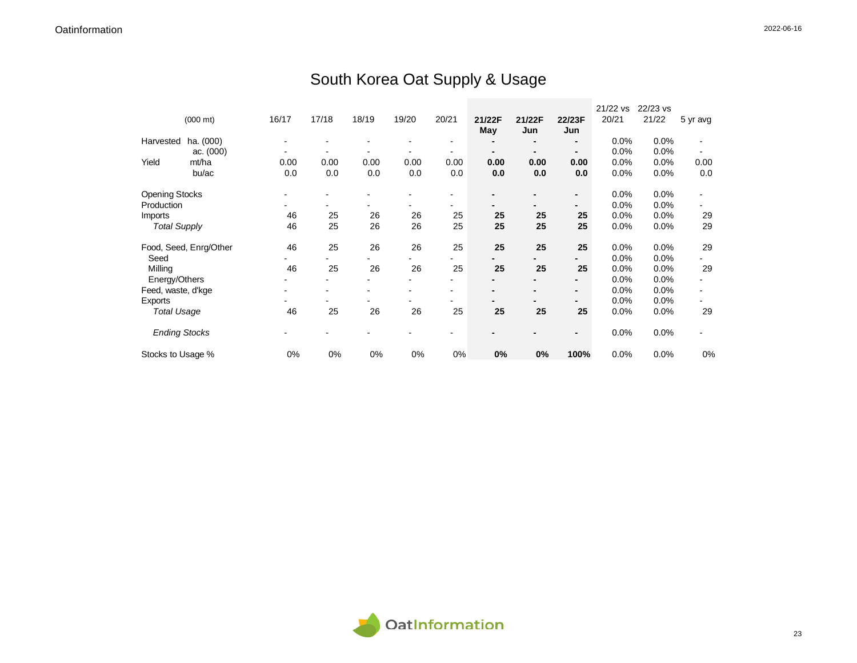## South Korea Oat Supply & Usage

|                       |                        |       |       |       |       |                |        |        |                | 21/22 vs | 22/23 vs |          |
|-----------------------|------------------------|-------|-------|-------|-------|----------------|--------|--------|----------------|----------|----------|----------|
|                       | $(000 \text{ mt})$     | 16/17 | 17/18 | 18/19 | 19/20 | 20/21          | 21/22F | 21/22F | 22/23F         | 20/21    | 21/22    | 5 yr avg |
|                       |                        |       |       |       |       |                | May    | Jun    | Jun            |          |          |          |
| Harvested             | ha. (000)              |       |       |       |       |                |        | -      | $\blacksquare$ | 0.0%     | 0.0%     |          |
|                       | ac. $(000)$            |       |       |       |       |                |        |        | $\blacksquare$ | 0.0%     | 0.0%     |          |
| Yield                 | mt/ha                  | 0.00  | 0.00  | 0.00  | 0.00  | 0.00           | 0.00   | 0.00   | 0.00           | 0.0%     | 0.0%     | 0.00     |
|                       | bu/ac                  | 0.0   | 0.0   | 0.0   | 0.0   | 0.0            | 0.0    | 0.0    | 0.0            | 0.0%     | 0.0%     | 0.0      |
| <b>Opening Stocks</b> |                        |       |       |       |       |                |        |        | $\blacksquare$ | 0.0%     | 0.0%     |          |
| Production            |                        |       |       |       |       |                |        |        | -              | 0.0%     | 0.0%     |          |
| Imports               |                        | 46    | 25    | 26    | 26    | 25             | 25     | 25     | 25             | 0.0%     | 0.0%     | 29       |
| <b>Total Supply</b>   |                        | 46    | 25    | 26    | 26    | 25             | 25     | 25     | 25             | 0.0%     | 0.0%     | 29       |
|                       | Food, Seed, Enrg/Other | 46    | 25    | 26    | 26    | 25             | 25     | 25     | 25             | 0.0%     | 0.0%     | 29       |
| Seed                  |                        |       |       |       |       |                |        |        | -              | 0.0%     | 0.0%     |          |
| Milling               |                        | 46    | 25    | 26    | 26    | 25             | 25     | 25     | 25             | 0.0%     | 0.0%     | 29       |
| Energy/Others         |                        |       |       |       |       |                |        |        |                | 0.0%     | 0.0%     |          |
| Feed, waste, d'kge    |                        |       |       |       |       | $\blacksquare$ |        |        | $\blacksquare$ | 0.0%     | 0.0%     |          |
| Exports               |                        |       |       |       |       |                |        |        | -              | 0.0%     | 0.0%     |          |
| <b>Total Usage</b>    |                        | 46    | 25    | 26    | 26    | 25             | 25     | 25     | 25             | 0.0%     | $0.0\%$  | 29       |
| <b>Ending Stocks</b>  |                        |       |       |       |       |                |        |        | $\blacksquare$ | 0.0%     | 0.0%     |          |
| Stocks to Usage %     |                        | 0%    | 0%    | 0%    | 0%    | 0%             | 0%     | 0%     | 100%           | 0.0%     | 0.0%     | 0%       |

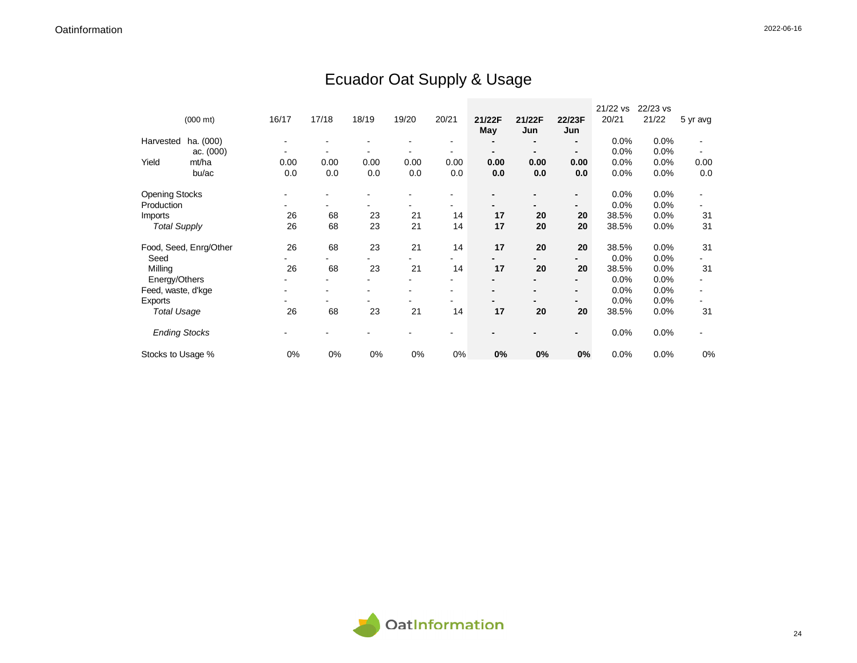## Ecuador Oat Supply & Usage

|                       |                        |       |       |       |       |       |        |        |                | 21/22 vs | 22/23 vs |          |
|-----------------------|------------------------|-------|-------|-------|-------|-------|--------|--------|----------------|----------|----------|----------|
|                       | $(000 \text{ mt})$     | 16/17 | 17/18 | 18/19 | 19/20 | 20/21 | 21/22F | 21/22F | 22/23F         | 20/21    | 21/22    | 5 yr avg |
|                       |                        |       |       |       |       |       | May    | Jun    | Jun            |          |          |          |
| Harvested             | ha. (000)              |       |       |       |       |       |        | ۰      | $\blacksquare$ | 0.0%     | 0.0%     |          |
|                       | ac. $(000)$            |       |       |       |       |       |        |        | $\blacksquare$ | 0.0%     | 0.0%     |          |
| Yield                 | mt/ha                  | 0.00  | 0.00  | 0.00  | 0.00  | 0.00  | 0.00   | 0.00   | 0.00           | 0.0%     | 0.0%     | 0.00     |
|                       | bu/ac                  | 0.0   | 0.0   | 0.0   | 0.0   | 0.0   | 0.0    | 0.0    | 0.0            | 0.0%     | 0.0%     | 0.0      |
| <b>Opening Stocks</b> |                        |       |       |       |       |       |        |        | $\blacksquare$ | 0.0%     | 0.0%     |          |
| Production            |                        |       |       |       |       |       |        |        | $\blacksquare$ | 0.0%     | 0.0%     |          |
| Imports               |                        | 26    | 68    | 23    | 21    | 14    | 17     | 20     | 20             | 38.5%    | 0.0%     | 31       |
| <b>Total Supply</b>   |                        | 26    | 68    | 23    | 21    | 14    | 17     | 20     | 20             | 38.5%    | 0.0%     | 31       |
|                       | Food, Seed, Enrg/Other | 26    | 68    | 23    | 21    | 14    | 17     | 20     | 20             | 38.5%    | 0.0%     | 31       |
| Seed                  |                        |       |       |       |       | ۰     |        |        | $\blacksquare$ | 0.0%     | 0.0%     |          |
| Milling               |                        | 26    | 68    | 23    | 21    | 14    | 17     | 20     | 20             | 38.5%    | 0.0%     | 31       |
| Energy/Others         |                        |       |       |       |       |       |        |        |                | 0.0%     | 0.0%     |          |
| Feed, waste, d'kge    |                        |       |       |       |       |       |        |        | $\blacksquare$ | 0.0%     | 0.0%     |          |
| Exports               |                        |       |       |       |       |       |        |        |                | 0.0%     | 0.0%     |          |
| <b>Total Usage</b>    |                        | 26    | 68    | 23    | 21    | 14    | 17     | 20     | 20             | 38.5%    | 0.0%     | 31       |
| <b>Ending Stocks</b>  |                        |       |       |       |       |       |        |        | $\blacksquare$ | 0.0%     | 0.0%     |          |
| Stocks to Usage %     |                        | 0%    | 0%    | 0%    | 0%    | 0%    | 0%     | 0%     | 0%             | 0.0%     | 0.0%     | 0%       |

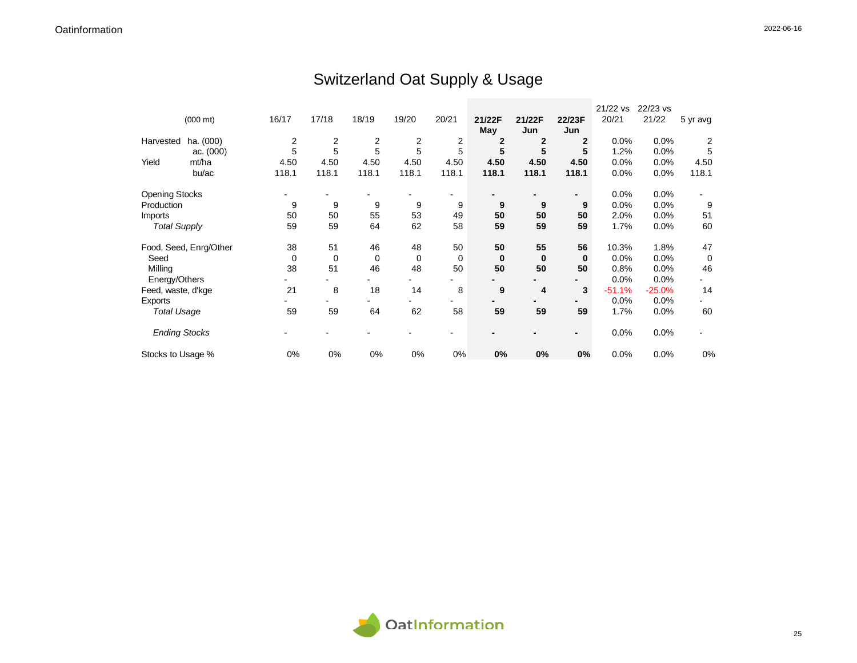## Switzerland Oat Supply & Usage

|                       |                        |       |       |                |             |       |              |              |                | 21/22 vs | 22/23 vs |             |
|-----------------------|------------------------|-------|-------|----------------|-------------|-------|--------------|--------------|----------------|----------|----------|-------------|
|                       | $(000 \text{ mt})$     | 16/17 | 17/18 | 18/19          | 19/20       | 20/21 | 21/22F       | 21/22F       | 22/23F         | 20/21    | 21/22    | 5 yr avg    |
|                       |                        |       |       |                |             |       | May          | Jun          | Jun            |          |          |             |
| Harvested             | ha. (000)              | 2     | 2     | $\overline{c}$ | 2           | 2     | $\mathbf{2}$ | $\mathbf{2}$ | $\mathbf{2}$   | 0.0%     | 0.0%     | 2           |
|                       | ac. $(000)$            | 5     | 5     | 5              | 5           | 5     | 5            | 5            | 5              | 1.2%     | 0.0%     | 5           |
| Yield                 | mt/ha                  | 4.50  | 4.50  | 4.50           | 4.50        | 4.50  | 4.50         | 4.50         | 4.50           | 0.0%     | 0.0%     | 4.50        |
|                       | bu/ac                  | 118.1 | 118.1 | 118.1          | 118.1       | 118.1 | 118.1        | 118.1        | 118.1          | 0.0%     | 0.0%     | 118.1       |
| <b>Opening Stocks</b> |                        |       |       |                |             |       |              |              | $\blacksquare$ | 0.0%     | 0.0%     |             |
| Production            |                        | 9     | 9     | 9              | 9           | 9     | 9            | 9            | 9              | 0.0%     | 0.0%     | 9           |
| Imports               |                        | 50    | 50    | 55             | 53          | 49    | 50           | 50           | 50             | 2.0%     | 0.0%     | 51          |
| <b>Total Supply</b>   |                        | 59    | 59    | 64             | 62          | 58    | 59           | 59           | 59             | 1.7%     | 0.0%     | 60          |
|                       | Food, Seed, Enrg/Other | 38    | 51    | 46             | 48          | 50    | 50           | 55           | 56             | 10.3%    | 1.8%     | 47          |
| Seed                  |                        | 0     | 0     | $\mathbf 0$    | $\mathbf 0$ | 0     | $\bf{0}$     | $\bf{0}$     | $\bf{0}$       | 0.0%     | 0.0%     | $\mathbf 0$ |
| Milling               |                        | 38    | 51    | 46             | 48          | 50    | 50           | 50           | 50             | 0.8%     | 0.0%     | 46          |
| Energy/Others         |                        |       |       |                |             |       |              |              |                | 0.0%     | 0.0%     |             |
| Feed, waste, d'kge    |                        | 21    | 8     | 18             | 14          | 8     | 9            | 4            | 3              | $-51.1%$ | $-25.0%$ | 14          |
| Exports               |                        |       |       |                |             |       |              |              |                | 0.0%     | 0.0%     |             |
| <b>Total Usage</b>    |                        | 59    | 59    | 64             | 62          | 58    | 59           | 59           | 59             | 1.7%     | 0.0%     | 60          |
| <b>Ending Stocks</b>  |                        |       |       |                |             |       |              |              | $\blacksquare$ | 0.0%     | 0.0%     |             |
| Stocks to Usage %     |                        | 0%    | 0%    | 0%             | 0%          | 0%    | 0%           | 0%           | 0%             | 0.0%     | 0.0%     | 0%          |

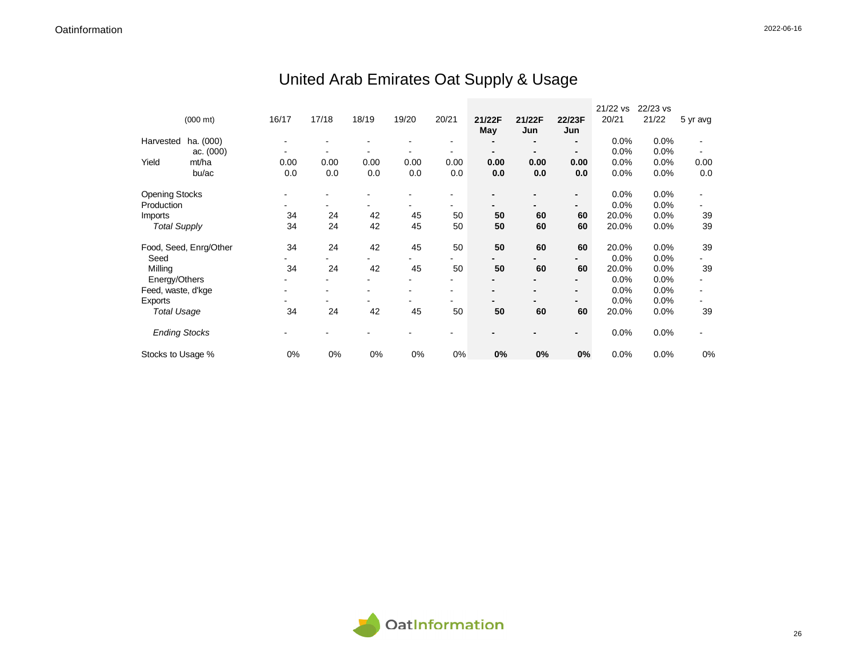# United Arab Emirates Oat Supply & Usage

|                       |                        |       |       |       |       |                |        |        |                | 21/22 vs | 22/23 vs |          |
|-----------------------|------------------------|-------|-------|-------|-------|----------------|--------|--------|----------------|----------|----------|----------|
|                       | $(000 \text{ mt})$     | 16/17 | 17/18 | 18/19 | 19/20 | 20/21          | 21/22F | 21/22F | 22/23F         | 20/21    | 21/22    | 5 yr avg |
|                       |                        |       |       |       |       |                | May    | Jun    | Jun            |          |          |          |
| Harvested             | ha. (000)              |       |       |       |       | $\blacksquare$ |        |        | $\blacksquare$ | 0.0%     | 0.0%     |          |
|                       | ac. $(000)$            |       |       |       |       |                |        |        | $\blacksquare$ | 0.0%     | 0.0%     |          |
| Yield                 | mt/ha                  | 0.00  | 0.00  | 0.00  | 0.00  | 0.00           | 0.00   | 0.00   | 0.00           | 0.0%     | 0.0%     | 0.00     |
|                       | bu/ac                  | 0.0   | 0.0   | 0.0   | 0.0   | 0.0            | 0.0    | 0.0    | 0.0            | 0.0%     | 0.0%     | 0.0      |
| <b>Opening Stocks</b> |                        |       |       |       |       |                |        |        | $\blacksquare$ | 0.0%     | 0.0%     |          |
| Production            |                        |       |       |       |       |                |        |        | $\blacksquare$ | 0.0%     | 0.0%     |          |
| Imports               |                        | 34    | 24    | 42    | 45    | 50             | 50     | 60     | 60             | 20.0%    | 0.0%     | 39       |
| <b>Total Supply</b>   |                        | 34    | 24    | 42    | 45    | 50             | 50     | 60     | 60             | 20.0%    | $0.0\%$  | 39       |
|                       | Food, Seed, Enrg/Other | 34    | 24    | 42    | 45    | 50             | 50     | 60     | 60             | 20.0%    | 0.0%     | 39       |
| Seed                  |                        |       |       |       |       |                |        |        |                | 0.0%     | 0.0%     |          |
| Milling               |                        | 34    | 24    | 42    | 45    | 50             | 50     | 60     | 60             | 20.0%    | 0.0%     | 39       |
| Energy/Others         |                        |       |       |       |       |                |        |        | $\blacksquare$ | 0.0%     | 0.0%     |          |
| Feed, waste, d'kge    |                        |       |       |       |       | $\blacksquare$ |        |        | $\blacksquare$ | 0.0%     | 0.0%     |          |
| Exports               |                        |       |       |       |       | ۰              |        |        | $\blacksquare$ | 0.0%     | 0.0%     |          |
| <b>Total Usage</b>    |                        | 34    | 24    | 42    | 45    | 50             | 50     | 60     | 60             | 20.0%    | 0.0%     | 39       |
| <b>Ending Stocks</b>  |                        |       |       |       |       |                |        |        |                | 0.0%     | 0.0%     |          |
| Stocks to Usage %     |                        | 0%    | 0%    | 0%    | 0%    | 0%             | 0%     | $0\%$  | 0%             | 0.0%     | 0.0%     | 0%       |

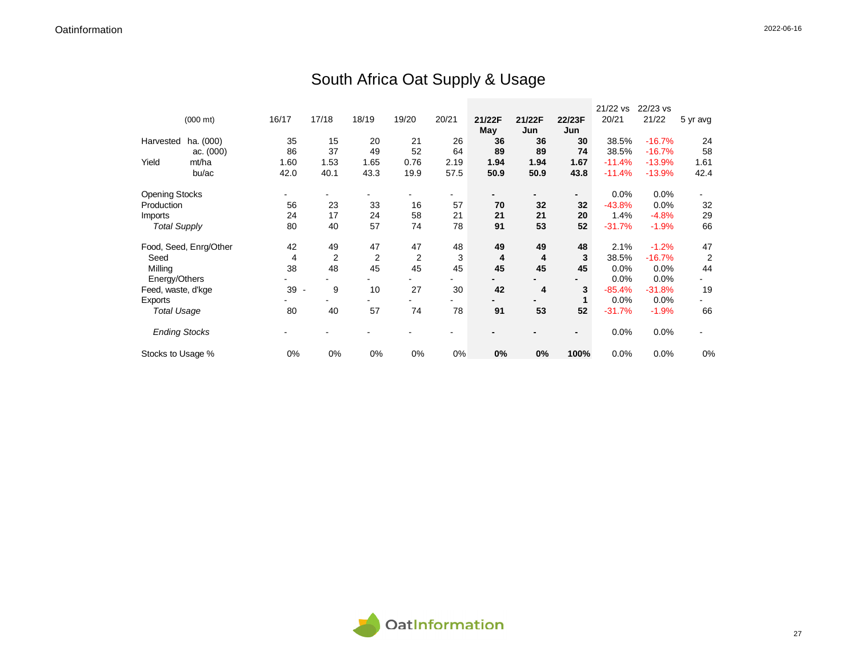## South Africa Oat Supply & Usage

|                       |                        |        |       |                |       |       |        |        |                | 21/22 vs | 22/23 vs |                |
|-----------------------|------------------------|--------|-------|----------------|-------|-------|--------|--------|----------------|----------|----------|----------------|
|                       | $(000 \text{ mt})$     | 16/17  | 17/18 | 18/19          | 19/20 | 20/21 | 21/22F | 21/22F | 22/23F         | 20/21    | 21/22    | 5 yr avg       |
|                       |                        |        |       |                |       |       | May    | Jun    | Jun            |          |          |                |
| Harvested             | ha. (000)              | 35     | 15    | 20             | 21    | 26    | 36     | 36     | 30             | 38.5%    | $-16.7%$ | 24             |
|                       | ac. $(000)$            | 86     | 37    | 49             | 52    | 64    | 89     | 89     | 74             | 38.5%    | $-16.7%$ | 58             |
| Yield                 | mt/ha                  | 1.60   | 1.53  | 1.65           | 0.76  | 2.19  | 1.94   | 1.94   | 1.67           | $-11.4%$ | $-13.9%$ | 1.61           |
|                       | bu/ac                  | 42.0   | 40.1  | 43.3           | 19.9  | 57.5  | 50.9   | 50.9   | 43.8           | $-11.4%$ | $-13.9%$ | 42.4           |
| <b>Opening Stocks</b> |                        |        |       |                |       |       |        |        | $\blacksquare$ | 0.0%     | 0.0%     |                |
| Production            |                        | 56     | 23    | 33             | 16    | 57    | 70     | 32     | 32             | $-43.8%$ | 0.0%     | 32             |
| Imports               |                        | 24     | 17    | 24             | 58    | 21    | 21     | 21     | 20             | 1.4%     | $-4.8%$  | 29             |
| <b>Total Supply</b>   |                        | 80     | 40    | 57             | 74    | 78    | 91     | 53     | 52             | $-31.7%$ | $-1.9%$  | 66             |
|                       | Food, Seed, Enrg/Other | 42     | 49    | 47             | 47    | 48    | 49     | 49     | 48             | 2.1%     | $-1.2%$  | 47             |
| Seed                  |                        | 4      | 2     | $\overline{c}$ | 2     | 3     | 4      | 4      | 3              | 38.5%    | $-16.7%$ | $\overline{2}$ |
| Milling               |                        | 38     | 48    | 45             | 45    | 45    | 45     | 45     | 45             | 0.0%     | 0.0%     | 44             |
| Energy/Others         |                        |        |       |                |       |       |        |        |                | 0.0%     | 0.0%     |                |
| Feed, waste, d'kge    |                        | $39 -$ | 9     | 10             | 27    | 30    | 42     | 4      | 3              | $-85.4%$ | $-31.8%$ | 19             |
| Exports               |                        |        |       |                |       |       |        |        | 1              | 0.0%     | 0.0%     |                |
| <b>Total Usage</b>    |                        | 80     | 40    | 57             | 74    | 78    | 91     | 53     | 52             | $-31.7%$ | $-1.9%$  | 66             |
| <b>Ending Stocks</b>  |                        |        |       |                |       |       |        |        | $\blacksquare$ | 0.0%     | 0.0%     |                |
| Stocks to Usage %     |                        | 0%     | 0%    | 0%             | 0%    | 0%    | 0%     | 0%     | 100%           | 0.0%     | 0.0%     | 0%             |

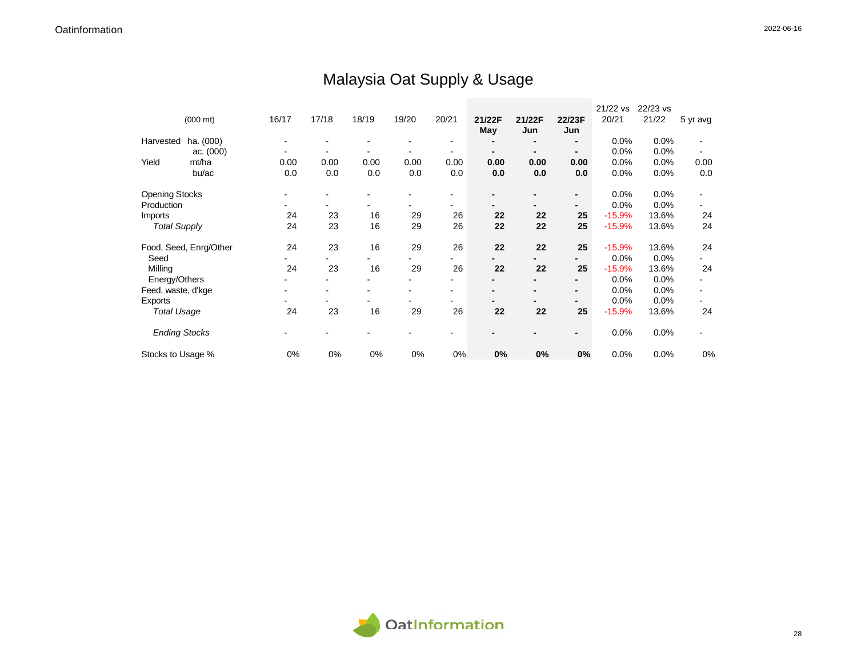## Malaysia Oat Supply & Usage

|                       |                        |       |       |       |       |                |        |        |                | 21/22 vs | 22/23 vs |          |
|-----------------------|------------------------|-------|-------|-------|-------|----------------|--------|--------|----------------|----------|----------|----------|
|                       | $(000 \text{ mt})$     | 16/17 | 17/18 | 18/19 | 19/20 | 20/21          | 21/22F | 21/22F | 22/23F         | 20/21    | 21/22    | 5 yr avg |
|                       |                        |       |       |       |       |                | May    | Jun    | Jun            |          |          |          |
| Harvested             | ha. (000)              |       |       |       |       | $\blacksquare$ |        |        | $\blacksquare$ | 0.0%     | 0.0%     |          |
|                       | ac. $(000)$            |       |       |       |       |                |        |        | $\blacksquare$ | 0.0%     | 0.0%     |          |
| Yield                 | mt/ha                  | 0.00  | 0.00  | 0.00  | 0.00  | 0.00           | 0.00   | 0.00   | 0.00           | 0.0%     | 0.0%     | 0.00     |
|                       | bu/ac                  | 0.0   | 0.0   | 0.0   | 0.0   | 0.0            | 0.0    | 0.0    | 0.0            | 0.0%     | 0.0%     | 0.0      |
| <b>Opening Stocks</b> |                        |       |       |       |       |                |        |        | $\blacksquare$ | 0.0%     | 0.0%     |          |
| Production            |                        |       |       |       |       |                |        |        | ٠              | 0.0%     | 0.0%     |          |
| Imports               |                        | 24    | 23    | 16    | 29    | 26             | 22     | 22     | 25             | $-15.9%$ | 13.6%    | 24       |
| <b>Total Supply</b>   |                        | 24    | 23    | 16    | 29    | 26             | 22     | 22     | 25             | $-15.9%$ | 13.6%    | 24       |
|                       | Food, Seed, Enrg/Other | 24    | 23    | 16    | 29    | 26             | 22     | 22     | 25             | $-15.9%$ | 13.6%    | 24       |
| Seed                  |                        |       |       |       |       |                |        |        | $\blacksquare$ | 0.0%     | 0.0%     |          |
| Milling               |                        | 24    | 23    | 16    | 29    | 26             | 22     | 22     | 25             | $-15.9%$ | 13.6%    | 24       |
| Energy/Others         |                        |       |       |       |       |                |        |        |                | 0.0%     | 0.0%     |          |
| Feed, waste, d'kge    |                        |       |       |       |       | $\overline{ }$ |        |        | $\blacksquare$ | 0.0%     | 0.0%     |          |
| Exports               |                        |       |       |       |       |                |        |        | $\blacksquare$ | 0.0%     | 0.0%     |          |
| <b>Total Usage</b>    |                        | 24    | 23    | 16    | 29    | 26             | 22     | 22     | 25             | $-15.9%$ | 13.6%    | 24       |
| <b>Ending Stocks</b>  |                        |       |       |       |       |                |        |        | $\blacksquare$ | 0.0%     | 0.0%     |          |
| Stocks to Usage %     |                        | 0%    | 0%    | 0%    | 0%    | 0%             | 0%     | 0%     | 0%             | 0.0%     | 0.0%     | 0%       |

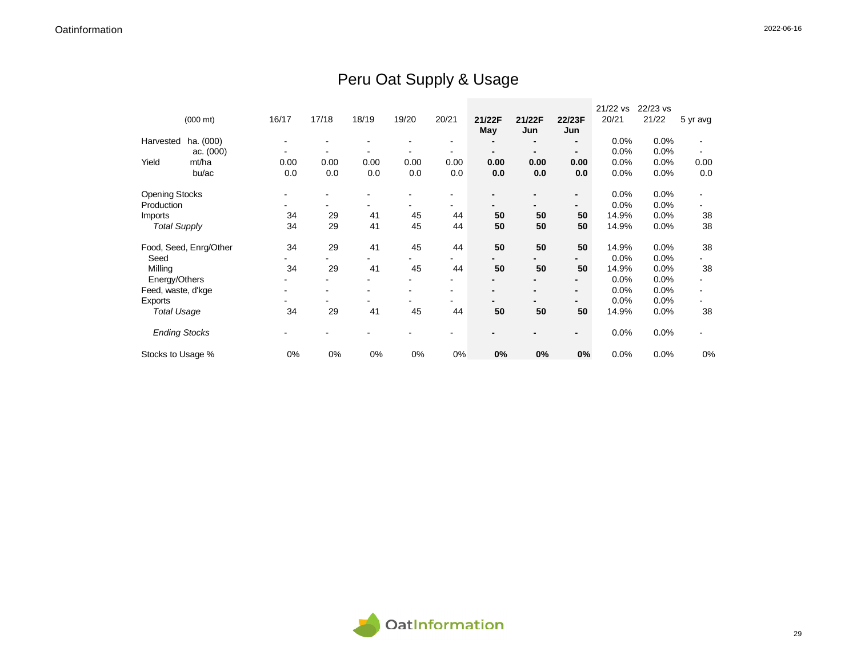## Peru Oat Supply & Usage

|                       |                        |       |       |       |       |       |        |        |                | 21/22 vs | 22/23 vs |          |
|-----------------------|------------------------|-------|-------|-------|-------|-------|--------|--------|----------------|----------|----------|----------|
|                       | $(000 \text{ mt})$     | 16/17 | 17/18 | 18/19 | 19/20 | 20/21 | 21/22F | 21/22F | 22/23F         | 20/21    | 21/22    | 5 yr avg |
|                       |                        |       |       |       |       |       | May    | Jun    | Jun            |          |          |          |
| Harvested             | ha. (000)              |       |       |       |       |       |        |        | -              | 0.0%     | 0.0%     |          |
|                       | ac. (000)              |       |       |       |       |       |        |        | -              | 0.0%     | 0.0%     |          |
| Yield                 | mt/ha                  | 0.00  | 0.00  | 0.00  | 0.00  | 0.00  | 0.00   | 0.00   | 0.00           | 0.0%     | 0.0%     | 0.00     |
|                       | bu/ac                  | 0.0   | 0.0   | 0.0   | 0.0   | 0.0   | 0.0    | 0.0    | 0.0            | 0.0%     | 0.0%     | 0.0      |
|                       |                        |       |       |       |       |       |        |        |                |          |          |          |
| <b>Opening Stocks</b> |                        |       |       |       |       |       |        |        | -              | 0.0%     | 0.0%     |          |
| Production            |                        |       |       |       |       |       |        |        | -              | 0.0%     | 0.0%     |          |
| Imports               |                        | 34    | 29    | 41    | 45    | 44    | 50     | 50     | 50             | 14.9%    | 0.0%     | 38       |
| <b>Total Supply</b>   |                        | 34    | 29    | 41    | 45    | 44    | 50     | 50     | 50             | 14.9%    | 0.0%     | 38       |
|                       |                        |       |       |       |       |       |        |        |                |          |          |          |
|                       | Food, Seed, Enrg/Other | 34    | 29    | 41    | 45    | 44    | 50     | 50     | 50             | 14.9%    | 0.0%     | 38       |
| Seed                  |                        |       |       |       |       | Ξ.    |        |        | -              | 0.0%     | 0.0%     |          |
| Milling               |                        | 34    | 29    | 41    | 45    | 44    | 50     | 50     | 50             | 14.9%    | 0.0%     | 38       |
| Energy/Others         |                        |       |       |       |       |       |        |        |                | 0.0%     | $0.0\%$  |          |
| Feed, waste, d'kge    |                        |       |       |       |       |       |        |        | -              | 0.0%     | 0.0%     |          |
| Exports               |                        |       |       |       |       |       |        |        |                | 0.0%     | 0.0%     |          |
| <b>Total Usage</b>    |                        | 34    | 29    | 41    | 45    | 44    | 50     | 50     | 50             | 14.9%    | 0.0%     | 38       |
|                       |                        |       |       |       |       |       |        |        |                |          |          |          |
| <b>Ending Stocks</b>  |                        |       |       |       |       |       |        |        | $\blacksquare$ | 0.0%     | 0.0%     |          |
|                       |                        |       |       |       |       |       |        |        |                |          |          |          |
| Stocks to Usage %     |                        | 0%    | 0%    | 0%    | 0%    | 0%    | 0%     | 0%     | 0%             | 0.0%     | 0.0%     | 0%       |

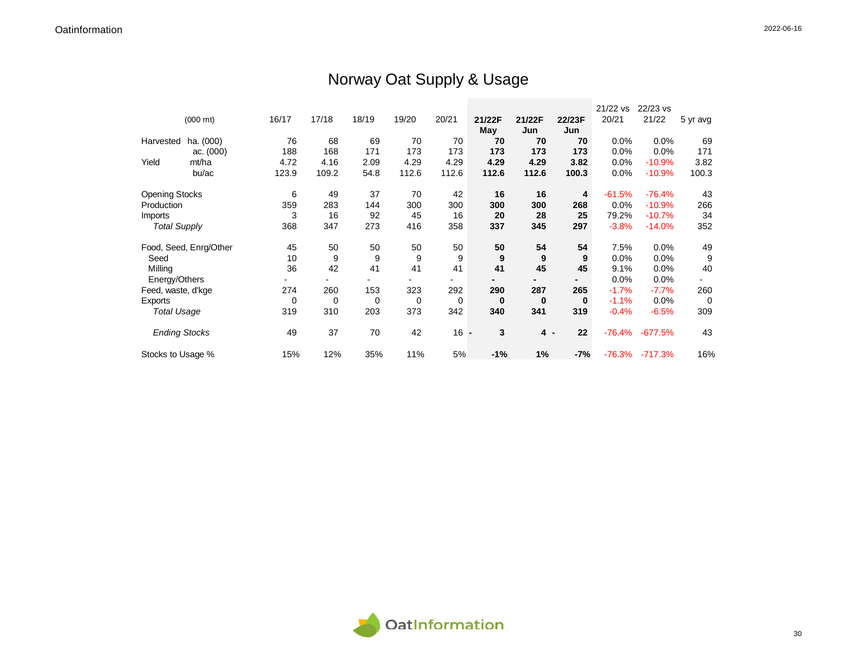## Norway Oat Supply & Usage

|                       |                        |       |       |       |       |        |          |          |                | 21/22 vs | 22/23 vs  |                |
|-----------------------|------------------------|-------|-------|-------|-------|--------|----------|----------|----------------|----------|-----------|----------------|
|                       | $(000 \text{ mt})$     | 16/17 | 17/18 | 18/19 | 19/20 | 20/21  | 21/22F   | 21/22F   | 22/23F         | 20/21    | 21/22     | 5 yr avg       |
|                       |                        |       |       |       |       |        | May      | Jun      | Jun            |          |           |                |
| Harvested             | ha. (000)              | 76    | 68    | 69    | 70    | 70     | 70       | 70       | 70             | 0.0%     | 0.0%      | 69             |
|                       | ac. $(000)$            | 188   | 168   | 171   | 173   | 173    | 173      | 173      | 173            | 0.0%     | 0.0%      | 171            |
| Yield                 | mt/ha                  | 4.72  | 4.16  | 2.09  | 4.29  | 4.29   | 4.29     | 4.29     | 3.82           | 0.0%     | $-10.9%$  | 3.82           |
|                       | bu/ac                  | 123.9 | 109.2 | 54.8  | 112.6 | 112.6  | 112.6    | 112.6    | 100.3          | 0.0%     | $-10.9%$  | 100.3          |
| <b>Opening Stocks</b> |                        | 6     | 49    | 37    | 70    | 42     | 16       | 16       | 4              | $-61.5%$ | $-76.4%$  | 43             |
| Production            |                        | 359   | 283   | 144   | 300   | 300    | 300      | 300      | 268            | 0.0%     | $-10.9%$  | 266            |
| Imports               |                        | 3     | 16    | 92    | 45    | 16     | 20       | 28       | 25             | 79.2%    | $-10.7%$  | 34             |
| <b>Total Supply</b>   |                        | 368   | 347   | 273   | 416   | 358    | 337      | 345      | 297            | $-3.8%$  | $-14.0%$  | 352            |
|                       | Food, Seed, Enrg/Other | 45    | 50    | 50    | 50    | 50     | 50       | 54       | 54             | 7.5%     | 0.0%      | 49             |
| Seed                  |                        | 10    | 9     | 9     | 9     | 9      | 9        | 9        | 9              | 0.0%     | 0.0%      | 9              |
| Milling               |                        | 36    | 42    | 41    | 41    | 41     | 41       | 45       | 45             | 9.1%     | 0.0%      | 40             |
| Energy/Others         |                        |       |       |       |       |        |          |          | $\blacksquare$ | 0.0%     | 0.0%      |                |
| Feed, waste, d'kge    |                        | 274   | 260   | 153   | 323   | 292    | 290      | 287      | 265            | $-1.7%$  | $-7.7%$   | 260            |
| Exports               |                        | 0     | 0     | 0     | 0     | 0      | $\bf{0}$ | $\bf{0}$ | $\bf{0}$       | $-1.1%$  | 0.0%      | $\overline{0}$ |
| <b>Total Usage</b>    |                        | 319   | 310   | 203   | 373   | 342    | 340      | 341      | 319            | $-0.4%$  | $-6.5%$   | 309            |
| <b>Ending Stocks</b>  |                        | 49    | 37    | 70    | 42    | $16 -$ | 3        | 4 -      | 22             | $-76.4%$ | $-677.5%$ | 43             |
| Stocks to Usage %     |                        | 15%   | 12%   | 35%   | 11%   | 5%     | $-1%$    | 1%       | -7%            | $-76.3%$ | $-717.3%$ | 16%            |

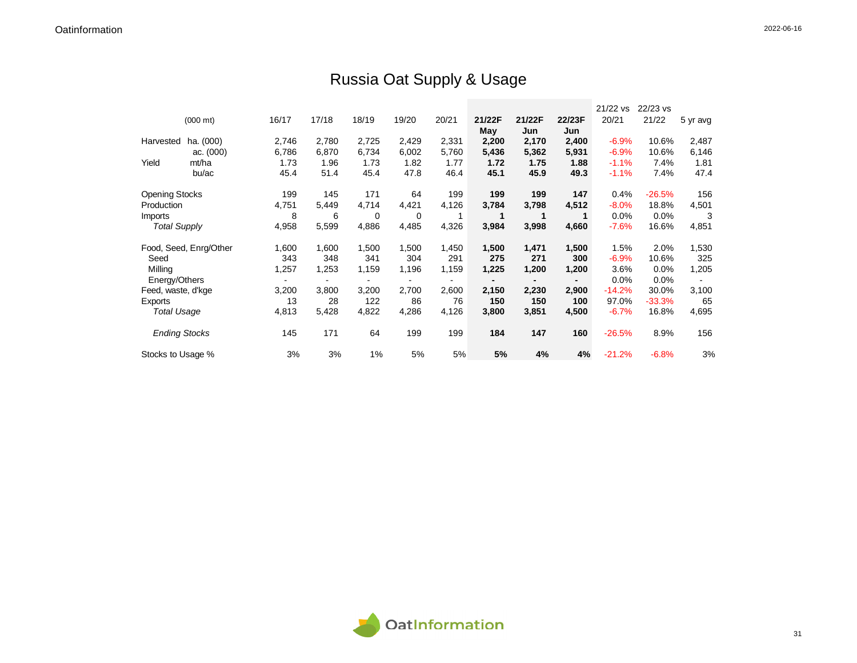## Russia Oat Supply & Usage

|                       |                        |       |       |       |       |       |        |        |        | 21/22 vs | 22/23 vs |          |
|-----------------------|------------------------|-------|-------|-------|-------|-------|--------|--------|--------|----------|----------|----------|
|                       | $(000 \text{ mt})$     | 16/17 | 17/18 | 18/19 | 19/20 | 20/21 | 21/22F | 21/22F | 22/23F | 20/21    | 21/22    | 5 yr avg |
|                       |                        |       |       |       |       |       | May    | Jun    | Jun    |          |          |          |
| Harvested             | ha. (000)              | 2,746 | 2,780 | 2,725 | 2,429 | 2,331 | 2,200  | 2,170  | 2,400  | $-6.9%$  | 10.6%    | 2,487    |
|                       | ac. $(000)$            | 6,786 | 6,870 | 6,734 | 6,002 | 5,760 | 5,436  | 5,362  | 5,931  | $-6.9%$  | 10.6%    | 6,146    |
| Yield                 | mt/ha                  | 1.73  | 1.96  | 1.73  | 1.82  | 1.77  | 1.72   | 1.75   | 1.88   | $-1.1%$  | 7.4%     | 1.81     |
|                       | bu/ac                  | 45.4  | 51.4  | 45.4  | 47.8  | 46.4  | 45.1   | 45.9   | 49.3   | $-1.1%$  | 7.4%     | 47.4     |
| <b>Opening Stocks</b> |                        | 199   | 145   | 171   | 64    | 199   | 199    | 199    | 147    | 0.4%     | $-26.5%$ | 156      |
| Production            |                        | 4,751 | 5,449 | 4,714 | 4,421 | 4,126 | 3,784  | 3,798  | 4,512  | $-8.0%$  | 18.8%    | 4,501    |
| Imports               |                        | 8     | 6     | 0     | 0     | 1     | 1      |        |        | 0.0%     | 0.0%     | 3        |
| <b>Total Supply</b>   |                        | 4,958 | 5,599 | 4,886 | 4,485 | 4,326 | 3,984  | 3,998  | 4,660  | $-7.6%$  | 16.6%    | 4,851    |
|                       | Food, Seed, Enrg/Other | 1,600 | 1,600 | 1,500 | 1,500 | 1,450 | 1,500  | 1,471  | 1,500  | 1.5%     | 2.0%     | 1,530    |
| Seed                  |                        | 343   | 348   | 341   | 304   | 291   | 275    | 271    | 300    | $-6.9%$  | 10.6%    | 325      |
| Milling               |                        | 1,257 | 1,253 | 1,159 | 1,196 | 1,159 | 1,225  | 1,200  | 1,200  | 3.6%     | 0.0%     | 1,205    |
| Energy/Others         |                        |       |       |       |       |       |        |        |        | 0.0%     | 0.0%     |          |
| Feed, waste, d'kge    |                        | 3,200 | 3,800 | 3,200 | 2,700 | 2,600 | 2,150  | 2,230  | 2,900  | $-14.2%$ | 30.0%    | 3,100    |
| Exports               |                        | 13    | 28    | 122   | 86    | 76    | 150    | 150    | 100    | 97.0%    | $-33.3%$ | 65       |
| <b>Total Usage</b>    |                        | 4,813 | 5,428 | 4,822 | 4,286 | 4,126 | 3,800  | 3,851  | 4,500  | $-6.7%$  | 16.8%    | 4,695    |
| <b>Ending Stocks</b>  |                        | 145   | 171   | 64    | 199   | 199   | 184    | 147    | 160    | $-26.5%$ | 8.9%     | 156      |
| Stocks to Usage %     |                        | 3%    | 3%    | 1%    | 5%    | 5%    | 5%     | 4%     | 4%     | $-21.2%$ | $-6.8%$  | 3%       |

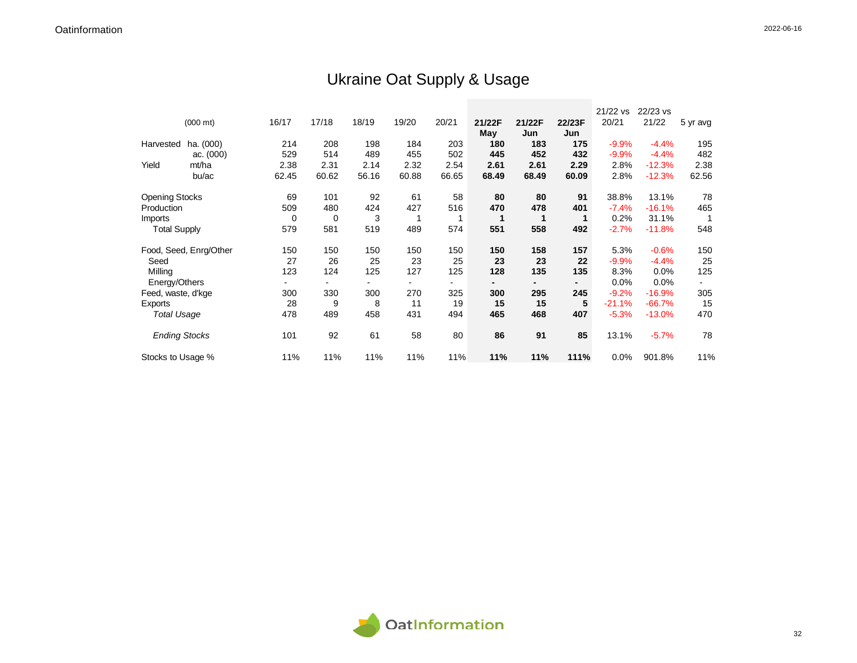## Ukraine Oat Supply & Usage

|                       |                        |       |       |       |                |       |        |        |                | 21/22 vs | 22/23 vs |          |
|-----------------------|------------------------|-------|-------|-------|----------------|-------|--------|--------|----------------|----------|----------|----------|
|                       | $(000 \text{ mt})$     | 16/17 | 17/18 | 18/19 | 19/20          | 20/21 | 21/22F | 21/22F | 22/23F         | 20/21    | 21/22    | 5 yr avg |
|                       |                        |       |       |       |                |       | May    | Jun    | Jun            |          |          |          |
| Harvested             | ha. (000)              | 214   | 208   | 198   | 184            | 203   | 180    | 183    | 175            | $-9.9%$  | $-4.4%$  | 195      |
|                       | ac. (000)              | 529   | 514   | 489   | 455            | 502   | 445    | 452    | 432            | $-9.9%$  | $-4.4%$  | 482      |
| Yield                 | mt/ha                  | 2.38  | 2.31  | 2.14  | 2.32           | 2.54  | 2.61   | 2.61   | 2.29           | 2.8%     | $-12.3%$ | 2.38     |
|                       | bu/ac                  | 62.45 | 60.62 | 56.16 | 60.88          | 66.65 | 68.49  | 68.49  | 60.09          | 2.8%     | $-12.3%$ | 62.56    |
| <b>Opening Stocks</b> |                        | 69    | 101   | 92    | 61             | 58    | 80     | 80     | 91             | 38.8%    | 13.1%    | 78       |
| Production            |                        | 509   | 480   | 424   | 427            | 516   | 470    | 478    | 401            | $-7.4%$  | $-16.1%$ | 465      |
| <b>Imports</b>        |                        | 0     | 0     | 3     |                |       | 1      | 1      |                | 0.2%     | 31.1%    |          |
| <b>Total Supply</b>   |                        | 579   | 581   | 519   | 489            | 574   | 551    | 558    | 492            | $-2.7%$  | $-11.8%$ | 548      |
|                       | Food, Seed, Enrg/Other | 150   | 150   | 150   | 150            | 150   | 150    | 158    | 157            | 5.3%     | $-0.6%$  | 150      |
| Seed                  |                        | 27    | 26    | 25    | 23             | 25    | 23     | 23     | 22             | $-9.9%$  | $-4.4%$  | 25       |
| Milling               |                        | 123   | 124   | 125   | 127            | 125   | 128    | 135    | 135            | 8.3%     | 0.0%     | 125      |
| Energy/Others         |                        |       |       |       | $\blacksquare$ |       |        |        | $\blacksquare$ | 0.0%     | $0.0\%$  |          |
| Feed, waste, d'kge    |                        | 300   | 330   | 300   | 270            | 325   | 300    | 295    | 245            | $-9.2%$  | $-16.9%$ | 305      |
| Exports               |                        | 28    | 9     | 8     | 11             | 19    | 15     | 15     | 5              | $-21.1%$ | $-66.7%$ | 15       |
| Total Usage           |                        | 478   | 489   | 458   | 431            | 494   | 465    | 468    | 407            | $-5.3%$  | $-13.0%$ | 470      |
| <b>Ending Stocks</b>  |                        | 101   | 92    | 61    | 58             | 80    | 86     | 91     | 85             | 13.1%    | $-5.7%$  | 78       |
| Stocks to Usage %     |                        | 11%   | 11%   | 11%   | 11%            | 11%   | 11%    | 11%    | 111%           | 0.0%     | 901.8%   | 11%      |

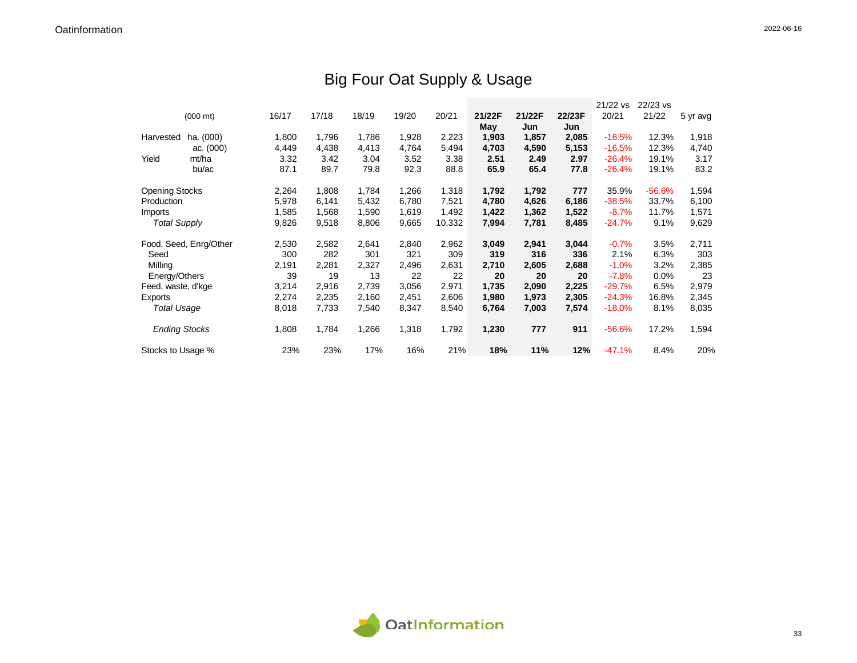## Big Four Oat Supply & Usage

|                       | $(000 \text{ mt})$     | 16/17 | 17/18 | 18/19 | 19/20 | 20/21  | 21/22F<br>May | 21/22F<br>Jun | 22/23F<br>Jun | 21/22 vs<br>20/21 | 22/23 vs<br>21/22 | 5 yr avg |
|-----------------------|------------------------|-------|-------|-------|-------|--------|---------------|---------------|---------------|-------------------|-------------------|----------|
| Harvested             | ha. (000)              | 1,800 | 1,796 | 1,786 | 1,928 | 2,223  | 1,903         | 1,857         | 2,085         | $-16.5%$          | 12.3%             | 1,918    |
|                       | ac. $(000)$            | 4,449 | 4,438 | 4,413 | 4,764 | 5,494  | 4,703         | 4,590         | 5,153         | $-16.5%$          | 12.3%             | 4,740    |
| Yield                 | mt/ha                  | 3.32  | 3.42  | 3.04  | 3.52  | 3.38   | 2.51          | 2.49          | 2.97          | $-26.4%$          | 19.1%             | 3.17     |
|                       | bu/ac                  | 87.1  | 89.7  | 79.8  | 92.3  | 88.8   | 65.9          | 65.4          | 77.8          | $-26.4%$          | 19.1%             | 83.2     |
| <b>Opening Stocks</b> |                        | 2,264 | 1,808 | 1,784 | 1,266 | 1,318  | 1,792         | 1,792         | 777           | 35.9%             | -56.6%            | 1,594    |
| Production            |                        | 5,978 | 6,141 | 5,432 | 6,780 | 7,521  | 4,780         | 4,626         | 6,186         | $-38.5%$          | 33.7%             | 6,100    |
| Imports               |                        | 1,585 | 1,568 | 1,590 | 1,619 | 1,492  | 1,422         | 1,362         | 1,522         | $-8.7%$           | 11.7%             | 1,571    |
| <b>Total Supply</b>   |                        | 9,826 | 9,518 | 8,806 | 9,665 | 10,332 | 7,994         | 7,781         | 8,485         | $-24.7%$          | 9.1%              | 9,629    |
|                       |                        |       |       |       |       |        |               |               |               |                   |                   |          |
|                       | Food, Seed, Enrg/Other | 2,530 | 2,582 | 2,641 | 2,840 | 2,962  | 3,049         | 2,941         | 3,044         | $-0.7%$           | 3.5%              | 2,711    |
| Seed                  |                        | 300   | 282   | 301   | 321   | 309    | 319           | 316           | 336           | 2.1%              | 6.3%              | 303      |
| Milling               |                        | 2,191 | 2,281 | 2,327 | 2,496 | 2,631  | 2,710         | 2,605         | 2,688         | $-1.0%$           | 3.2%              | 2,385    |
| Energy/Others         |                        | 39    | 19    | 13    | 22    | 22     | 20            | 20            | 20            | $-7.8%$           | 0.0%              | 23       |
| Feed, waste, d'kge    |                        | 3,214 | 2,916 | 2,739 | 3,056 | 2,971  | 1,735         | 2,090         | 2,225         | $-29.7%$          | 6.5%              | 2,979    |
| Exports               |                        | 2,274 | 2,235 | 2,160 | 2,451 | 2,606  | 1,980         | 1,973         | 2,305         | $-24.3%$          | 16.8%             | 2,345    |
| <b>Total Usage</b>    |                        | 8,018 | 7,733 | 7,540 | 8,347 | 8,540  | 6,764         | 7,003         | 7,574         | $-18.0%$          | 8.1%              | 8,035    |
| <b>Ending Stocks</b>  |                        | 1,808 | 1,784 | 1,266 | 1,318 | 1,792  | 1,230         | 777           | 911           | $-56.6%$          | 17.2%             | 1,594    |
| Stocks to Usage %     |                        | 23%   | 23%   | 17%   | 16%   | 21%    | 18%           | 11%           | 12%           | $-47.1%$          | 8.4%              | 20%      |

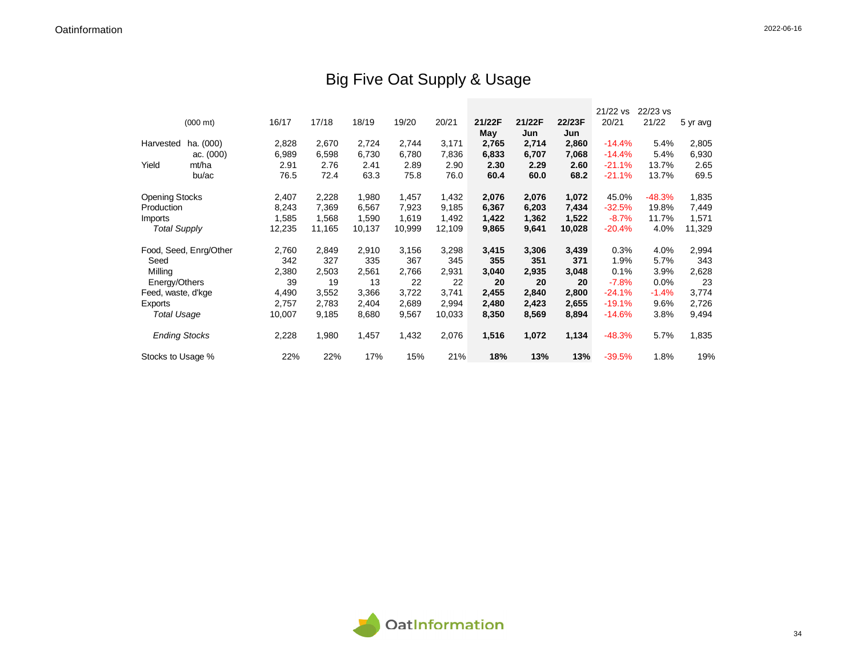## Big Five Oat Supply & Usage

|                       |                        |        |        |        |        |        |        |        |        | 21/22 vs | 22/23 vs |          |
|-----------------------|------------------------|--------|--------|--------|--------|--------|--------|--------|--------|----------|----------|----------|
|                       | $(000 \text{ mt})$     | 16/17  | 17/18  | 18/19  | 19/20  | 20/21  | 21/22F | 21/22F | 22/23F | 20/21    | 21/22    | 5 yr avg |
|                       |                        |        |        |        |        |        | May    | Jun    | Jun    |          |          |          |
| Harvested             | ha. (000)              | 2,828  | 2,670  | 2,724  | 2,744  | 3,171  | 2,765  | 2,714  | 2,860  | $-14.4%$ | 5.4%     | 2,805    |
|                       | ac. $(000)$            | 6,989  | 6,598  | 6,730  | 6,780  | 7,836  | 6,833  | 6,707  | 7,068  | $-14.4%$ | 5.4%     | 6,930    |
| Yield                 | mt/ha                  | 2.91   | 2.76   | 2.41   | 2.89   | 2.90   | 2.30   | 2.29   | 2.60   | $-21.1%$ | 13.7%    | 2.65     |
|                       | bu/ac                  | 76.5   | 72.4   | 63.3   | 75.8   | 76.0   | 60.4   | 60.0   | 68.2   | $-21.1%$ | 13.7%    | 69.5     |
| <b>Opening Stocks</b> |                        | 2,407  | 2,228  | 1,980  | 1,457  | 1,432  | 2,076  | 2,076  | 1,072  | 45.0%    | -48.3%   | 1,835    |
| Production            |                        | 8,243  | 7,369  | 6,567  | 7,923  | 9,185  | 6,367  | 6,203  | 7,434  | $-32.5%$ | 19.8%    | 7,449    |
| Imports               |                        | 1,585  | 1,568  | 1,590  | 1,619  | 1,492  | 1,422  | 1,362  | 1,522  | $-8.7%$  | 11.7%    | 1,571    |
| <b>Total Supply</b>   |                        | 12,235 | 11,165 | 10,137 | 10,999 | 12,109 | 9,865  | 9,641  | 10,028 | $-20.4%$ | 4.0%     | 11,329   |
|                       | Food, Seed, Enrg/Other | 2,760  | 2,849  | 2,910  | 3,156  | 3,298  | 3,415  | 3,306  | 3,439  | 0.3%     | 4.0%     | 2,994    |
| Seed                  |                        | 342    | 327    | 335    | 367    | 345    | 355    | 351    | 371    | 1.9%     | 5.7%     | 343      |
| Milling               |                        | 2,380  | 2,503  | 2,561  | 2,766  | 2,931  | 3,040  | 2,935  | 3,048  | 0.1%     | 3.9%     | 2,628    |
| Energy/Others         |                        | 39     | 19     | 13     | 22     | 22     | 20     | 20     | 20     | $-7.8%$  | 0.0%     | 23       |
| Feed, waste, d'kge    |                        | 4,490  | 3,552  | 3,366  | 3,722  | 3,741  | 2,455  | 2,840  | 2,800  | $-24.1%$ | $-1.4%$  | 3,774    |
| Exports               |                        | 2,757  | 2,783  | 2,404  | 2,689  | 2,994  | 2,480  | 2,423  | 2,655  | $-19.1%$ | 9.6%     | 2,726    |
| <b>Total Usage</b>    |                        | 10,007 | 9,185  | 8,680  | 9,567  | 10,033 | 8,350  | 8,569  | 8,894  | $-14.6%$ | 3.8%     | 9,494    |
| <b>Ending Stocks</b>  |                        | 2,228  | 1,980  | 1,457  | 1,432  | 2,076  | 1,516  | 1,072  | 1,134  | $-48.3%$ | 5.7%     | 1,835    |
| Stocks to Usage %     |                        | 22%    | 22%    | 17%    | 15%    | 21%    | 18%    | 13%    | 13%    | $-39.5%$ | 1.8%     | 19%      |

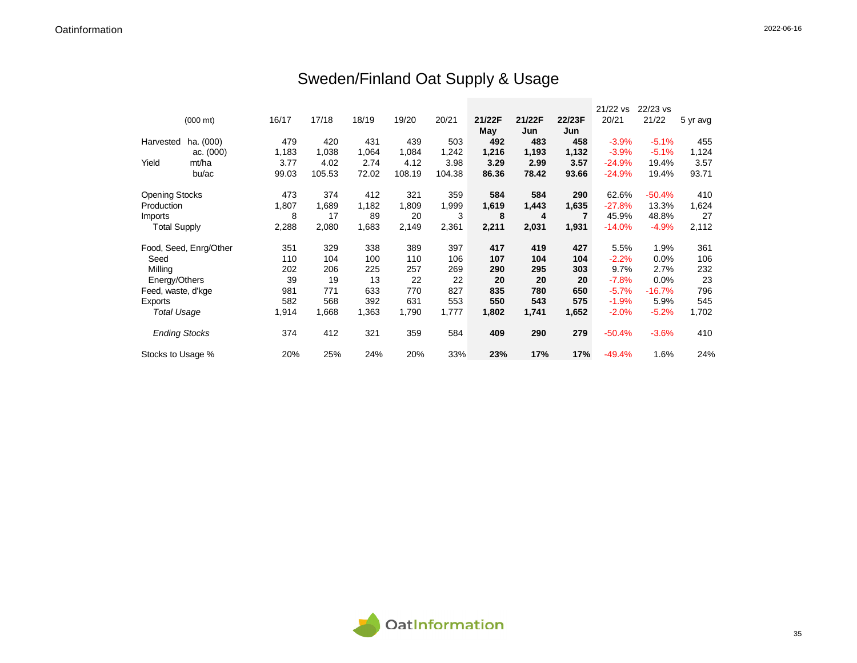# Sweden/Finland Oat Supply & Usage

|                       |                        |       |        |       |        |        |        |        |        | 21/22 vs | 22/23 vs |          |
|-----------------------|------------------------|-------|--------|-------|--------|--------|--------|--------|--------|----------|----------|----------|
|                       | $(000 \text{ mt})$     | 16/17 | 17/18  | 18/19 | 19/20  | 20/21  | 21/22F | 21/22F | 22/23F | 20/21    | 21/22    | 5 yr avg |
|                       |                        |       |        |       |        |        | May    | Jun    | Jun    |          |          |          |
| Harvested             | ha. (000)              | 479   | 420    | 431   | 439    | 503    | 492    | 483    | 458    | $-3.9%$  | $-5.1%$  | 455      |
|                       | ac. $(000)$            | 1,183 | 1,038  | 1,064 | 1,084  | 1,242  | 1,216  | 1,193  | 1,132  | $-3.9%$  | $-5.1%$  | 1,124    |
| Yield                 | mt/ha                  | 3.77  | 4.02   | 2.74  | 4.12   | 3.98   | 3.29   | 2.99   | 3.57   | $-24.9%$ | 19.4%    | 3.57     |
|                       | bu/ac                  | 99.03 | 105.53 | 72.02 | 108.19 | 104.38 | 86.36  | 78.42  | 93.66  | $-24.9%$ | 19.4%    | 93.71    |
| <b>Opening Stocks</b> |                        | 473   | 374    | 412   | 321    | 359    | 584    | 584    | 290    | 62.6%    | $-50.4%$ | 410      |
| Production            |                        | 1,807 | 1,689  | 1,182 | 1,809  | 1,999  | 1,619  | 1,443  | 1,635  | $-27.8%$ | 13.3%    | 1,624    |
| Imports               |                        | 8     | 17     | 89    | 20     | 3      | 8      | 4      | 7      | 45.9%    | 48.8%    | 27       |
| <b>Total Supply</b>   |                        | 2,288 | 2,080  | 1,683 | 2,149  | 2,361  | 2,211  | 2,031  | 1,931  | $-14.0%$ | $-4.9%$  | 2,112    |
|                       | Food, Seed, Enrg/Other | 351   | 329    | 338   | 389    | 397    | 417    | 419    | 427    | 5.5%     | 1.9%     | 361      |
| Seed                  |                        | 110   | 104    | 100   | 110    | 106    | 107    | 104    | 104    | $-2.2%$  | 0.0%     | 106      |
| Milling               |                        | 202   | 206    | 225   | 257    | 269    | 290    | 295    | 303    | 9.7%     | 2.7%     | 232      |
| Energy/Others         |                        | 39    | 19     | 13    | 22     | 22     | 20     | 20     | 20     | $-7.8%$  | 0.0%     | 23       |
| Feed, waste, d'kge    |                        | 981   | 771    | 633   | 770    | 827    | 835    | 780    | 650    | $-5.7%$  | $-16.7%$ | 796      |
| Exports               |                        | 582   | 568    | 392   | 631    | 553    | 550    | 543    | 575    | $-1.9%$  | 5.9%     | 545      |
| <b>Total Usage</b>    |                        | 1,914 | 1,668  | 1,363 | 1,790  | 1,777  | 1,802  | 1,741  | 1,652  | $-2.0%$  | $-5.2%$  | 1,702    |
| <b>Ending Stocks</b>  |                        | 374   | 412    | 321   | 359    | 584    | 409    | 290    | 279    | $-50.4%$ | $-3.6%$  | 410      |
| Stocks to Usage %     |                        | 20%   | 25%    | 24%   | 20%    | 33%    | 23%    | 17%    | 17%    | $-49.4%$ | 1.6%     | 24%      |

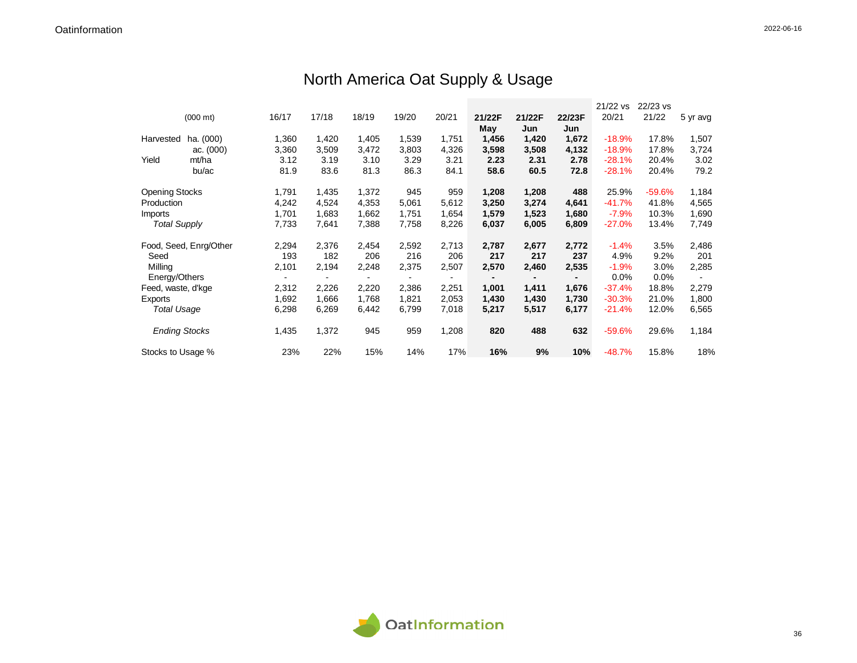|                       |                        |       |       |       |       |       |        |        |        | 21/22 vs | 22/23 vs |          |
|-----------------------|------------------------|-------|-------|-------|-------|-------|--------|--------|--------|----------|----------|----------|
|                       | $(000 \text{ mt})$     | 16/17 | 17/18 | 18/19 | 19/20 | 20/21 | 21/22F | 21/22F | 22/23F | 20/21    | 21/22    | 5 yr avg |
|                       |                        |       |       |       |       |       | May    | Jun    | Jun    |          |          |          |
| Harvested             | ha. (000)              | 1,360 | 1,420 | 1,405 | 1,539 | 1,751 | 1,456  | 1,420  | 1,672  | $-18.9%$ | 17.8%    | 1,507    |
|                       | ac. $(000)$            | 3,360 | 3,509 | 3,472 | 3,803 | 4,326 | 3,598  | 3,508  | 4,132  | $-18.9%$ | 17.8%    | 3,724    |
| Yield                 | mt/ha                  | 3.12  | 3.19  | 3.10  | 3.29  | 3.21  | 2.23   | 2.31   | 2.78   | $-28.1%$ | 20.4%    | 3.02     |
|                       | bu/ac                  | 81.9  | 83.6  | 81.3  | 86.3  | 84.1  | 58.6   | 60.5   | 72.8   | $-28.1%$ | 20.4%    | 79.2     |
| <b>Opening Stocks</b> |                        | 1,791 | 1,435 | 1,372 | 945   | 959   | 1,208  | 1,208  | 488    | 25.9%    | $-59.6%$ | 1,184    |
| Production            |                        | 4,242 | 4,524 | 4,353 | 5,061 | 5,612 | 3,250  | 3,274  | 4,641  | $-41.7%$ | 41.8%    | 4,565    |
| Imports               |                        | 1,701 | 1,683 | 1,662 | 1,751 | 1,654 | 1,579  | 1,523  | 1,680  | $-7.9%$  | 10.3%    | 1,690    |
| <b>Total Supply</b>   |                        | 7,733 | 7,641 | 7,388 | 7,758 | 8,226 | 6,037  | 6,005  | 6,809  | $-27.0%$ | 13.4%    | 7,749    |
|                       | Food, Seed, Enrg/Other | 2,294 | 2,376 | 2,454 | 2,592 | 2,713 | 2,787  | 2,677  | 2,772  | $-1.4%$  | 3.5%     | 2,486    |
| Seed                  |                        | 193   | 182   | 206   | 216   | 206   | 217    | 217    | 237    | 4.9%     | 9.2%     | 201      |
| Milling               |                        | 2,101 | 2,194 | 2,248 | 2,375 | 2,507 | 2,570  | 2,460  | 2,535  | $-1.9%$  | 3.0%     | 2,285    |
| Energy/Others         |                        |       |       |       |       |       |        |        |        | 0.0%     | 0.0%     |          |
| Feed, waste, d'kge    |                        | 2,312 | 2,226 | 2,220 | 2,386 | 2,251 | 1,001  | 1,411  | 1,676  | $-37.4%$ | 18.8%    | 2,279    |
| Exports               |                        | 1,692 | 1,666 | 1,768 | 1,821 | 2,053 | 1,430  | 1,430  | 1,730  | $-30.3%$ | 21.0%    | 1,800    |
| Total Usage           |                        | 6,298 | 6,269 | 6,442 | 6,799 | 7,018 | 5,217  | 5,517  | 6,177  | $-21.4%$ | 12.0%    | 6,565    |
| <b>Ending Stocks</b>  |                        | 1,435 | 1,372 | 945   | 959   | 1,208 | 820    | 488    | 632    | $-59.6%$ | 29.6%    | 1,184    |
| Stocks to Usage %     |                        | 23%   | 22%   | 15%   | 14%   | 17%   | 16%    | 9%     | 10%    | $-48.7%$ | 15.8%    | 18%      |

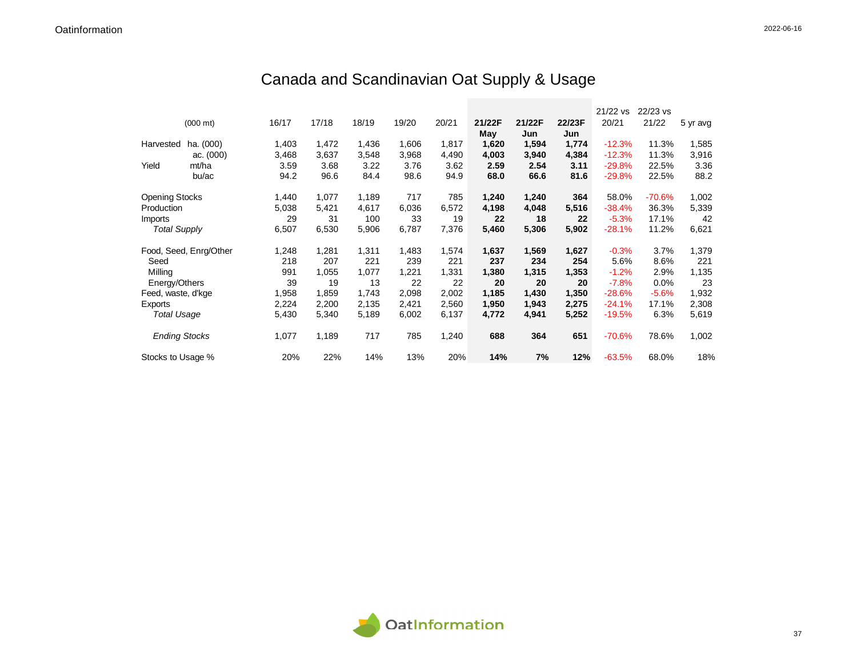## Canada and Scandinavian Oat Supply & Usage

|                       |                        |       |       |       |       |       |        |        |        | 21/22 vs | 22/23 vs |          |
|-----------------------|------------------------|-------|-------|-------|-------|-------|--------|--------|--------|----------|----------|----------|
|                       | $(000 \text{ mt})$     | 16/17 | 17/18 | 18/19 | 19/20 | 20/21 | 21/22F | 21/22F | 22/23F | 20/21    | 21/22    | 5 yr avg |
|                       |                        |       |       |       |       |       | May    | Jun    | Jun    |          |          |          |
| Harvested             | ha. (000)              | 1,403 | 1,472 | 1,436 | 1,606 | 1,817 | 1,620  | 1,594  | 1,774  | $-12.3%$ | 11.3%    | 1,585    |
|                       | ac. $(000)$            | 3,468 | 3,637 | 3,548 | 3,968 | 4,490 | 4,003  | 3,940  | 4,384  | $-12.3%$ | 11.3%    | 3,916    |
| Yield                 | mt/ha                  | 3.59  | 3.68  | 3.22  | 3.76  | 3.62  | 2.59   | 2.54   | 3.11   | $-29.8%$ | 22.5%    | 3.36     |
|                       | bu/ac                  | 94.2  | 96.6  | 84.4  | 98.6  | 94.9  | 68.0   | 66.6   | 81.6   | $-29.8%$ | 22.5%    | 88.2     |
| <b>Opening Stocks</b> |                        | 1,440 | 1,077 | 1,189 | 717   | 785   | 1,240  | 1,240  | 364    | 58.0%    | $-70.6%$ | 1,002    |
| Production            |                        | 5,038 | 5,421 | 4,617 | 6,036 | 6,572 | 4,198  | 4,048  | 5,516  | $-38.4%$ | 36.3%    | 5,339    |
| <b>Imports</b>        |                        | 29    | 31    | 100   | 33    | 19    | 22     | 18     | 22     | $-5.3%$  | 17.1%    | 42       |
| <b>Total Supply</b>   |                        | 6,507 | 6,530 | 5,906 | 6,787 | 7,376 | 5,460  | 5,306  | 5,902  | $-28.1%$ | 11.2%    | 6,621    |
|                       | Food, Seed, Enrg/Other | 1,248 | 1,281 | 1,311 | 1,483 | 1,574 | 1,637  | 1,569  | 1,627  | $-0.3%$  | 3.7%     | 1,379    |
| Seed                  |                        | 218   | 207   | 221   | 239   | 221   | 237    | 234    | 254    | 5.6%     | 8.6%     | 221      |
| Milling               |                        | 991   | 1,055 | 1,077 | 1,221 | 1,331 | 1,380  | 1,315  | 1,353  | $-1.2%$  | 2.9%     | 1,135    |
| Energy/Others         |                        | 39    | 19    | 13    | 22    | 22    | 20     | 20     | 20     | $-7.8%$  | 0.0%     | 23       |
| Feed, waste, d'kge    |                        | 1,958 | 1,859 | 1,743 | 2,098 | 2,002 | 1,185  | 1,430  | 1,350  | $-28.6%$ | $-5.6%$  | 1,932    |
| Exports               |                        | 2,224 | 2,200 | 2,135 | 2,421 | 2,560 | 1,950  | 1,943  | 2,275  | $-24.1%$ | 17.1%    | 2,308    |
| <b>Total Usage</b>    |                        | 5,430 | 5,340 | 5,189 | 6,002 | 6,137 | 4,772  | 4,941  | 5,252  | $-19.5%$ | 6.3%     | 5,619    |
| <b>Ending Stocks</b>  |                        | 1,077 | 1,189 | 717   | 785   | 1,240 | 688    | 364    | 651    | $-70.6%$ | 78.6%    | 1,002    |
| Stocks to Usage %     |                        | 20%   | 22%   | 14%   | 13%   | 20%   | 14%    | 7%     | 12%    | $-63.5%$ | 68.0%    | 18%      |

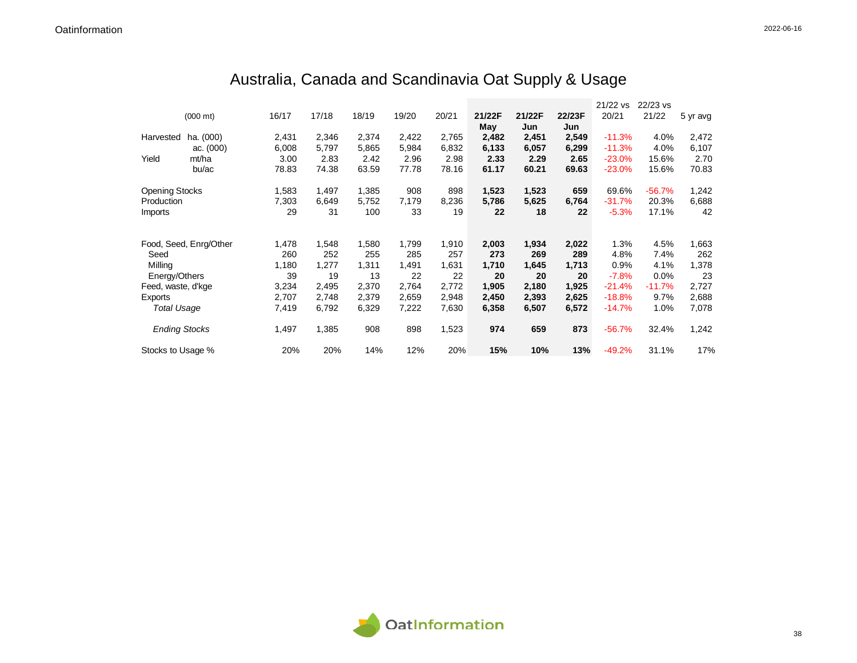|                       |                        |       |       |       |       |       |        |        |        | 21/22 vs | 22/23 vs |          |
|-----------------------|------------------------|-------|-------|-------|-------|-------|--------|--------|--------|----------|----------|----------|
|                       | $(000 \text{ mt})$     | 16/17 | 17/18 | 18/19 | 19/20 | 20/21 | 21/22F | 21/22F | 22/23F | 20/21    | 21/22    | 5 yr avg |
|                       |                        |       |       |       |       |       | May    | Jun    | Jun    |          |          |          |
| Harvested             | ha. (000)              | 2,431 | 2,346 | 2,374 | 2,422 | 2,765 | 2,482  | 2,451  | 2,549  | $-11.3%$ | 4.0%     | 2,472    |
|                       | ac. $(000)$            | 6,008 | 5,797 | 5,865 | 5,984 | 6,832 | 6,133  | 6,057  | 6,299  | $-11.3%$ | 4.0%     | 6,107    |
| Yield                 | mt/ha                  | 3.00  | 2.83  | 2.42  | 2.96  | 2.98  | 2.33   | 2.29   | 2.65   | $-23.0%$ | 15.6%    | 2.70     |
|                       | bu/ac                  | 78.83 | 74.38 | 63.59 | 77.78 | 78.16 | 61.17  | 60.21  | 69.63  | $-23.0%$ | 15.6%    | 70.83    |
| <b>Opening Stocks</b> |                        | 1,583 | 1,497 | 1,385 | 908   | 898   | 1,523  | 1,523  | 659    | 69.6%    | $-56.7%$ | 1,242    |
| Production            |                        | 7,303 | 6,649 | 5,752 | 7,179 | 8,236 | 5,786  | 5,625  | 6,764  | $-31.7%$ | 20.3%    | 6,688    |
| Imports               |                        | 29    | 31    | 100   | 33    | 19    | 22     | 18     | 22     | $-5.3%$  | 17.1%    | 42       |
|                       |                        |       |       |       |       |       |        |        |        |          |          |          |
|                       | Food, Seed, Enrg/Other | 1,478 | 1,548 | 1,580 | 1,799 | 1,910 | 2,003  | 1,934  | 2,022  | 1.3%     | 4.5%     | 1,663    |
| Seed                  |                        | 260   | 252   | 255   | 285   | 257   | 273    | 269    | 289    | 4.8%     | 7.4%     | 262      |
| Milling               |                        | 1,180 | 1,277 | 1,311 | 1,491 | 1,631 | 1,710  | 1,645  | 1,713  | 0.9%     | 4.1%     | 1,378    |
| Energy/Others         |                        | 39    | 19    | 13    | 22    | 22    | 20     | 20     | 20     | $-7.8%$  | 0.0%     | 23       |
| Feed, waste, d'kge    |                        | 3,234 | 2,495 | 2,370 | 2,764 | 2,772 | 1,905  | 2,180  | 1,925  | $-21.4%$ | $-11.7%$ | 2,727    |
| Exports               |                        | 2,707 | 2,748 | 2,379 | 2,659 | 2,948 | 2,450  | 2,393  | 2,625  | $-18.8%$ | 9.7%     | 2,688    |
| <b>Total Usage</b>    |                        | 7,419 | 6,792 | 6,329 | 7,222 | 7,630 | 6,358  | 6,507  | 6,572  | $-14.7%$ | 1.0%     | 7,078    |
| <b>Ending Stocks</b>  |                        | 1,497 | 1,385 | 908   | 898   | 1,523 | 974    | 659    | 873    | $-56.7%$ | 32.4%    | 1,242    |
| Stocks to Usage %     |                        | 20%   | 20%   | 14%   | 12%   | 20%   | 15%    | 10%    | 13%    | $-49.2%$ | 31.1%    | 17%      |

## Australia, Canada and Scandinavia Oat Supply & Usage

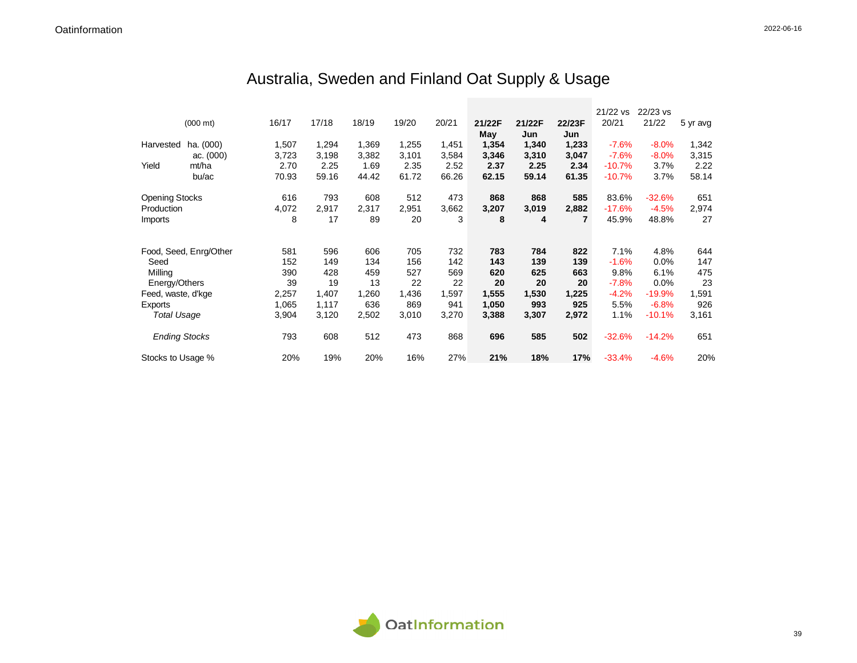## Australia, Sweden and Finland Oat Supply & Usage

|                       |                        |       |       |       |       |       |        |        |                | 21/22 vs | 22/23 vs |          |
|-----------------------|------------------------|-------|-------|-------|-------|-------|--------|--------|----------------|----------|----------|----------|
|                       | $(000 \text{ mt})$     | 16/17 | 17/18 | 18/19 | 19/20 | 20/21 | 21/22F | 21/22F | 22/23F         | 20/21    | 21/22    | 5 yr avg |
|                       |                        |       |       |       |       |       | May    | Jun    | Jun            |          |          |          |
| Harvested             | ha. (000)              | 1,507 | 1,294 | 1,369 | 1,255 | 1,451 | 1,354  | 1,340  | 1,233          | $-7.6%$  | $-8.0\%$ | 1,342    |
|                       | ac. $(000)$            | 3,723 | 3,198 | 3,382 | 3,101 | 3,584 | 3,346  | 3,310  | 3,047          | $-7.6%$  | $-8.0%$  | 3,315    |
| Yield                 | mt/ha                  | 2.70  | 2.25  | 1.69  | 2.35  | 2.52  | 2.37   | 2.25   | 2.34           | $-10.7%$ | 3.7%     | 2.22     |
|                       | bu/ac                  | 70.93 | 59.16 | 44.42 | 61.72 | 66.26 | 62.15  | 59.14  | 61.35          | $-10.7%$ | 3.7%     | 58.14    |
| <b>Opening Stocks</b> |                        | 616   | 793   | 608   | 512   | 473   | 868    | 868    | 585            | 83.6%    | $-32.6%$ | 651      |
| Production            |                        | 4,072 | 2,917 | 2,317 | 2,951 | 3,662 | 3,207  | 3,019  | 2,882          | $-17.6%$ | $-4.5%$  | 2,974    |
| Imports               |                        | 8     | 17    | 89    | 20    | 3     | 8      | 4      | $\overline{7}$ | 45.9%    | 48.8%    | 27       |
|                       |                        |       |       |       |       |       |        |        |                |          |          |          |
|                       | Food, Seed, Enrg/Other | 581   | 596   | 606   | 705   | 732   | 783    | 784    | 822            | 7.1%     | 4.8%     | 644      |
| Seed                  |                        | 152   | 149   | 134   | 156   | 142   | 143    | 139    | 139            | $-1.6%$  | 0.0%     | 147      |
| Milling               |                        | 390   | 428   | 459   | 527   | 569   | 620    | 625    | 663            | 9.8%     | 6.1%     | 475      |
| Energy/Others         |                        | 39    | 19    | 13    | 22    | 22    | 20     | 20     | 20             | $-7.8%$  | 0.0%     | 23       |
| Feed, waste, d'kge    |                        | 2,257 | 1,407 | 1,260 | 1,436 | 1,597 | 1,555  | 1,530  | 1,225          | $-4.2%$  | $-19.9%$ | 1,591    |
| Exports               |                        | 1,065 | 1,117 | 636   | 869   | 941   | 1,050  | 993    | 925            | 5.5%     | $-6.8%$  | 926      |
| <b>Total Usage</b>    |                        | 3,904 | 3,120 | 2,502 | 3,010 | 3,270 | 3,388  | 3,307  | 2,972          | 1.1%     | $-10.1%$ | 3,161    |
| <b>Ending Stocks</b>  |                        | 793   | 608   | 512   | 473   | 868   | 696    | 585    | 502            | $-32.6%$ | $-14.2%$ | 651      |
| Stocks to Usage %     |                        | 20%   | 19%   | 20%   | 16%   | 27%   | 21%    | 18%    | 17%            | $-33.4%$ | $-4.6%$  | 20%      |

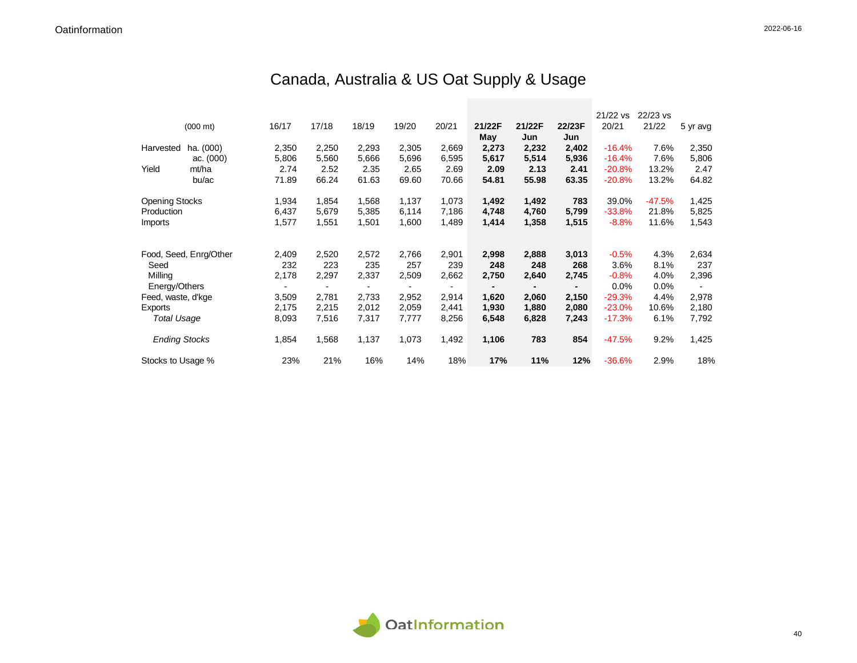## Canada, Australia & US Oat Supply & Usage

|                       |                        |       |       |       |       |       |        |        |        | 21/22 vs | 22/23 vs |          |
|-----------------------|------------------------|-------|-------|-------|-------|-------|--------|--------|--------|----------|----------|----------|
|                       | $(000 \text{ mt})$     | 16/17 | 17/18 | 18/19 | 19/20 | 20/21 | 21/22F | 21/22F | 22/23F | 20/21    | 21/22    | 5 yr avg |
|                       |                        |       |       |       |       |       | May    | Jun    | Jun    |          |          |          |
| Harvested             | ha. (000)              | 2,350 | 2,250 | 2,293 | 2,305 | 2,669 | 2,273  | 2,232  | 2,402  | $-16.4%$ | 7.6%     | 2,350    |
|                       | ac. $(000)$            | 5,806 | 5,560 | 5,666 | 5,696 | 6,595 | 5,617  | 5,514  | 5,936  | $-16.4%$ | 7.6%     | 5,806    |
| Yield                 | mt/ha                  | 2.74  | 2.52  | 2.35  | 2.65  | 2.69  | 2.09   | 2.13   | 2.41   | $-20.8%$ | 13.2%    | 2.47     |
|                       | bu/ac                  | 71.89 | 66.24 | 61.63 | 69.60 | 70.66 | 54.81  | 55.98  | 63.35  | $-20.8%$ | 13.2%    | 64.82    |
| <b>Opening Stocks</b> |                        | 1,934 | 1,854 | 1,568 | 1,137 | 1,073 | 1,492  | 1,492  | 783    | 39.0%    | $-47.5%$ | 1,425    |
| Production            |                        | 6,437 | 5,679 | 5,385 | 6,114 | 7,186 | 4,748  | 4,760  | 5,799  | $-33.8%$ | 21.8%    | 5,825    |
| <i>Imports</i>        |                        | 1,577 | 1,551 | 1,501 | 1,600 | 1,489 | 1,414  | 1,358  | 1,515  | $-8.8%$  | 11.6%    | 1,543    |
|                       |                        |       |       |       |       |       |        |        |        |          |          |          |
|                       | Food, Seed, Enrg/Other | 2,409 | 2,520 | 2,572 | 2,766 | 2,901 | 2,998  | 2,888  | 3,013  | $-0.5%$  | 4.3%     | 2,634    |
| Seed                  |                        | 232   | 223   | 235   | 257   | 239   | 248    | 248    | 268    | 3.6%     | 8.1%     | 237      |
| Milling               |                        | 2,178 | 2,297 | 2,337 | 2,509 | 2,662 | 2,750  | 2,640  | 2,745  | $-0.8%$  | 4.0%     | 2,396    |
| Energy/Others         |                        |       |       |       |       |       |        |        |        | 0.0%     | $0.0\%$  |          |
| Feed, waste, d'kge    |                        | 3,509 | 2,781 | 2,733 | 2,952 | 2,914 | 1,620  | 2,060  | 2,150  | $-29.3%$ | 4.4%     | 2,978    |
| Exports               |                        | 2,175 | 2,215 | 2,012 | 2,059 | 2,441 | 1,930  | 1,880  | 2,080  | $-23.0%$ | 10.6%    | 2,180    |
| <b>Total Usage</b>    |                        | 8,093 | 7,516 | 7,317 | 7,777 | 8,256 | 6,548  | 6,828  | 7,243  | $-17.3%$ | 6.1%     | 7,792    |
| <b>Ending Stocks</b>  |                        | 1,854 | 1,568 | 1,137 | 1,073 | 1,492 | 1,106  | 783    | 854    | $-47.5%$ | 9.2%     | 1,425    |
| Stocks to Usage %     |                        | 23%   | 21%   | 16%   | 14%   | 18%   | 17%    | 11%    | 12%    | $-36.6%$ | 2.9%     | 18%      |

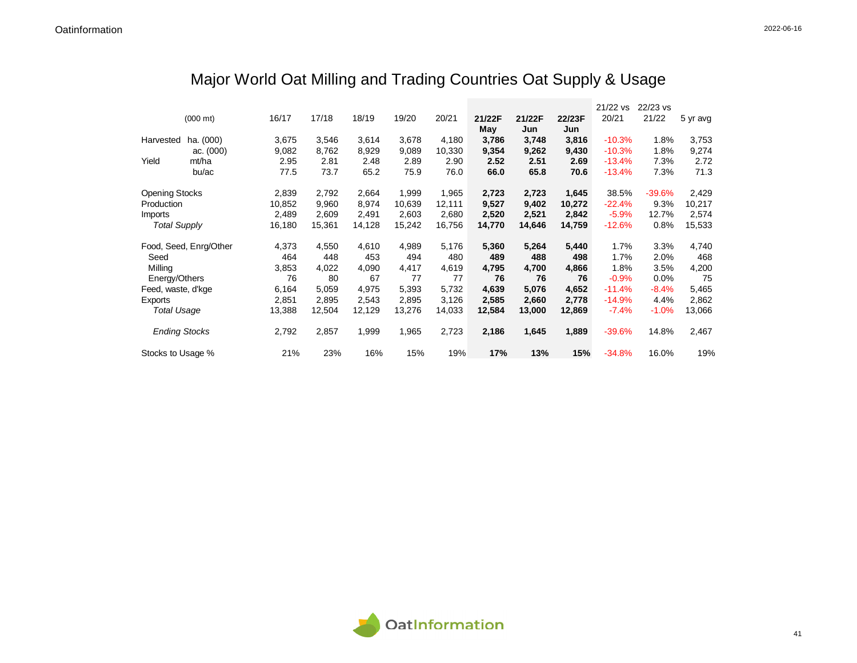## Major World Oat Milling and Trading Countries Oat Supply & Usage

|                       |                        |        |        |        |        |        |        |        |        | 21/22 vs | 22/23 vs |          |
|-----------------------|------------------------|--------|--------|--------|--------|--------|--------|--------|--------|----------|----------|----------|
|                       | $(000 \text{ mt})$     | 16/17  | 17/18  | 18/19  | 19/20  | 20/21  | 21/22F | 21/22F | 22/23F | 20/21    | 21/22    | 5 yr avg |
|                       |                        |        |        |        |        |        | May    | Jun    | Jun    |          |          |          |
| Harvested             | ha. (000)              | 3,675  | 3,546  | 3,614  | 3,678  | 4,180  | 3.786  | 3,748  | 3,816  | $-10.3%$ | 1.8%     | 3,753    |
|                       | ac. $(000)$            | 9,082  | 8,762  | 8,929  | 9,089  | 10,330 | 9,354  | 9,262  | 9,430  | $-10.3%$ | 1.8%     | 9,274    |
| Yield                 | mt/ha                  | 2.95   | 2.81   | 2.48   | 2.89   | 2.90   | 2.52   | 2.51   | 2.69   | $-13.4%$ | 7.3%     | 2.72     |
|                       | bu/ac                  | 77.5   | 73.7   | 65.2   | 75.9   | 76.0   | 66.0   | 65.8   | 70.6   | $-13.4%$ | 7.3%     | 71.3     |
| <b>Opening Stocks</b> |                        | 2,839  | 2,792  | 2,664  | 1,999  | 1,965  | 2,723  | 2,723  | 1,645  | 38.5%    | $-39.6%$ | 2,429    |
| Production            |                        | 10,852 | 9,960  | 8,974  | 10,639 | 12,111 | 9,527  | 9,402  | 10,272 | $-22.4%$ | 9.3%     | 10,217   |
| Imports               |                        | 2,489  | 2,609  | 2,491  | 2,603  | 2,680  | 2,520  | 2,521  | 2,842  | $-5.9%$  | 12.7%    | 2,574    |
| <b>Total Supply</b>   |                        | 16,180 | 15,361 | 14,128 | 15,242 | 16,756 | 14,770 | 14,646 | 14,759 | $-12.6%$ | 0.8%     | 15,533   |
|                       | Food, Seed, Enrg/Other | 4,373  | 4,550  | 4,610  | 4,989  | 5,176  | 5,360  | 5,264  | 5,440  | 1.7%     | 3.3%     | 4,740    |
| Seed                  |                        | 464    | 448    | 453    | 494    | 480    | 489    | 488    | 498    | 1.7%     | 2.0%     | 468      |
| Milling               |                        | 3,853  | 4,022  | 4,090  | 4,417  | 4,619  | 4,795  | 4,700  | 4,866  | 1.8%     | 3.5%     | 4,200    |
| Energy/Others         |                        | 76     | 80     | 67     | 77     | 77     | 76     | 76     | 76     | $-0.9%$  | $0.0\%$  | 75       |
| Feed, waste, d'kge    |                        | 6,164  | 5,059  | 4,975  | 5,393  | 5,732  | 4,639  | 5,076  | 4,652  | $-11.4%$ | $-8.4%$  | 5,465    |
| Exports               |                        | 2,851  | 2,895  | 2,543  | 2,895  | 3,126  | 2,585  | 2,660  | 2,778  | $-14.9%$ | 4.4%     | 2,862    |
| <b>Total Usage</b>    |                        | 13,388 | 12,504 | 12,129 | 13,276 | 14,033 | 12,584 | 13,000 | 12,869 | $-7.4%$  | $-1.0%$  | 13,066   |
| <b>Ending Stocks</b>  |                        | 2,792  | 2,857  | 1,999  | 1,965  | 2,723  | 2,186  | 1,645  | 1,889  | $-39.6%$ | 14.8%    | 2,467    |
| Stocks to Usage %     |                        | 21%    | 23%    | 16%    | 15%    | 19%    | 17%    | 13%    | 15%    | $-34.8%$ | 16.0%    | 19%      |

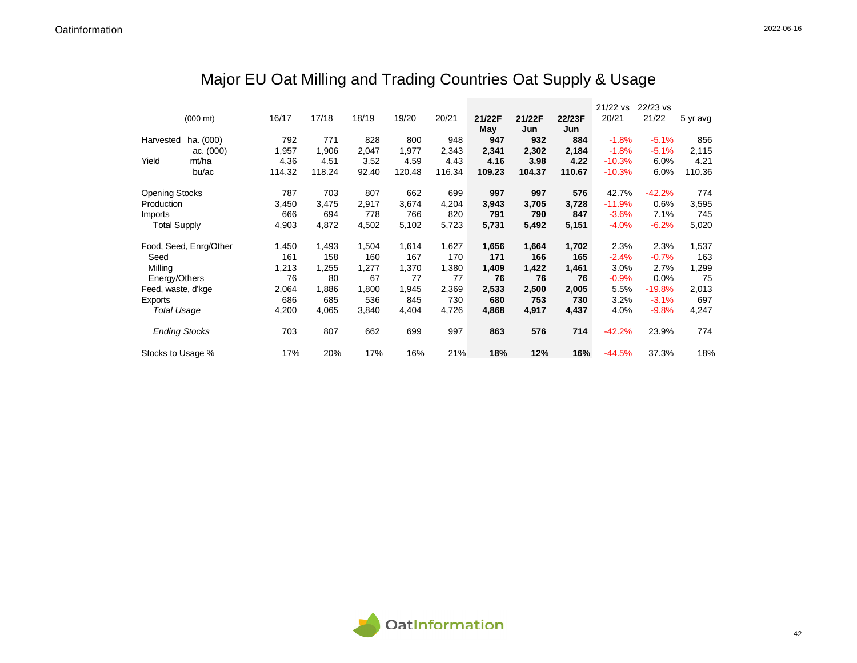## Major EU Oat Milling and Trading Countries Oat Supply & Usage

|                       |                        |        |        |       |        |        |        |        |        | 21/22 vs | 22/23 vs |          |
|-----------------------|------------------------|--------|--------|-------|--------|--------|--------|--------|--------|----------|----------|----------|
|                       | $(000 \text{ mt})$     | 16/17  | 17/18  | 18/19 | 19/20  | 20/21  | 21/22F | 21/22F | 22/23F | 20/21    | 21/22    | 5 yr avg |
|                       |                        |        |        |       |        |        | May    | Jun    | Jun    |          |          |          |
| Harvested             | ha. (000)              | 792    | 771    | 828   | 800    | 948    | 947    | 932    | 884    | $-1.8%$  | $-5.1%$  | 856      |
|                       | ac. (000)              | 1,957  | 1,906  | 2,047 | 1,977  | 2,343  | 2,341  | 2,302  | 2,184  | $-1.8%$  | $-5.1%$  | 2,115    |
| Yield                 | mt/ha                  | 4.36   | 4.51   | 3.52  | 4.59   | 4.43   | 4.16   | 3.98   | 4.22   | $-10.3%$ | 6.0%     | 4.21     |
|                       | bu/ac                  | 114.32 | 118.24 | 92.40 | 120.48 | 116.34 | 109.23 | 104.37 | 110.67 | $-10.3%$ | 6.0%     | 110.36   |
| <b>Opening Stocks</b> |                        | 787    | 703    | 807   | 662    | 699    | 997    | 997    | 576    | 42.7%    | $-42.2%$ | 774      |
| Production            |                        | 3,450  | 3,475  | 2,917 | 3,674  | 4,204  | 3,943  | 3,705  | 3,728  | $-11.9%$ | 0.6%     | 3,595    |
| Imports               |                        | 666    | 694    | 778   | 766    | 820    | 791    | 790    | 847    | $-3.6%$  | 7.1%     | 745      |
| <b>Total Supply</b>   |                        | 4,903  | 4,872  | 4,502 | 5,102  | 5,723  | 5,731  | 5,492  | 5,151  | $-4.0%$  | $-6.2%$  | 5,020    |
|                       | Food, Seed, Enrg/Other | 1,450  | 1,493  | 1,504 | 1,614  | 1,627  | 1,656  | 1,664  | 1,702  | 2.3%     | 2.3%     | 1,537    |
| Seed                  |                        | 161    | 158    | 160   | 167    | 170    | 171    | 166    | 165    | $-2.4%$  | $-0.7%$  | 163      |
| Milling               |                        | 1,213  | 1,255  | 1,277 | 1,370  | 1,380  | 1,409  | 1,422  | 1,461  | 3.0%     | 2.7%     | 1,299    |
| Energy/Others         |                        | 76     | 80     | 67    | 77     | 77     | 76     | 76     | 76     | $-0.9%$  | $0.0\%$  | 75       |
| Feed, waste, d'kge    |                        | 2,064  | 1,886  | 1,800 | 1,945  | 2,369  | 2,533  | 2,500  | 2,005  | 5.5%     | $-19.8%$ | 2,013    |
| Exports               |                        | 686    | 685    | 536   | 845    | 730    | 680    | 753    | 730    | 3.2%     | $-3.1%$  | 697      |
| <b>Total Usage</b>    |                        | 4,200  | 4,065  | 3,840 | 4,404  | 4,726  | 4,868  | 4,917  | 4,437  | 4.0%     | $-9.8%$  | 4,247    |
| <b>Ending Stocks</b>  |                        | 703    | 807    | 662   | 699    | 997    | 863    | 576    | 714    | $-42.2%$ | 23.9%    | 774      |
| Stocks to Usage %     |                        | 17%    | 20%    | 17%   | 16%    | 21%    | 18%    | 12%    | 16%    | $-44.5%$ | 37.3%    | 18%      |

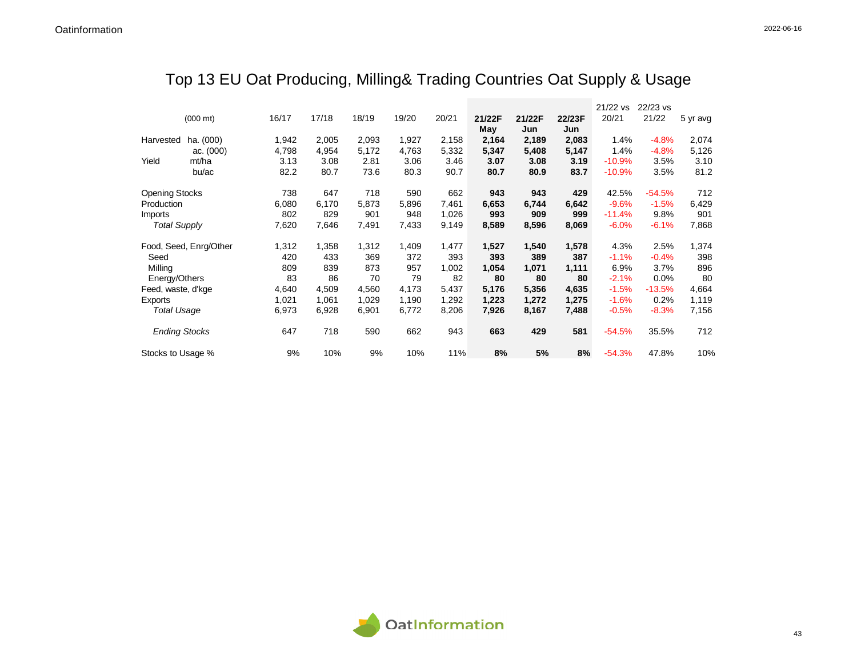## Top 13 EU Oat Producing, Milling& Trading Countries Oat Supply & Usage

|                       |                        |       |       |       |       |       |        |        |        | 21/22 vs | 22/23 vs |          |
|-----------------------|------------------------|-------|-------|-------|-------|-------|--------|--------|--------|----------|----------|----------|
|                       | $(000 \text{ mt})$     | 16/17 | 17/18 | 18/19 | 19/20 | 20/21 | 21/22F | 21/22F | 22/23F | 20/21    | 21/22    | 5 yr avg |
|                       |                        |       |       |       |       |       | May    | Jun    | Jun    |          |          |          |
| Harvested             | ha. (000)              | 1,942 | 2,005 | 2,093 | 1,927 | 2,158 | 2,164  | 2,189  | 2,083  | 1.4%     | $-4.8%$  | 2,074    |
|                       | ac. (000)              | 4,798 | 4,954 | 5,172 | 4,763 | 5,332 | 5,347  | 5,408  | 5,147  | 1.4%     | $-4.8%$  | 5,126    |
| Yield                 | mt/ha                  | 3.13  | 3.08  | 2.81  | 3.06  | 3.46  | 3.07   | 3.08   | 3.19   | $-10.9%$ | 3.5%     | 3.10     |
|                       | bu/ac                  | 82.2  | 80.7  | 73.6  | 80.3  | 90.7  | 80.7   | 80.9   | 83.7   | $-10.9%$ | 3.5%     | 81.2     |
| <b>Opening Stocks</b> |                        | 738   | 647   | 718   | 590   | 662   | 943    | 943    | 429    | 42.5%    | $-54.5%$ | 712      |
| Production            |                        | 6,080 | 6,170 | 5,873 | 5,896 | 7,461 | 6,653  | 6,744  | 6,642  | $-9.6%$  | $-1.5%$  | 6,429    |
| <b>Imports</b>        |                        | 802   | 829   | 901   | 948   | 1,026 | 993    | 909    | 999    | $-11.4%$ | 9.8%     | 901      |
| <b>Total Supply</b>   |                        | 7,620 | 7,646 | 7,491 | 7,433 | 9,149 | 8,589  | 8,596  | 8,069  | $-6.0%$  | $-6.1%$  | 7,868    |
|                       | Food, Seed, Enrg/Other | 1,312 | 1,358 | 1,312 | 1,409 | 1,477 | 1,527  | 1,540  | 1,578  | 4.3%     | 2.5%     | 1,374    |
| Seed                  |                        | 420   | 433   | 369   | 372   | 393   | 393    | 389    | 387    | $-1.1%$  | $-0.4%$  | 398      |
| Milling               |                        | 809   | 839   | 873   | 957   | 1,002 | 1,054  | 1,071  | 1,111  | 6.9%     | 3.7%     | 896      |
| Energy/Others         |                        | 83    | 86    | 70    | 79    | 82    | 80     | 80     | 80     | $-2.1%$  | $0.0\%$  | 80       |
| Feed, waste, d'kge    |                        | 4,640 | 4,509 | 4,560 | 4,173 | 5,437 | 5,176  | 5,356  | 4,635  | $-1.5%$  | $-13.5%$ | 4,664    |
| Exports               |                        | 1,021 | 1,061 | 1,029 | 1,190 | 1,292 | 1,223  | 1,272  | 1,275  | $-1.6%$  | 0.2%     | 1,119    |
| <b>Total Usage</b>    |                        | 6,973 | 6,928 | 6,901 | 6,772 | 8,206 | 7,926  | 8,167  | 7,488  | $-0.5%$  | $-8.3%$  | 7,156    |
| <b>Ending Stocks</b>  |                        | 647   | 718   | 590   | 662   | 943   | 663    | 429    | 581    | $-54.5%$ | 35.5%    | 712      |
| Stocks to Usage %     |                        | 9%    | 10%   | 9%    | 10%   | 11%   | 8%     | 5%     | 8%     | $-54.3%$ | 47.8%    | 10%      |

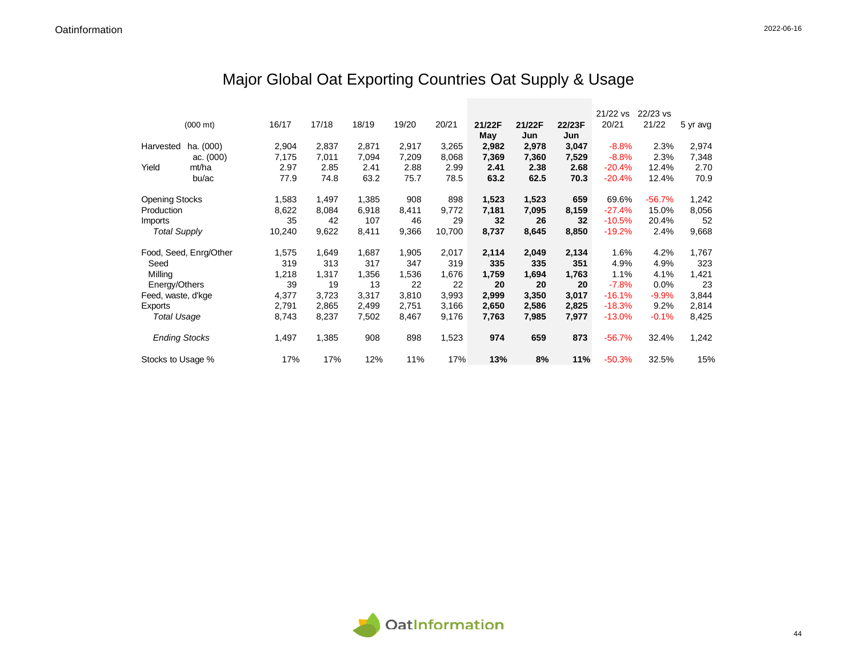## Major Global Oat Exporting Countries Oat Supply & Usage

|                       |                        |        |       |       |       |        |        |        |        | 21/22 vs  | $22/23$ vs |          |
|-----------------------|------------------------|--------|-------|-------|-------|--------|--------|--------|--------|-----------|------------|----------|
|                       | $(000 \text{ mt})$     | 16/17  | 17/18 | 18/19 | 19/20 | 20/21  | 21/22F | 21/22F | 22/23F | 20/21     | 21/22      | 5 yr avg |
|                       |                        |        |       |       |       |        | May    | Jun    | Jun    |           |            |          |
| Harvested             | ha. (000)              | 2,904  | 2,837 | 2,871 | 2,917 | 3,265  | 2,982  | 2,978  | 3,047  | $-8.8%$   | 2.3%       | 2,974    |
|                       | ac. $(000)$            | 7,175  | 7,011 | 7,094 | 7,209 | 8,068  | 7,369  | 7,360  | 7,529  | $-8.8%$   | 2.3%       | 7,348    |
| Yield                 | mt/ha                  | 2.97   | 2.85  | 2.41  | 2.88  | 2.99   | 2.41   | 2.38   | 2.68   | $-20.4%$  | 12.4%      | 2.70     |
|                       | bu/ac                  | 77.9   | 74.8  | 63.2  | 75.7  | 78.5   | 63.2   | 62.5   | 70.3   | $-20.4%$  | 12.4%      | 70.9     |
| <b>Opening Stocks</b> |                        | 1,583  | 1,497 | 1,385 | 908   | 898    | 1,523  | 1,523  | 659    | 69.6%     | $-56.7%$   | 1,242    |
| Production            |                        | 8,622  | 8,084 | 6,918 | 8,411 | 9,772  | 7,181  | 7,095  | 8,159  | $-27.4%$  | 15.0%      | 8,056    |
| Imports               |                        | 35     | 42    | 107   | 46    | 29     | 32     | 26     | 32     | $-10.5%$  | 20.4%      | 52       |
| <b>Total Supply</b>   |                        | 10,240 | 9,622 | 8,411 | 9,366 | 10,700 | 8,737  | 8,645  | 8,850  | $-19.2%$  | 2.4%       | 9,668    |
|                       | Food, Seed, Enrg/Other | 1,575  | 1,649 | 1,687 | 1,905 | 2,017  | 2,114  | 2,049  | 2,134  | 1.6%      | 4.2%       | 1,767    |
| Seed                  |                        | 319    | 313   | 317   | 347   | 319    | 335    | 335    | 351    | 4.9%      | 4.9%       | 323      |
| Milling               |                        | 1,218  | 1,317 | 1,356 | 1,536 | 1,676  | 1,759  | 1,694  | 1,763  | 1.1%      | 4.1%       | 1,421    |
| Energy/Others         |                        | 39     | 19    | 13    | 22    | 22     | 20     | 20     | 20     | $-7.8%$   | $0.0\%$    | 23       |
| Feed, waste, d'kge    |                        | 4,377  | 3,723 | 3,317 | 3,810 | 3,993  | 2,999  | 3,350  | 3,017  | $-16.1%$  | $-9.9%$    | 3,844    |
| Exports               |                        | 2,791  | 2,865 | 2,499 | 2,751 | 3,166  | 2,650  | 2,586  | 2,825  | $-18.3%$  | 9.2%       | 2,814    |
| <b>Total Usage</b>    |                        | 8,743  | 8,237 | 7,502 | 8,467 | 9,176  | 7,763  | 7,985  | 7,977  | $-13.0\%$ | $-0.1%$    | 8,425    |
| <b>Ending Stocks</b>  |                        | 1,497  | 1,385 | 908   | 898   | 1,523  | 974    | 659    | 873    | $-56.7%$  | 32.4%      | 1,242    |
| Stocks to Usage %     |                        | 17%    | 17%   | 12%   | 11%   | 17%    | 13%    | 8%     | 11%    | $-50.3%$  | 32.5%      | 15%      |

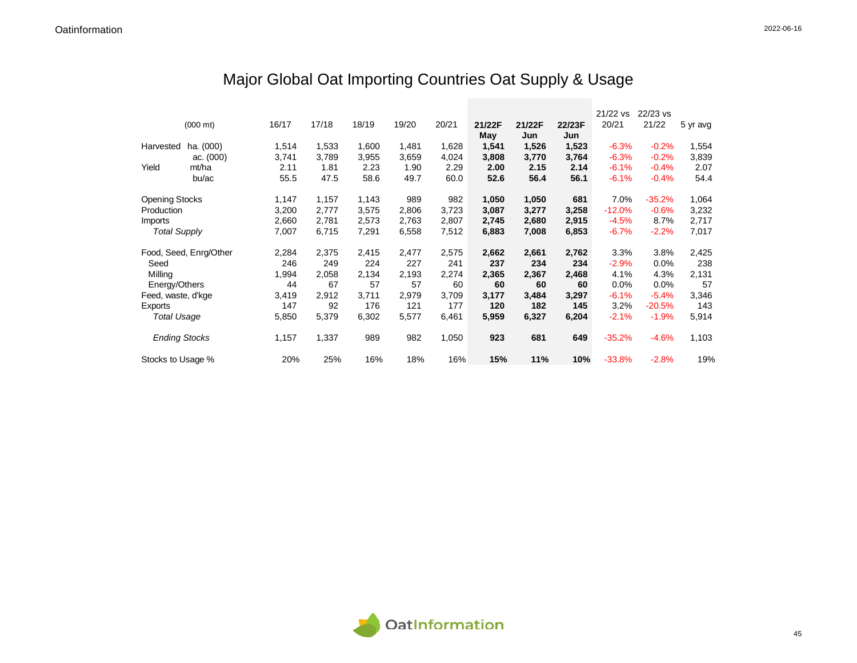## Major Global Oat Importing Countries Oat Supply & Usage

|                       |                        |       |       |       |       |       |        |        |        | 21/22 vs | 22/23 vs |          |
|-----------------------|------------------------|-------|-------|-------|-------|-------|--------|--------|--------|----------|----------|----------|
|                       | $(000 \text{ mt})$     | 16/17 | 17/18 | 18/19 | 19/20 | 20/21 | 21/22F | 21/22F | 22/23F | 20/21    | 21/22    | 5 yr avg |
|                       |                        |       |       |       |       |       | May    | Jun    | Jun    |          |          |          |
| Harvested             | ha. (000)              | 1,514 | 1,533 | 1,600 | 1,481 | 1,628 | 1,541  | 1,526  | 1,523  | $-6.3%$  | $-0.2%$  | 1,554    |
|                       | ac. $(000)$            | 3,741 | 3,789 | 3,955 | 3,659 | 4,024 | 3,808  | 3,770  | 3,764  | $-6.3%$  | $-0.2%$  | 3,839    |
| Yield                 | mt/ha                  | 2.11  | 1.81  | 2.23  | 1.90  | 2.29  | 2.00   | 2.15   | 2.14   | $-6.1%$  | $-0.4%$  | 2.07     |
|                       | bu/ac                  | 55.5  | 47.5  | 58.6  | 49.7  | 60.0  | 52.6   | 56.4   | 56.1   | $-6.1%$  | $-0.4%$  | 54.4     |
| <b>Opening Stocks</b> |                        | 1,147 | 1,157 | 1,143 | 989   | 982   | 1,050  | 1,050  | 681    | 7.0%     | $-35.2%$ | 1,064    |
| Production            |                        | 3,200 | 2,777 | 3,575 | 2,806 | 3,723 | 3,087  | 3,277  | 3,258  | $-12.0%$ | $-0.6%$  | 3,232    |
| Imports               |                        | 2,660 | 2,781 | 2,573 | 2,763 | 2,807 | 2,745  | 2,680  | 2,915  | $-4.5%$  | 8.7%     | 2,717    |
| <b>Total Supply</b>   |                        | 7,007 | 6,715 | 7,291 | 6,558 | 7,512 | 6,883  | 7,008  | 6,853  | $-6.7%$  | $-2.2%$  | 7,017    |
|                       | Food, Seed, Enrg/Other | 2,284 | 2,375 | 2,415 | 2,477 | 2,575 | 2,662  | 2,661  | 2,762  | 3.3%     | 3.8%     | 2,425    |
| Seed                  |                        | 246   | 249   | 224   | 227   | 241   | 237    | 234    | 234    | $-2.9%$  | 0.0%     | 238      |
| Milling               |                        | 1,994 | 2,058 | 2,134 | 2,193 | 2,274 | 2,365  | 2,367  | 2,468  | 4.1%     | 4.3%     | 2,131    |
| Energy/Others         |                        | 44    | 67    | 57    | 57    | 60    | 60     | 60     | 60     | $0.0\%$  | 0.0%     | 57       |
| Feed, waste, d'kge    |                        | 3,419 | 2,912 | 3,711 | 2,979 | 3,709 | 3,177  | 3,484  | 3,297  | $-6.1%$  | $-5.4%$  | 3,346    |
| Exports               |                        | 147   | 92    | 176   | 121   | 177   | 120    | 182    | 145    | 3.2%     | $-20.5%$ | 143      |
| <b>Total Usage</b>    |                        | 5,850 | 5,379 | 6,302 | 5,577 | 6,461 | 5,959  | 6,327  | 6,204  | $-2.1%$  | $-1.9%$  | 5,914    |
| <b>Ending Stocks</b>  |                        | 1,157 | 1,337 | 989   | 982   | 1,050 | 923    | 681    | 649    | $-35.2%$ | $-4.6%$  | 1,103    |
| Stocks to Usage %     |                        | 20%   | 25%   | 16%   | 18%   | 16%   | 15%    | 11%    | 10%    | $-33.8%$ | $-2.8%$  | 19%      |

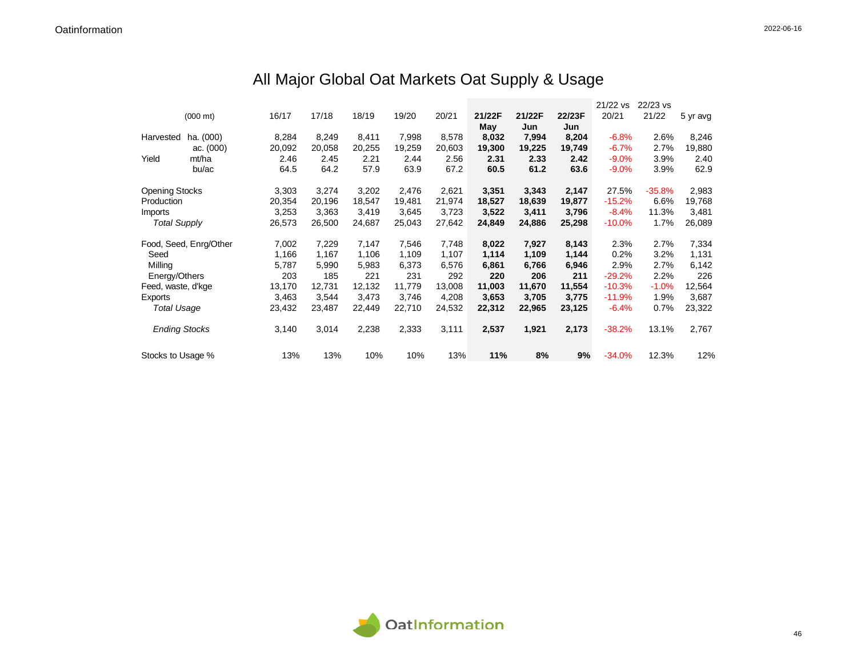## All Major Global Oat Markets Oat Supply & Usage

|                       |                        |        |        |        |        |        |        |        |        | 21/22 vs | 22/23 vs |          |
|-----------------------|------------------------|--------|--------|--------|--------|--------|--------|--------|--------|----------|----------|----------|
|                       | $(000 \text{ mt})$     | 16/17  | 17/18  | 18/19  | 19/20  | 20/21  | 21/22F | 21/22F | 22/23F | 20/21    | 21/22    | 5 yr avg |
|                       |                        |        |        |        |        |        | May    | Jun    | Jun    |          |          |          |
| Harvested             | ha. (000)              | 8,284  | 8,249  | 8,411  | 7,998  | 8,578  | 8,032  | 7,994  | 8,204  | $-6.8%$  | 2.6%     | 8,246    |
|                       | ac. $(000)$            | 20,092 | 20,058 | 20,255 | 19,259 | 20,603 | 19,300 | 19,225 | 19,749 | $-6.7%$  | 2.7%     | 19,880   |
| Yield                 | mt/ha                  | 2.46   | 2.45   | 2.21   | 2.44   | 2.56   | 2.31   | 2.33   | 2.42   | $-9.0%$  | 3.9%     | 2.40     |
|                       | bu/ac                  | 64.5   | 64.2   | 57.9   | 63.9   | 67.2   | 60.5   | 61.2   | 63.6   | $-9.0%$  | 3.9%     | 62.9     |
| <b>Opening Stocks</b> |                        | 3,303  | 3,274  | 3,202  | 2,476  | 2,621  | 3,351  | 3,343  | 2,147  | 27.5%    | $-35.8%$ | 2,983    |
| Production            |                        | 20,354 | 20.196 | 18,547 | 19,481 | 21,974 | 18,527 | 18,639 | 19,877 | $-15.2%$ | 6.6%     | 19,768   |
| Imports               |                        | 3,253  | 3,363  | 3,419  | 3,645  | 3,723  | 3,522  | 3,411  | 3,796  | $-8.4%$  | 11.3%    | 3,481    |
| <b>Total Supply</b>   |                        | 26,573 | 26,500 | 24,687 | 25,043 | 27,642 | 24,849 | 24,886 | 25,298 | $-10.0%$ | 1.7%     | 26,089   |
|                       | Food, Seed, Enrg/Other | 7,002  | 7,229  | 7,147  | 7,546  | 7,748  | 8,022  | 7,927  | 8,143  | 2.3%     | 2.7%     | 7,334    |
| Seed                  |                        | 1,166  | 1,167  | 1,106  | 1,109  | 1,107  | 1,114  | 1,109  | 1,144  | 0.2%     | 3.2%     | 1,131    |
| Milling               |                        | 5,787  | 5,990  | 5,983  | 6,373  | 6,576  | 6,861  | 6,766  | 6,946  | 2.9%     | 2.7%     | 6,142    |
| Energy/Others         |                        | 203    | 185    | 221    | 231    | 292    | 220    | 206    | 211    | $-29.2%$ | 2.2%     | 226      |
| Feed, waste, d'kge    |                        | 13,170 | 12,731 | 12,132 | 11,779 | 13,008 | 11,003 | 11,670 | 11,554 | $-10.3%$ | $-1.0%$  | 12,564   |
| Exports               |                        | 3,463  | 3,544  | 3,473  | 3,746  | 4,208  | 3,653  | 3,705  | 3,775  | $-11.9%$ | 1.9%     | 3,687    |
| Total Usage           |                        | 23,432 | 23,487 | 22,449 | 22,710 | 24,532 | 22,312 | 22,965 | 23,125 | $-6.4%$  | 0.7%     | 23,322   |
| <b>Ending Stocks</b>  |                        | 3,140  | 3,014  | 2,238  | 2,333  | 3,111  | 2,537  | 1,921  | 2,173  | $-38.2%$ | 13.1%    | 2,767    |
| Stocks to Usage %     |                        | 13%    | 13%    | 10%    | 10%    | 13%    | 11%    | 8%     | 9%     | $-34.0%$ | 12.3%    | 12%      |